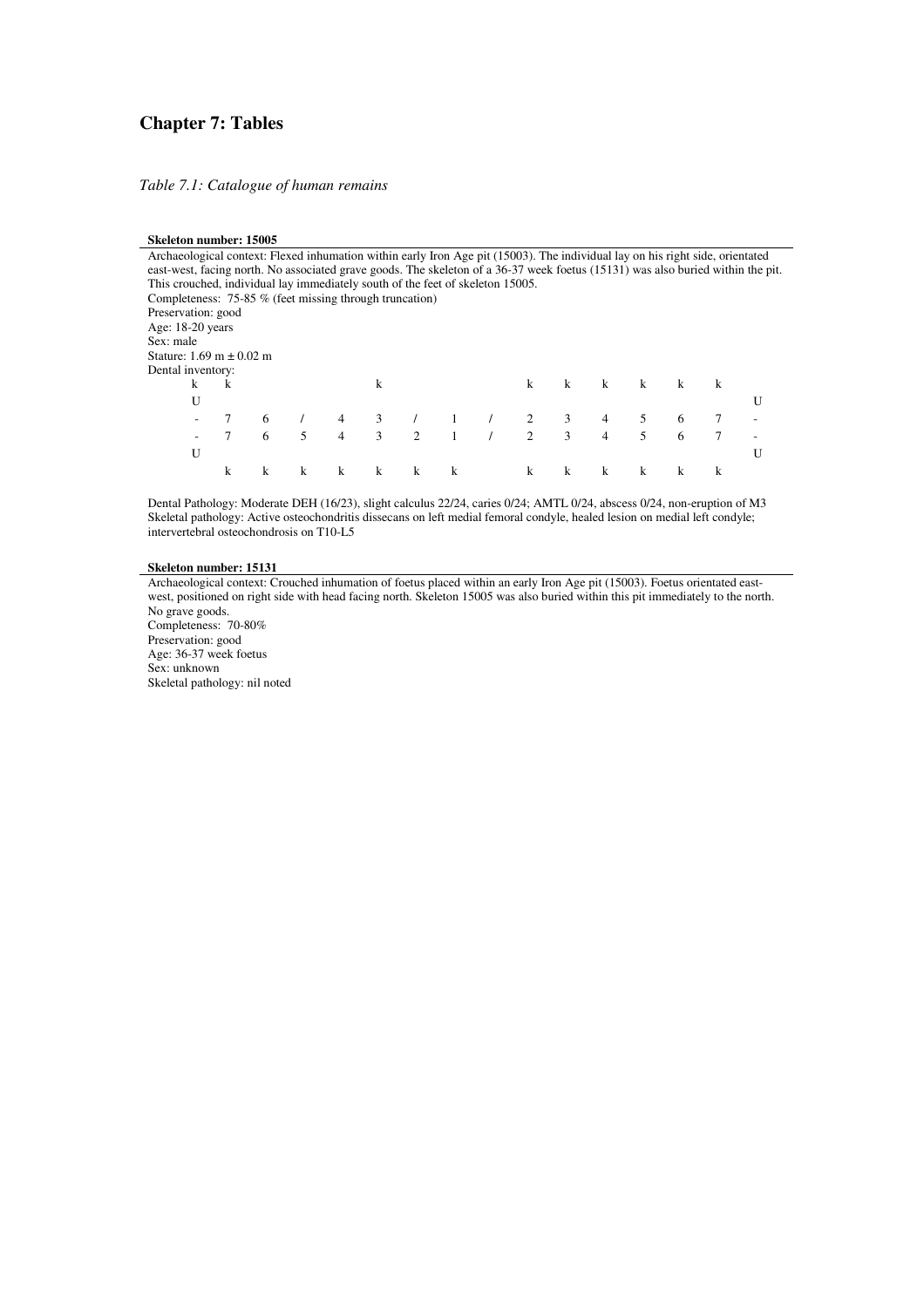### **Chapter 7: Tables**

*Table 7.1: Catalogue of human remains* 

#### **Skeleton number: 15005**

Archaeological context: Flexed inhumation within early Iron Age pit (15003). The individual lay on his right side, orientated east-west, facing north. No associated grave goods. The skeleton of a 36-37 week foetus (15131) was also buried within the pit. This crouched, individual lay immediately south of the feet of skeleton 15005. Completeness: 75-85 % (feet missing through truncation) Preservation: good Age: 18-20 years Sex: male Stature: 1.69 m ± 0.02 m Dental inventory: k k k k k k k k k U CONSTITUCIÓN EN LOS EN ELECCIONES DE LOS ENFIGIOS DE LOS ENFIGIOS DE LOS ENFIGIOS DE LOS ENFIGIOS DE LOS ENFIGIOS DE LOS ENFIGIOS DE LOS ENFIGIOS DE LOS ENFIGIOS DE LOS ENFIGIOS DE LOS ENFIGIOS DE LOS ENFIGIOS DE LOS ENF - 7 6 / 4 3 / 1 / 2 3 4 5 6 7 - - 7 6 5 4 3 2 1 / 2 3 4 5 6 7 - U CONSTITUCIÓN EN LOS EN ELECCIÓNS DE LOS ENFIGIOS DE LOS ENFIGIOS DE LOS ENFIGIOS DE LOS ENFIGIOS DE LOS ENFIGIOS DE LOS ENFIGIOS DE LOS ENFIGIOS DE LOS ENFIGIOS DE LOS ENFIGIOS DE LOS ENFIGIOS DE LOS ENFIGIOS DE LOS ENFI k k k k k k k k k k k k k

Dental Pathology: Moderate DEH (16/23), slight calculus 22/24, caries 0/24; AMTL 0/24, abscess 0/24, non-eruption of M3 Skeletal pathology: Active osteochondritis dissecans on left medial femoral condyle, healed lesion on medial left condyle; intervertebral osteochondrosis on T10-L5

#### **Skeleton number: 15131**

Archaeological context: Crouched inhumation of foetus placed within an early Iron Age pit (15003). Foetus orientated eastwest, positioned on right side with head facing north. Skeleton 15005 was also buried within this pit immediately to the north. No grave goods. Completeness: 70-80% Preservation: good

Age: 36-37 week foetus

Sex: unknown Skeletal pathology: nil noted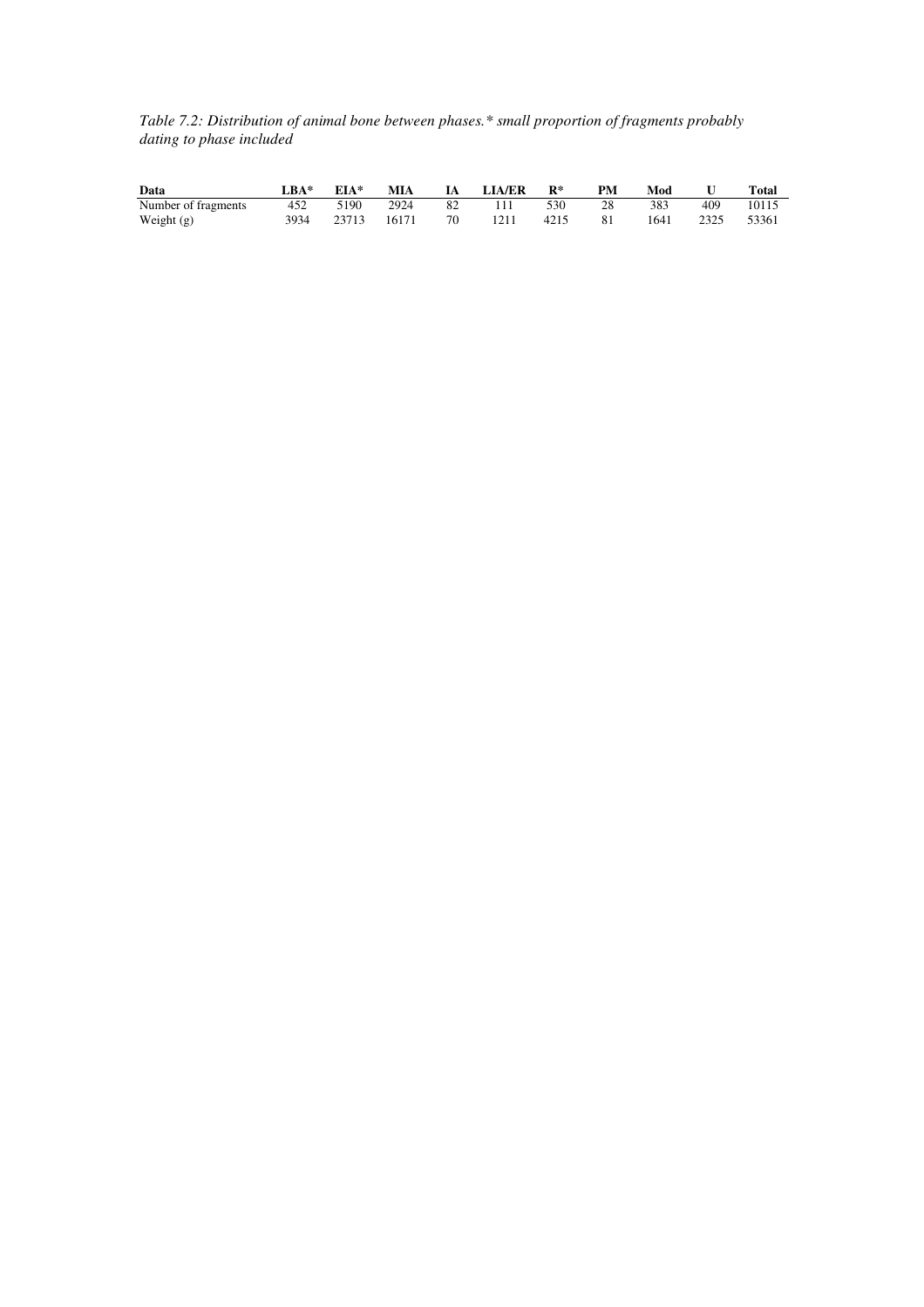*Table 7.2: Distribution of animal bone between phases.\* small proportion of fragments probably dating to phase included* 

| Data                | $BA*$ | EIA*  | MIA   | - IA | <b>LIA/ER</b> | $\mathbf{R}^*$ | PМ | Mod  |      | Total |
|---------------------|-------|-------|-------|------|---------------|----------------|----|------|------|-------|
| Number of fragments | 452   | 5190  | 2924  | -82  | 111           | 530            | 28 | 383  | 409  | 10115 |
| Weight $(g)$        | 3934  | 23713 | 16171 | 70   | 1211          | 4215           | 81 | 1641 | 2325 | 53361 |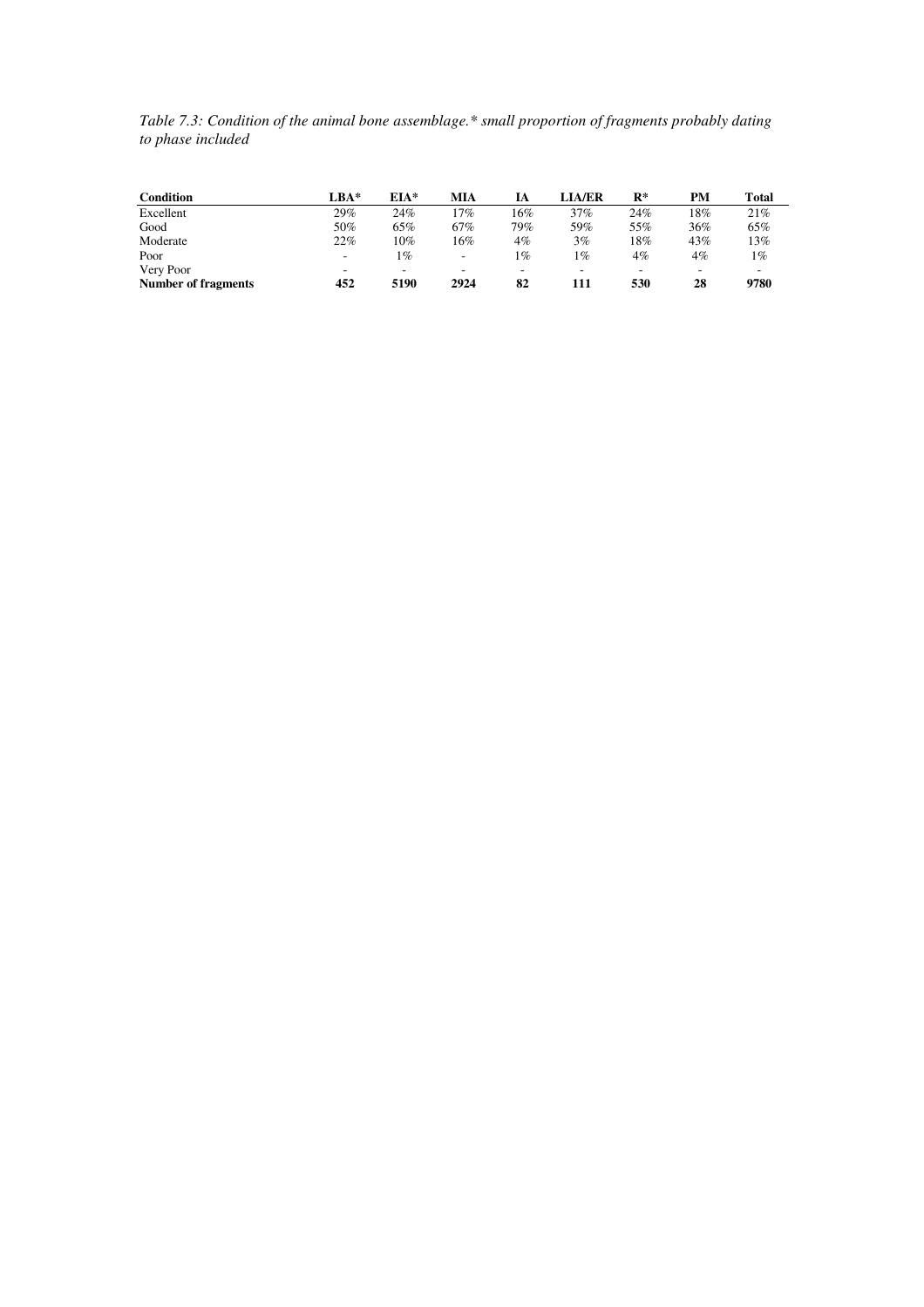*Table 7.3: Condition of the animal bone assemblage.\* small proportion of fragments probably dating to phase included* 

| Condition                  | LBA*                     | $EIA*$ | MIA  | IА    | <b>LIA/ER</b> | $\mathbf{R}^*$ | PМ  | Total |
|----------------------------|--------------------------|--------|------|-------|---------------|----------------|-----|-------|
| Excellent                  | 29%                      | 24%    | .7%  | 16%   | 37%           | 24%            | 18% | 21%   |
| Good                       | 50%                      | 65%    | 67%  | 79%   | 59%           | 55%            | 36% | 65%   |
| Moderate                   | 22%                      | 10%    | 16%  | $4\%$ | $3\%$         | 18%            | 43% | 13%   |
| Poor                       | $\overline{\phantom{a}}$ | $1\%$  | ٠.   | $1\%$ | $1\%$         | $4\%$          | 4%  | 1%    |
| Very Poor                  | $\overline{\phantom{a}}$ | -      |      | -     |               | -              |     |       |
| <b>Number of fragments</b> | 452                      | 5190   | 2924 | 82    | 111           | 530            | 28  | 9780  |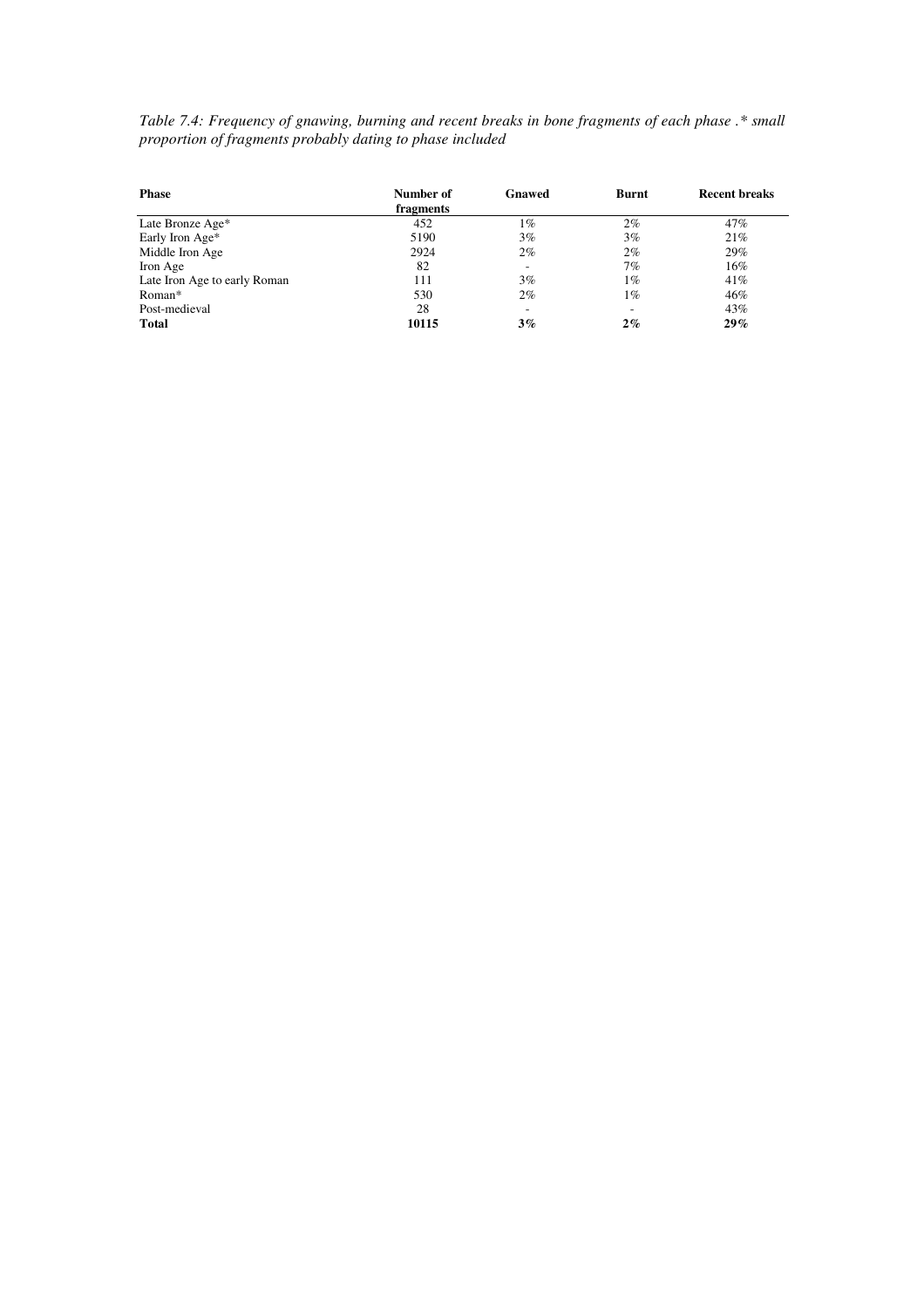*Table 7.4: Frequency of gnawing, burning and recent breaks in bone fragments of each phase .\* small proportion of fragments probably dating to phase included* 

| <b>Phase</b>                 | Number of<br>fragments | Gnawed | Burnt                    | Recent breaks |
|------------------------------|------------------------|--------|--------------------------|---------------|
| Late Bronze Age*             | 452                    | $1\%$  | $2\%$                    | 47%           |
| Early Iron Age*              | 5190                   | 3%     | 3%                       | 21%           |
| Middle Iron Age              | 2924                   | 2%     | $2\%$                    | 29%           |
| Iron Age                     | 82                     | -      | 7%                       | 16%           |
| Late Iron Age to early Roman | 111                    | 3%     | $1\%$                    | 41%           |
| Roman*                       | 530                    | 2%     | $1\%$                    | 46%           |
| Post-medieval                | 28                     | -      | $\overline{\phantom{a}}$ | 43%           |
| <b>Total</b>                 | 10115                  | 3%     | 2%                       | 29%           |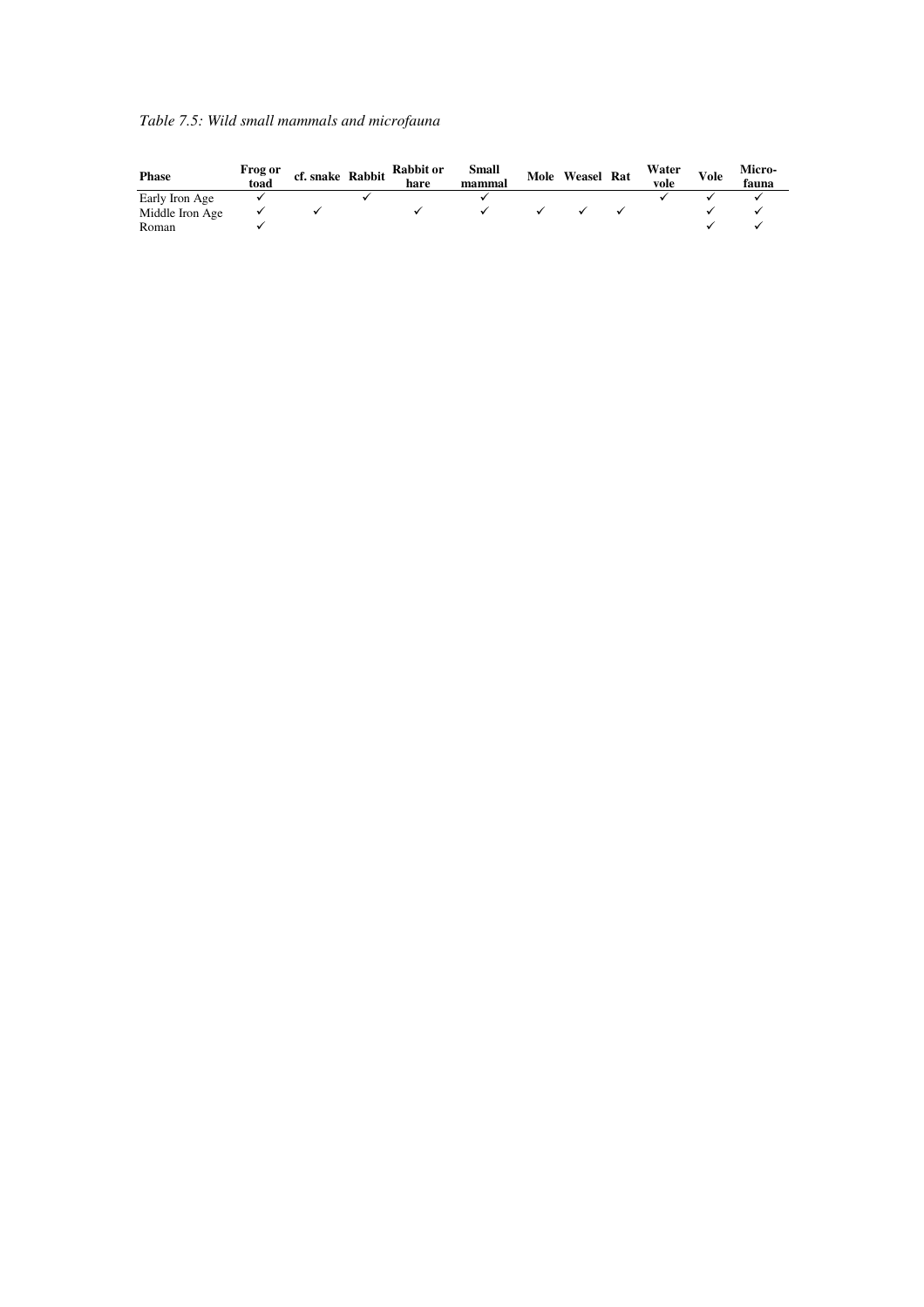|  |  |  |  | Table 7.5: Wild small mammals and microfauna |  |
|--|--|--|--|----------------------------------------------|--|
|  |  |  |  |                                              |  |

| <b>Phase</b>    | Frog or<br>toad | cf. snake Rabbit | <b>Rabbit or</b><br>hare | Small<br>mammal | Mole Weasel Rat | Water<br>vole | <b>Vole</b> | Micro-<br>fauna |
|-----------------|-----------------|------------------|--------------------------|-----------------|-----------------|---------------|-------------|-----------------|
| Early Iron Age  |                 |                  |                          |                 |                 |               |             |                 |
| Middle Iron Age |                 |                  |                          |                 |                 |               |             |                 |
| Roman           |                 |                  |                          |                 |                 |               |             |                 |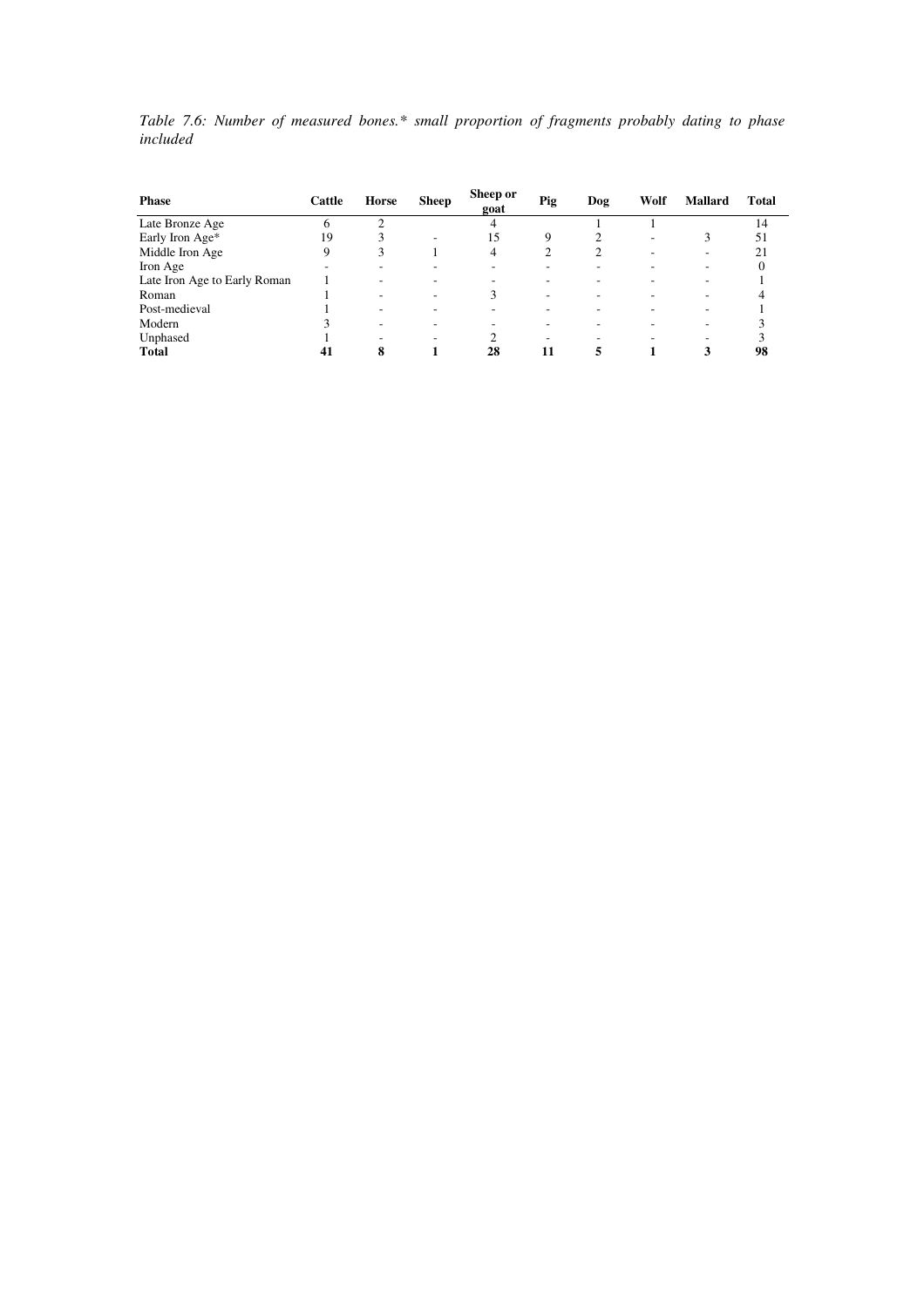*Table 7.6: Number of measured bones.\* small proportion of fragments probably dating to phase included* 

| <b>Phase</b>                 | Cattle | Horse | <b>Sheep</b> | Sheep or<br>goat | Pig | Dog | Wolf | <b>Mallard</b> | <b>Total</b> |
|------------------------------|--------|-------|--------------|------------------|-----|-----|------|----------------|--------------|
| Late Bronze Age              | 6      |       |              |                  |     |     |      |                | 14           |
| Early Iron Age*              | 19     |       | ۰            | 15               | 9   | 2   | ۰    | 3              | 51           |
| Middle Iron Age              | 9      | 3     |              | 4                | 2   | 2   |      | ۰              | 21           |
| Iron Age                     |        |       |              |                  |     |     |      |                | $\Omega$     |
| Late Iron Age to Early Roman |        |       |              |                  |     |     |      |                |              |
| Roman                        |        |       | ۰            | 3                |     | ۰   |      |                |              |
| Post-medieval                |        | ۰     |              |                  |     | ۰   |      |                |              |
| Modern                       |        |       |              |                  |     | -   |      |                |              |
| Unphased                     |        | ۰     | ۰            |                  | ۰   | ۰   |      |                |              |
| <b>Total</b>                 | 41     | 8     |              | 28               | 11  | 5   |      |                | 98           |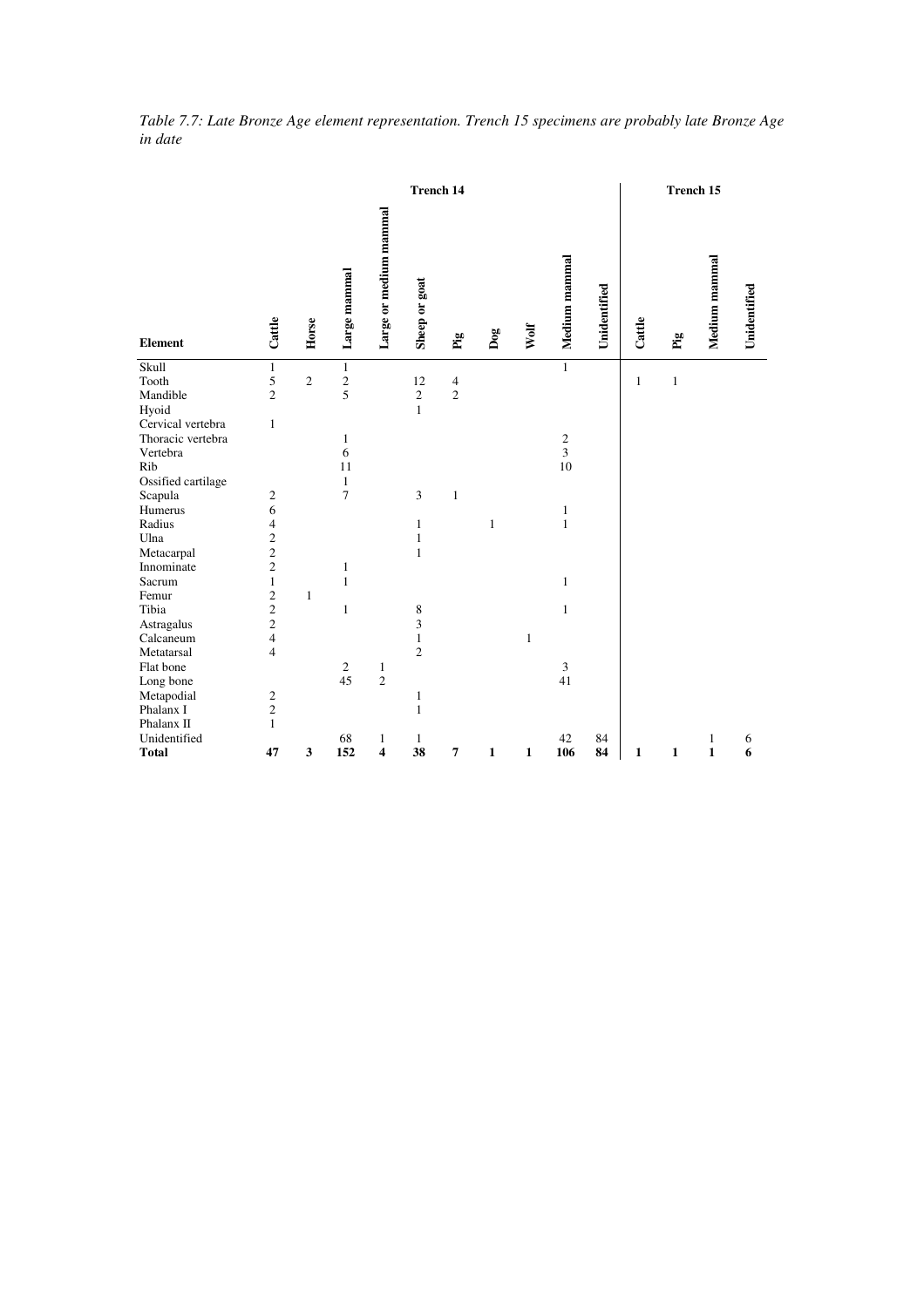|                    |                          |                |                |                         | <b>Trench 14</b> |                                        |              |              |                  |              |              | Trench 15    |               |              |
|--------------------|--------------------------|----------------|----------------|-------------------------|------------------|----------------------------------------|--------------|--------------|------------------|--------------|--------------|--------------|---------------|--------------|
| <b>Element</b>     | Cattle                   | Horse          | Large mammal   | Large or medium mammal  | Sheep or goat    | $\mathbf{p}^{\mathrm{a}}_{\mathrm{g}}$ | Dog          | Wolf         | Medium mammal    | Unidentified | Cattle       | $\mathbf{p}$ | Medium mammal | Unidentified |
| Skull<br>Tooth     | $\mathbf{1}$<br>5        | $\mathfrak{2}$ | $\mathbf{1}$   |                         | 12               | $\overline{4}$                         |              |              | $\mathbf{1}$     |              | $\mathbf{1}$ | $\,1\,$      |               |              |
| Mandible           | $\overline{c}$           |                | $rac{2}{5}$    |                         | $\mathbf{2}$     | $\overline{c}$                         |              |              |                  |              |              |              |               |              |
| Hyoid              |                          |                |                |                         | $\mathbf{1}$     |                                        |              |              |                  |              |              |              |               |              |
| Cervical vertebra  | $\mathbf{1}$             |                |                |                         |                  |                                        |              |              |                  |              |              |              |               |              |
| Thoracic vertebra  |                          |                | $\mathbf{1}$   |                         |                  |                                        |              |              | $\boldsymbol{2}$ |              |              |              |               |              |
| Vertebra           |                          |                | 6              |                         |                  |                                        |              |              | 3                |              |              |              |               |              |
| Rib                |                          |                | 11             |                         |                  |                                        |              |              | 10               |              |              |              |               |              |
| Ossified cartilage |                          |                | $\mathbf{1}$   |                         |                  |                                        |              |              |                  |              |              |              |               |              |
| Scapula            |                          |                | $\overline{7}$ |                         | 3                | $\mathbf{1}$                           |              |              |                  |              |              |              |               |              |
| Humerus            | $\frac{2}{6}$            |                |                |                         |                  |                                        |              |              | $\mathbf{1}$     |              |              |              |               |              |
| Radius             | $\overline{\mathcal{L}}$ |                |                |                         | $\mathbf{1}$     |                                        | $\mathbf{1}$ |              | $\mathbf{1}$     |              |              |              |               |              |
| Ulna               | $\frac{2}{2}$            |                |                |                         | $\mathbf{1}$     |                                        |              |              |                  |              |              |              |               |              |
| Metacarpal         |                          |                |                |                         | $\mathbf{1}$     |                                        |              |              |                  |              |              |              |               |              |
| Innominate         | $\overline{c}$           |                | 1              |                         |                  |                                        |              |              |                  |              |              |              |               |              |
| Sacrum             | $\mathbf{1}$             |                | 1              |                         |                  |                                        |              |              | $\mathbf{1}$     |              |              |              |               |              |
| Femur              | $\overline{c}$           | $\mathbf{1}$   |                |                         |                  |                                        |              |              |                  |              |              |              |               |              |
| Tibia              | $\frac{2}{2}$            |                | $\mathbf{1}$   |                         | 8                |                                        |              |              | $\mathbf{1}$     |              |              |              |               |              |
| Astragalus         |                          |                |                |                         | 3                |                                        |              |              |                  |              |              |              |               |              |
| Calcaneum          | $\overline{4}$           |                |                |                         | $\mathbf{1}$     |                                        |              | $\mathbf{1}$ |                  |              |              |              |               |              |
| Metatarsal         | $\overline{4}$           |                |                |                         | $\overline{c}$   |                                        |              |              |                  |              |              |              |               |              |
| Flat bone          |                          |                | $\sqrt{2}$     | $\mathbf{1}$            |                  |                                        |              |              | 3                |              |              |              |               |              |
| Long bone          |                          |                | 45             | $\overline{c}$          |                  |                                        |              |              | 41               |              |              |              |               |              |
| Metapodial         | $\frac{2}{2}$            |                |                |                         | $\mathbf{1}$     |                                        |              |              |                  |              |              |              |               |              |
| Phalanx I          |                          |                |                |                         | 1                |                                        |              |              |                  |              |              |              |               |              |
| Phalanx II         | $\mathbf{1}$             |                |                |                         |                  |                                        |              |              |                  |              |              |              |               |              |
| Unidentified       |                          |                | 68             | 1                       | $\mathbf{1}$     |                                        |              |              | 42               | 84           |              |              | $\mathbf{1}$  | 6            |
| <b>Total</b>       | 47                       | 3              | 152            | $\overline{\mathbf{4}}$ | 38               | $\overline{7}$                         | $\mathbf{1}$ | $\mathbf 1$  | 106              | 84           | 1            | 1            | $\mathbf{1}$  | 6            |

*Table 7.7: Late Bronze Age element representation. Trench 15 specimens are probably late Bronze Age in date*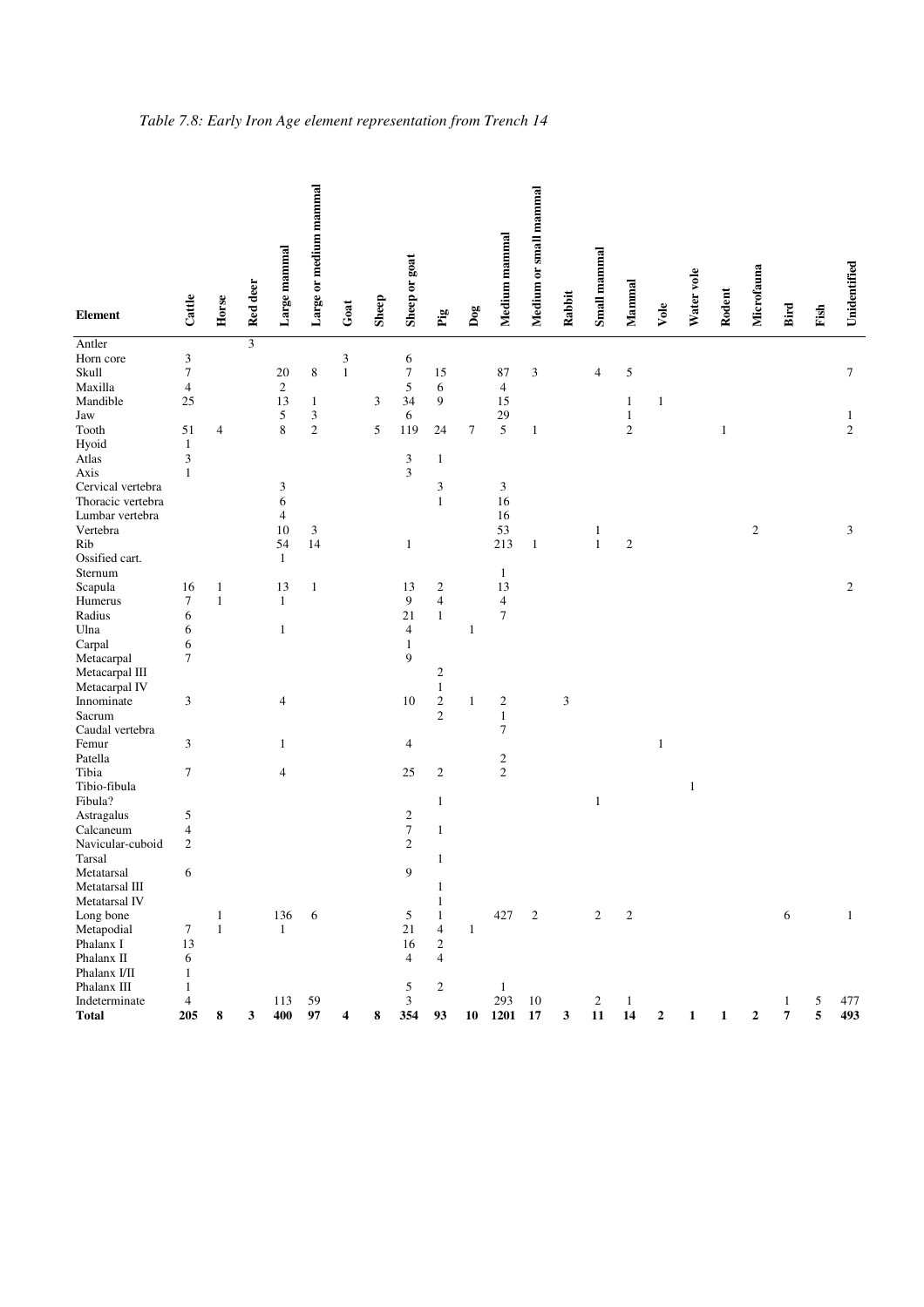| <b>Element</b>    | Cattle           | Horse          | Red deer | Large mammal   | Large or medium mammal      | Goat         | Sheep | Sheep or goat               | $_{\rm Fig}$            | $\mathbf{Dog}$   | Medium mammal  | Medium or small mammal | Rabbit | Small mammal   | Mammal                  | Vole         | Water vole   | Rodent       | Microfauna       | Bird | Fish | Unidentified     |
|-------------------|------------------|----------------|----------|----------------|-----------------------------|--------------|-------|-----------------------------|-------------------------|------------------|----------------|------------------------|--------|----------------|-------------------------|--------------|--------------|--------------|------------------|------|------|------------------|
| Antler            |                  |                | 3        |                |                             |              |       |                             |                         |                  |                |                        |        |                |                         |              |              |              |                  |      |      |                  |
| Horn core         | $\mathfrak{Z}$   |                |          |                |                             | 3            |       | 6                           |                         |                  |                |                        |        |                |                         |              |              |              |                  |      |      |                  |
| Skull             | $\overline{7}$   |                |          | 20             | $\,$ 8 $\,$                 | $\mathbf{1}$ |       | $\boldsymbol{7}$            | 15                      |                  | 87             | $\mathfrak{Z}$         |        | $\overline{4}$ | 5                       |              |              |              |                  |      |      | 7                |
| Maxilla           | $\overline{4}$   |                |          | $\sqrt{2}$     |                             |              |       | 5                           | 6                       |                  | $\overline{4}$ |                        |        |                |                         |              |              |              |                  |      |      |                  |
| Mandible          | 25               |                |          | 13             | $\mathbf{1}$                |              | 3     | 34                          | 9                       |                  | 15             |                        |        |                | $\mathbf{1}$            | $\mathbf{1}$ |              |              |                  |      |      |                  |
| Jaw               |                  |                |          | $\sqrt{5}$     | $\ensuremath{\mathfrak{Z}}$ |              |       | 6                           |                         |                  | 29             |                        |        |                | $\mathbf{1}$            |              |              |              |                  |      |      | $\mathbf{1}$     |
| Tooth             | 51               | $\overline{4}$ |          | 8              | $\sqrt{2}$                  |              | 5     | 119                         | 24                      | $\boldsymbol{7}$ | 5              | 1                      |        |                | $\mathbf{2}$            |              |              | 1            |                  |      |      | $\mathfrak{2}$   |
| Hyoid             | $\mathbf{1}$     |                |          |                |                             |              |       |                             |                         |                  |                |                        |        |                |                         |              |              |              |                  |      |      |                  |
| Atlas             | $\mathfrak{Z}$   |                |          |                |                             |              |       | $\ensuremath{\mathfrak{Z}}$ | $\mathbf{1}$            |                  |                |                        |        |                |                         |              |              |              |                  |      |      |                  |
| Axis              | $\mathbf{1}$     |                |          |                |                             |              |       | 3                           |                         |                  |                |                        |        |                |                         |              |              |              |                  |      |      |                  |
| Cervical vertebra |                  |                |          | 3              |                             |              |       |                             | 3                       |                  | 3              |                        |        |                |                         |              |              |              |                  |      |      |                  |
| Thoracic vertebra |                  |                |          | 6              |                             |              |       |                             | $\mathbf{1}$            |                  | 16             |                        |        |                |                         |              |              |              |                  |      |      |                  |
| Lumbar vertebra   |                  |                |          | $\overline{4}$ |                             |              |       |                             |                         |                  | 16             |                        |        |                |                         |              |              |              |                  |      |      |                  |
| Vertebra          |                  |                |          | 10             | 3                           |              |       |                             |                         |                  | 53             |                        |        | $\mathbf{1}$   |                         |              |              |              | $\overline{c}$   |      |      | 3                |
| Rib               |                  |                |          | 54             | 14                          |              |       | $\mathbf{1}$                |                         |                  | 213            | $\mathbf{1}$           |        | $\mathbf{1}$   | $\mathbf{2}$            |              |              |              |                  |      |      |                  |
| Ossified cart.    |                  |                |          | $\mathbf{1}$   |                             |              |       |                             |                         |                  |                |                        |        |                |                         |              |              |              |                  |      |      |                  |
| Sternum           |                  |                |          |                |                             |              |       |                             |                         |                  | $\mathbf{1}$   |                        |        |                |                         |              |              |              |                  |      |      |                  |
| Scapula           | 16               | $\mathbf{1}$   |          | 13             | $\mathbf{1}$                |              |       | 13                          | $\overline{\mathbf{c}}$ |                  | 13             |                        |        |                |                         |              |              |              |                  |      |      | $\boldsymbol{2}$ |
| Humerus           | $\tau$           | $\mathbf{1}$   |          | $\mathbf{1}$   |                             |              |       | 9                           | $\overline{\mathbf{4}}$ |                  | $\overline{4}$ |                        |        |                |                         |              |              |              |                  |      |      |                  |
| Radius            | 6                |                |          |                |                             |              |       | 21                          | $\mathbf{1}$            |                  | 7              |                        |        |                |                         |              |              |              |                  |      |      |                  |
| Ulna              |                  |                |          | $\mathbf{1}$   |                             |              |       | $\overline{4}$              |                         |                  |                |                        |        |                |                         |              |              |              |                  |      |      |                  |
|                   | 6                |                |          |                |                             |              |       |                             |                         | $\mathbf{1}$     |                |                        |        |                |                         |              |              |              |                  |      |      |                  |
| Carpal            | 6<br>$\tau$      |                |          |                |                             |              |       | $\mathbf{1}$<br>9           |                         |                  |                |                        |        |                |                         |              |              |              |                  |      |      |                  |
| Metacarpal        |                  |                |          |                |                             |              |       |                             |                         |                  |                |                        |        |                |                         |              |              |              |                  |      |      |                  |
| Metacarpal III    |                  |                |          |                |                             |              |       |                             | $\overline{c}$          |                  |                |                        |        |                |                         |              |              |              |                  |      |      |                  |
| Metacarpal IV     |                  |                |          |                |                             |              |       |                             | $\mathbf{1}$            |                  |                |                        |        |                |                         |              |              |              |                  |      |      |                  |
| Innominate        | $\mathfrak{Z}$   |                |          | 4              |                             |              |       | 10                          | $\sqrt{2}$              | $\mathbf{1}$     | $\overline{c}$ |                        | 3      |                |                         |              |              |              |                  |      |      |                  |
| Sacrum            |                  |                |          |                |                             |              |       |                             | $\sqrt{2}$              |                  | $\mathbf{1}$   |                        |        |                |                         |              |              |              |                  |      |      |                  |
| Caudal vertebra   |                  |                |          |                |                             |              |       |                             |                         |                  | 7              |                        |        |                |                         |              |              |              |                  |      |      |                  |
| Femur             | $\mathfrak{Z}$   |                |          | $\mathbf{1}$   |                             |              |       | $\overline{4}$              |                         |                  |                |                        |        |                |                         | $\mathbf{1}$ |              |              |                  |      |      |                  |
| Patella           |                  |                |          |                |                             |              |       |                             |                         |                  | $\sqrt{2}$     |                        |        |                |                         |              |              |              |                  |      |      |                  |
| Tibia             | $\boldsymbol{7}$ |                |          | $\overline{4}$ |                             |              |       | 25                          | $\sqrt{2}$              |                  | $\sqrt{2}$     |                        |        |                |                         |              |              |              |                  |      |      |                  |
| Tibio-fibula      |                  |                |          |                |                             |              |       |                             |                         |                  |                |                        |        |                |                         |              | $\mathbf{1}$ |              |                  |      |      |                  |
| Fibula?           |                  |                |          |                |                             |              |       |                             | $\mathbf{1}$            |                  |                |                        |        | $\mathbf{1}$   |                         |              |              |              |                  |      |      |                  |
| Astragalus        | 5                |                |          |                |                             |              |       | $\boldsymbol{2}$            |                         |                  |                |                        |        |                |                         |              |              |              |                  |      |      |                  |
| Calcaneum         | $\overline{4}$   |                |          |                |                             |              |       | $\boldsymbol{7}$            | $\mathbf{1}$            |                  |                |                        |        |                |                         |              |              |              |                  |      |      |                  |
| Navicular-cuboid  | $\sqrt{2}$       |                |          |                |                             |              |       | $\mathbf{2}$                |                         |                  |                |                        |        |                |                         |              |              |              |                  |      |      |                  |
| Tarsal            |                  |                |          |                |                             |              |       |                             | 1                       |                  |                |                        |        |                |                         |              |              |              |                  |      |      |                  |
| Metatarsal        | 6                |                |          |                |                             |              |       | 9                           |                         |                  |                |                        |        |                |                         |              |              |              |                  |      |      |                  |
| Metatarsal III    |                  |                |          |                |                             |              |       |                             | $\mathbf{1}$            |                  |                |                        |        |                |                         |              |              |              |                  |      |      |                  |
| Metatarsal IV     |                  |                |          |                |                             |              |       |                             | $\,1\,$                 |                  |                |                        |        |                |                         |              |              |              |                  |      |      |                  |
| Long bone         |                  | $\mathbf{1}$   |          | 136            | 6                           |              |       | $\sqrt{5}$                  | $\,1\,$                 |                  | 427            | $\overline{c}$         |        | $\sqrt{2}$     | $\overline{\mathbf{c}}$ |              |              |              |                  | 6    |      | $\mathbf{1}$     |
| Metapodial        | $\boldsymbol{7}$ | $\mathbf{1}$   |          | $\mathbf{1}$   |                             |              |       | 21                          | $\overline{4}$          | $\mathbf{1}$     |                |                        |        |                |                         |              |              |              |                  |      |      |                  |
| Phalanx I         | 13               |                |          |                |                             |              |       | 16                          | $\sqrt{2}$              |                  |                |                        |        |                |                         |              |              |              |                  |      |      |                  |
| Phalanx II        | 6                |                |          |                |                             |              |       | $\overline{4}$              | $\overline{4}$          |                  |                |                        |        |                |                         |              |              |              |                  |      |      |                  |
| Phalanx I/II      | $\mathbf{1}$     |                |          |                |                             |              |       |                             |                         |                  |                |                        |        |                |                         |              |              |              |                  |      |      |                  |
| Phalanx III       | $\mathbf{1}$     |                |          |                |                             |              |       | 5                           | $\sqrt{2}$              |                  | $\mathbf{1}$   |                        |        |                |                         |              |              |              |                  |      |      |                  |
| Indeterminate     | $\overline{4}$   |                |          | 113            | 59                          |              |       | $\mathfrak{Z}$              |                         |                  | 293            | 10                     |        | $\overline{c}$ | $\mathbf{1}$            |              |              |              |                  | 1    | 5    | 477              |
| <b>Total</b>      | 205              | 8              | 3        | 400            | 97                          | 4            | 8     | 354                         | 93                      | 10               | 1201           | 17                     | 3      | ${\bf 11}$     | 14                      | $\mathbf 2$  | $\mathbf 1$  | $\mathbf{1}$ | $\boldsymbol{2}$ | 7    | 5    | 493              |

# *Table 7.8: Early Iron Age element representation from Trench 14*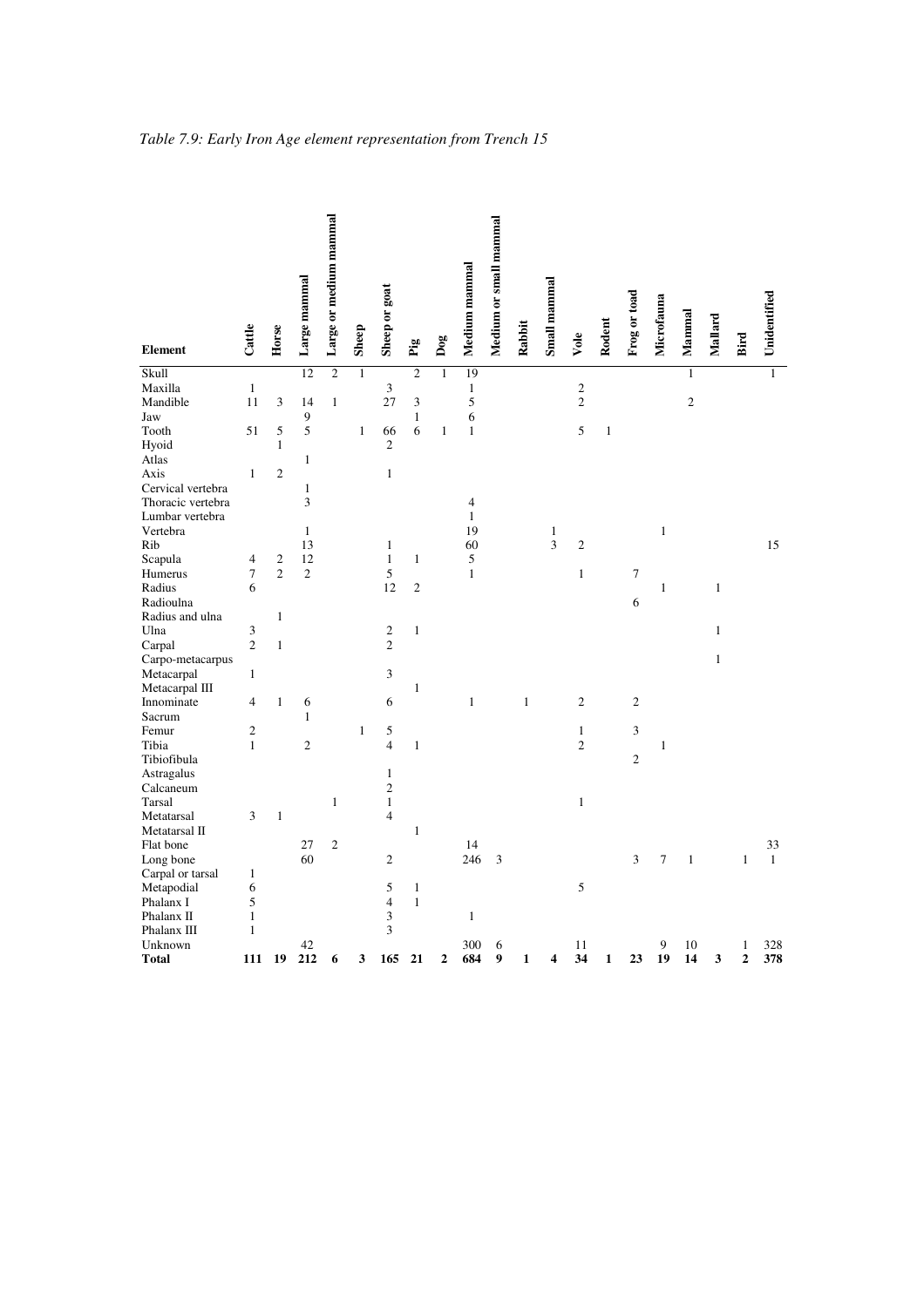| <b>Element</b>             | Cattle           | Horse          | Large mammal   | Large or medium mammal | Sheep        | Sheep or goat                | Pig            | $\mathbf{Dog}$ | Medium mammal  | Medium or small mammal | Rabbit       | Small mammal | Vole           | Rodent       | Frog or toad   | Microfauna     | Mammal         | Mallard      | Bird                    | Unidentified |
|----------------------------|------------------|----------------|----------------|------------------------|--------------|------------------------------|----------------|----------------|----------------|------------------------|--------------|--------------|----------------|--------------|----------------|----------------|----------------|--------------|-------------------------|--------------|
| Skull                      |                  |                | 12             | $\overline{c}$         | $\mathbf{1}$ |                              | $\overline{c}$ | $\mathbf{1}$   | 19             |                        |              |              |                |              |                |                | $\mathbf{1}$   |              |                         | $\mathbf{1}$ |
| Maxilla                    | $\mathbf{1}$     |                |                |                        |              | 3                            |                |                | $\mathbf{1}$   |                        |              |              | $\sqrt{2}$     |              |                |                |                |              |                         |              |
| Mandible                   | 11               | 3              | 14             | $\mathbf{1}$           |              | 27                           | 3              |                | 5              |                        |              |              | $\overline{c}$ |              |                |                | $\overline{c}$ |              |                         |              |
| Jaw                        |                  |                | 9              |                        |              |                              | $\,1$          |                | 6              |                        |              |              |                |              |                |                |                |              |                         |              |
| Tooth                      | 51               | 5              | 5              |                        | $\mathbf{1}$ | 66                           | 6              | $\mathbf{1}$   | $\,1\,$        |                        |              |              | $\mathfrak s$  | $\,1\,$      |                |                |                |              |                         |              |
| Hyoid                      |                  | $\mathbf{1}$   |                |                        |              | $\overline{c}$               |                |                |                |                        |              |              |                |              |                |                |                |              |                         |              |
| Atlas                      |                  |                | $\mathbf{1}$   |                        |              |                              |                |                |                |                        |              |              |                |              |                |                |                |              |                         |              |
| Axis                       | $\mathbf{1}$     | $\mathfrak{2}$ |                |                        |              | $\,1$                        |                |                |                |                        |              |              |                |              |                |                |                |              |                         |              |
| Cervical vertebra          |                  |                | $\mathbf{1}$   |                        |              |                              |                |                |                |                        |              |              |                |              |                |                |                |              |                         |              |
| Thoracic vertebra          |                  |                | 3              |                        |              |                              |                |                | $\overline{4}$ |                        |              |              |                |              |                |                |                |              |                         |              |
| Lumbar vertebra            |                  |                |                |                        |              |                              |                |                | $\mathbf{1}$   |                        |              |              |                |              |                |                |                |              |                         |              |
| Vertebra                   |                  |                | $\mathbf{1}$   |                        |              |                              |                |                | 19             |                        |              | $\mathbf{1}$ |                |              |                | $\mathbf{1}$   |                |              |                         |              |
| Rib                        |                  |                | 13             |                        |              | $\mathbf{1}$                 |                |                | 60             |                        |              | 3            | $\overline{c}$ |              |                |                |                |              |                         | 15           |
| Scapula                    | $\overline{4}$   | $\mathbf{2}$   | 12             |                        |              | $\,1$                        | $\mathbf{1}$   |                | $\sqrt{5}$     |                        |              |              |                |              |                |                |                |              |                         |              |
| Humerus                    | $\boldsymbol{7}$ | $\overline{c}$ | $\overline{c}$ |                        |              | 5                            |                |                | $\,1$          |                        |              |              | $\,1\,$        |              | $\tau$         |                |                |              |                         |              |
| Radius                     | 6                |                |                |                        |              | 12                           | $\sqrt{2}$     |                |                |                        |              |              |                |              |                | $\mathbf{1}$   |                | $\mathbf{1}$ |                         |              |
| Radioulna                  |                  |                |                |                        |              |                              |                |                |                |                        |              |              |                |              | 6              |                |                |              |                         |              |
| Radius and ulna            |                  | $\,1\,$        |                |                        |              |                              |                |                |                |                        |              |              |                |              |                |                |                |              |                         |              |
| Ulna                       | 3                |                |                |                        |              | $\mathfrak{2}$               | $\,1\,$        |                |                |                        |              |              |                |              |                |                |                | $\mathbf{1}$ |                         |              |
| Carpal                     | $\overline{2}$   | $\mathbf{1}$   |                |                        |              | $\overline{c}$               |                |                |                |                        |              |              |                |              |                |                |                |              |                         |              |
| Carpo-metacarpus           |                  |                |                |                        |              |                              |                |                |                |                        |              |              |                |              |                |                |                | $\mathbf{1}$ |                         |              |
| Metacarpal                 | 1                |                |                |                        |              | $\overline{\mathbf{3}}$      |                |                |                |                        |              |              |                |              |                |                |                |              |                         |              |
| Metacarpal III             |                  |                |                |                        |              |                              | $\mathbf{1}$   |                |                |                        |              |              |                |              |                |                |                |              |                         |              |
| Innominate                 | 4                | $\mathbf{1}$   | 6              |                        |              | 6                            |                |                | $\,1$          |                        | $\mathbf{1}$ |              | $\sqrt{2}$     |              | $\sqrt{2}$     |                |                |              |                         |              |
| Sacrum                     |                  |                | $\mathbf{1}$   |                        |              |                              |                |                |                |                        |              |              |                |              |                |                |                |              |                         |              |
| Femur                      | $\overline{c}$   |                |                |                        | $\mathbf{1}$ | 5                            |                |                |                |                        |              |              | $\mathbf{1}$   |              | 3              |                |                |              |                         |              |
| Tibia                      | $\mathbf{1}$     |                | $\overline{2}$ |                        |              | $\overline{4}$               | $\mathbf{1}$   |                |                |                        |              |              | $\overline{c}$ |              |                | $\mathbf{1}$   |                |              |                         |              |
| Tibiofibula                |                  |                |                |                        |              |                              |                |                |                |                        |              |              |                |              | $\overline{2}$ |                |                |              |                         |              |
| Astragalus                 |                  |                |                |                        |              | $\mathbf{1}$                 |                |                |                |                        |              |              |                |              |                |                |                |              |                         |              |
| Calcaneum                  |                  |                |                |                        |              | $\overline{c}$               |                |                |                |                        |              |              |                |              |                |                |                |              |                         |              |
| Tarsal                     |                  |                |                | $\mathbf{1}$           |              | $\mathbf{1}$                 |                |                |                |                        |              |              | $\mathbf{1}$   |              |                |                |                |              |                         |              |
| Metatarsal                 | 3                | $\mathbf{1}$   |                |                        |              | $\overline{4}$               |                |                |                |                        |              |              |                |              |                |                |                |              |                         |              |
| Metatarsal II<br>Flat bone |                  |                | 27             | $\sqrt{2}$             |              |                              | $\mathbf{1}$   |                | 14             |                        |              |              |                |              |                |                |                |              |                         | 33           |
| Long bone                  |                  |                | 60             |                        |              | $\overline{c}$               |                |                | 246            | 3                      |              |              |                |              | 3              | $\overline{7}$ | $\mathbf{1}$   |              | $\mathbf{1}$            | $\,1\,$      |
|                            | 1                |                |                |                        |              |                              |                |                |                |                        |              |              |                |              |                |                |                |              |                         |              |
| Carpal or tarsal           | 6                |                |                |                        |              |                              | $\,1$          |                |                |                        |              |              | $\mathfrak s$  |              |                |                |                |              |                         |              |
| Metapodial<br>Phalanx I    | 5                |                |                |                        |              | 5<br>$\overline{\mathbf{4}}$ | $\mathbf{1}$   |                |                |                        |              |              |                |              |                |                |                |              |                         |              |
| Phalanx II                 | $\mathbf{1}$     |                |                |                        |              | 3                            |                |                | $\,1$          |                        |              |              |                |              |                |                |                |              |                         |              |
| Phalanx III                | $\mathbf{1}$     |                |                |                        |              | 3                            |                |                |                |                        |              |              |                |              |                |                |                |              |                         |              |
| Unknown                    |                  |                | 42             |                        |              |                              |                |                | 300            | 6                      |              |              | 11             |              |                | 9              | 10             |              | $\mathbf{1}$            | 328          |
| <b>Total</b>               | 111              | 19             | 212            | 6                      | 3            | 165                          | 21             | $\mathbf{2}$   | 684            | 9                      | 1            | 4            | 34             | $\mathbf{1}$ | 23             | 19             | 14             | 3            | $\overline{\mathbf{c}}$ | 378          |
|                            |                  |                |                |                        |              |                              |                |                |                |                        |              |              |                |              |                |                |                |              |                         |              |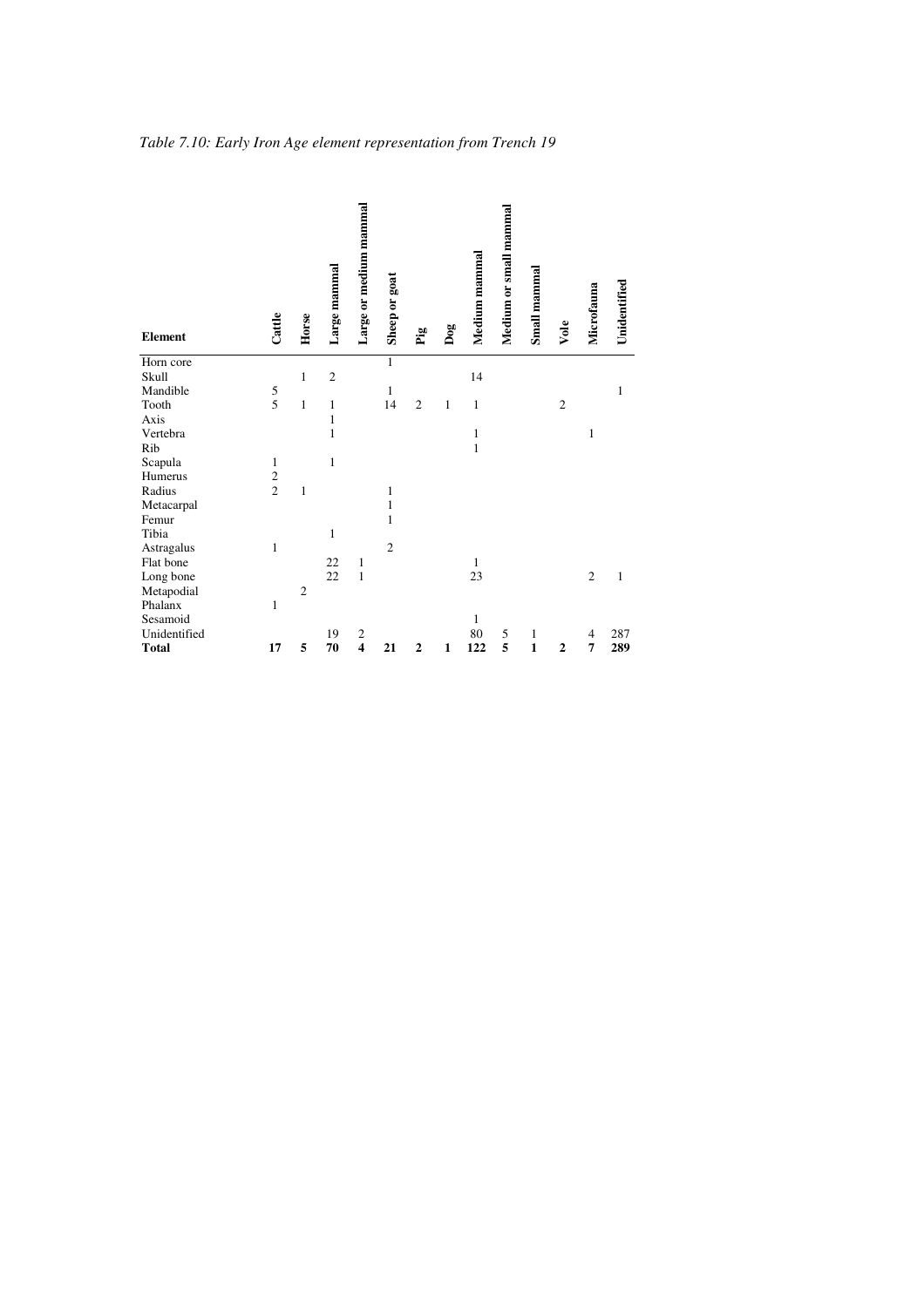|                   |                |                |                              | Large or medium mammal  |                |                |     |               | Medium or small mammal |              |                |                |              |
|-------------------|----------------|----------------|------------------------------|-------------------------|----------------|----------------|-----|---------------|------------------------|--------------|----------------|----------------|--------------|
|                   |                |                |                              |                         |                |                |     |               |                        |              |                |                |              |
|                   |                |                |                              |                         |                |                |     |               |                        |              |                |                |              |
|                   |                |                |                              |                         |                |                |     |               |                        |              |                |                |              |
|                   |                |                |                              |                         |                |                |     |               |                        |              |                |                |              |
| <b>Element</b>    | Cattle         | Horse          | Large mammal                 |                         | Sheep or goat  | Pig            | Dog | Medium mammal |                        | Small mammal | Vole           | Microfauna     | Unidentified |
|                   |                |                |                              |                         |                |                |     |               |                        |              |                |                |              |
| Horn core         |                |                |                              |                         | $\mathbf{1}$   |                |     |               |                        |              |                |                |              |
| Skull<br>Mandible |                | $\mathbf{1}$   | $\overline{c}$               |                         |                |                |     | 14            |                        |              |                |                |              |
| Tooth             | $\frac{5}{5}$  | $\mathbf{1}$   |                              |                         | 1              | $\overline{2}$ |     |               |                        |              | $\overline{2}$ |                | $\mathbf{1}$ |
| Axis              |                |                | $\mathbf{1}$<br>$\mathbf{1}$ |                         | 14             |                | 1   | $\mathbf{1}$  |                        |              |                |                |              |
| Vertebra          |                |                | $\mathbf{1}$                 |                         |                |                |     | $\mathbf{1}$  |                        |              |                | $\mathbf{1}$   |              |
| Rib               |                |                |                              |                         |                |                |     | $\mathbf{1}$  |                        |              |                |                |              |
| Scapula           | 1              |                | $\mathbf{1}$                 |                         |                |                |     |               |                        |              |                |                |              |
| Humerus           | $\overline{c}$ |                |                              |                         |                |                |     |               |                        |              |                |                |              |
| Radius            | $\overline{c}$ | 1              |                              |                         | 1              |                |     |               |                        |              |                |                |              |
| Metacarpal        |                |                |                              |                         | $\mathbf{1}$   |                |     |               |                        |              |                |                |              |
| Femur             |                |                |                              |                         | 1              |                |     |               |                        |              |                |                |              |
| Tibia             |                |                | $\mathbf{1}$                 |                         |                |                |     |               |                        |              |                |                |              |
| Astragalus        | 1              |                |                              |                         | $\overline{2}$ |                |     |               |                        |              |                |                |              |
| Flat bone         |                |                | 22                           | $\mathbf{1}$            |                |                |     | 1             |                        |              |                |                |              |
| Long bone         |                |                | 22                           | $\mathbf{1}$            |                |                |     | 23            |                        |              |                | $\overline{2}$ | $\mathbf{1}$ |
| Metapodial        |                | $\overline{c}$ |                              |                         |                |                |     |               |                        |              |                |                |              |
| Phalanx           | 1              |                |                              |                         |                |                |     |               |                        |              |                |                |              |
| Sesamoid          |                |                |                              |                         |                |                |     | $\mathbf{1}$  |                        |              |                |                |              |
| Unidentified      |                |                | 19                           | $\mathfrak{2}$          |                |                |     | $80\,$        | 5                      | $\mathbf{1}$ |                | 4              | 287          |
| <b>Total</b>      | 17             | 5              | 70                           | $\overline{\mathbf{4}}$ | 21             | $\overline{2}$ | 1   | 122           | 5                      | $\mathbf{1}$ | $\overline{2}$ | 7              | 289          |

*Table 7.10: Early Iron Age element representation from Trench 19*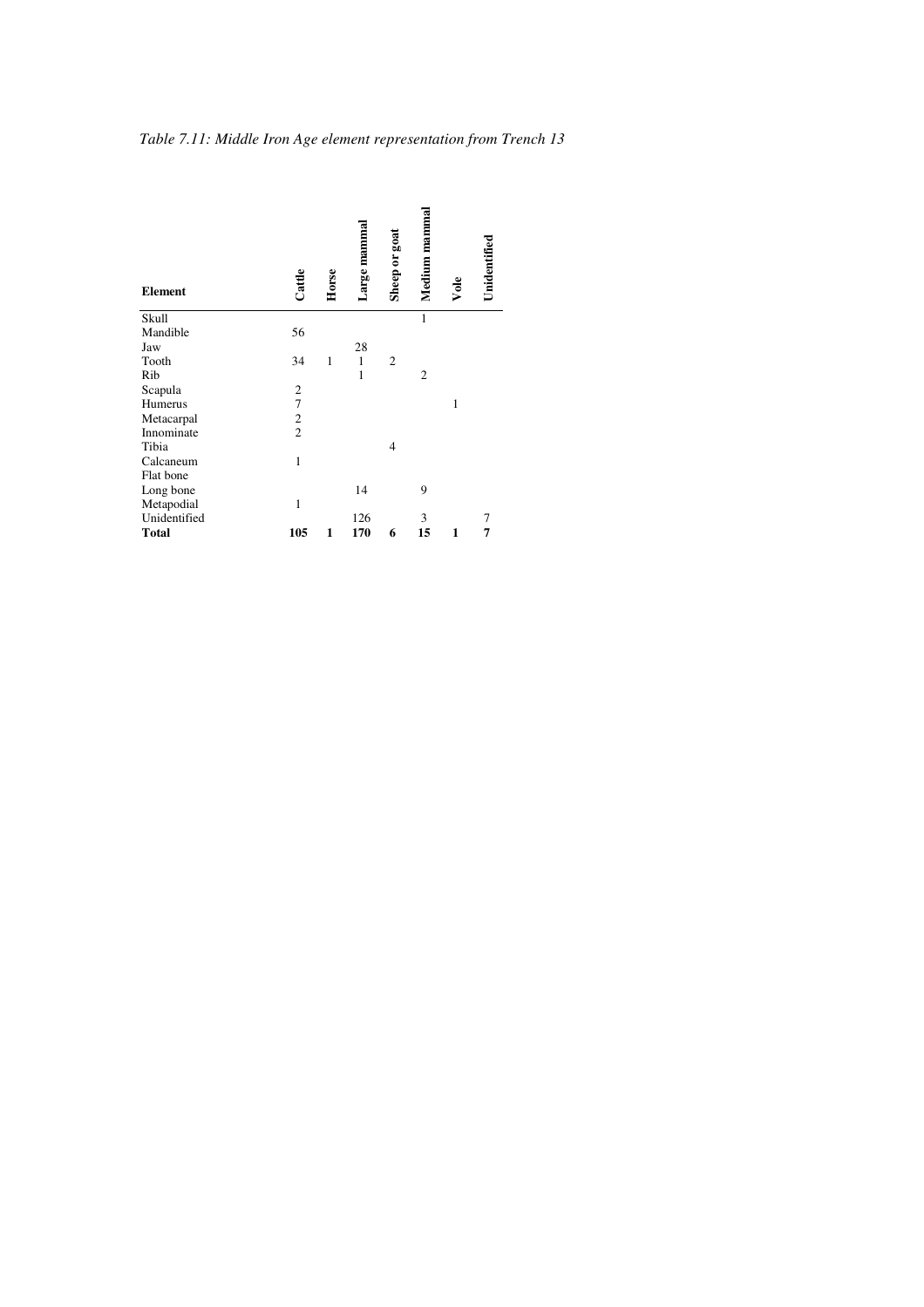| <b>Element</b> | Cattle         | Horse | Large mamma  | Sheep or goat  | Medium mammal | Vole         | Unidentified |
|----------------|----------------|-------|--------------|----------------|---------------|--------------|--------------|
| Skull          |                |       |              |                | 1             |              |              |
| Mandible       | 56             |       |              |                |               |              |              |
| Jaw            |                |       | 28           |                |               |              |              |
| Tooth          | 34             | 1     | $\mathbf{1}$ | $\overline{c}$ |               |              |              |
| Rib            |                |       | $\mathbf{1}$ |                | 2             |              |              |
| Scapula        | $\overline{c}$ |       |              |                |               |              |              |
| Humerus        | $\overline{7}$ |       |              |                |               | $\mathbf{1}$ |              |
| Metacarpal     | $\overline{c}$ |       |              |                |               |              |              |
| Innominate     | $\overline{c}$ |       |              |                |               |              |              |
| Tibia          |                |       |              | 4              |               |              |              |
| Calcaneum      | $\mathbf{1}$   |       |              |                |               |              |              |
| Flat bone      |                |       |              |                |               |              |              |
| Long bone      |                |       | 14           |                | 9             |              |              |
| Metapodial     | 1              |       |              |                |               |              |              |
| Unidentified   |                |       | 126          |                | 3             |              | 7            |
| Total          | 105            | 1     | 170          | 6              | 15            | 1            | 7            |

*Table 7.11: Middle Iron Age element representation from Trench 13*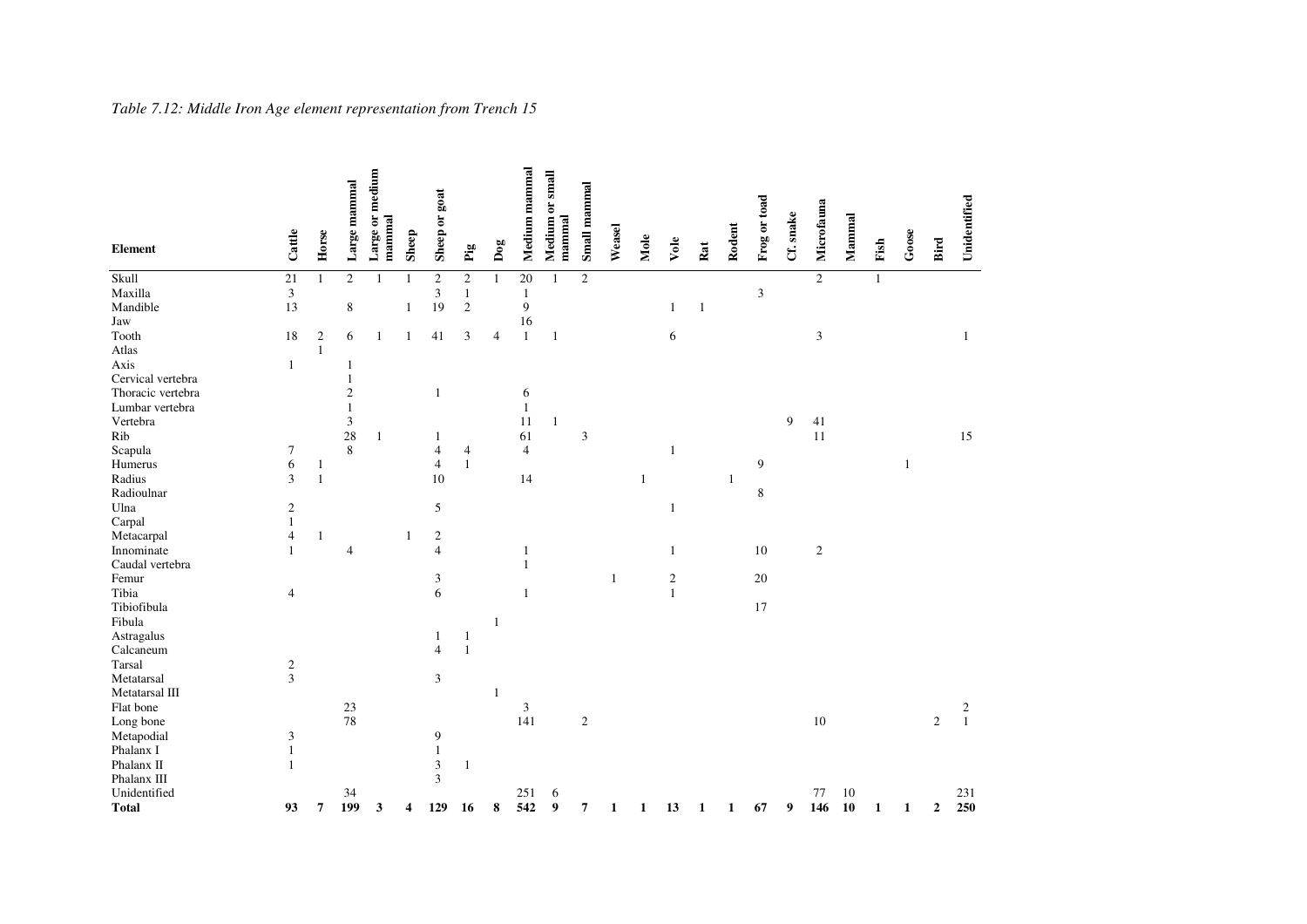| <b>Element</b>    | Cattle                      | Horse        | Large mammal                | Large or medium<br>mammal | Sheep | Sheep or goat  | $\mathbf{p}^{\mathrm{a}}_{\mathrm{g}}$ | $_{\text{Dog}}$ | Medium mammal   | Medium or small<br>mammal | Small mammal | Weasel       | Mole         | Vole         | Rat          | Rodent       | Frog or toad | Cf. snake | Microfauna                  | Mammal | Fish         | Goose | Bird             | Unidentified                               |
|-------------------|-----------------------------|--------------|-----------------------------|---------------------------|-------|----------------|----------------------------------------|-----------------|-----------------|---------------------------|--------------|--------------|--------------|--------------|--------------|--------------|--------------|-----------|-----------------------------|--------|--------------|-------|------------------|--------------------------------------------|
| Skull             | 21                          | $\mathbf{1}$ | $\mathfrak{2}$              | 1                         | 1     | $\sqrt{2}$     | $\sqrt{2}$                             | $\mathbf{1}$    | $\overline{20}$ | $\mathbf{1}$              | $\sqrt{2}$   |              |              |              |              |              |              |           | $\overline{c}$              |        | $\mathbf{1}$ |       |                  |                                            |
| Maxilla           | $\ensuremath{\mathfrak{Z}}$ |              |                             |                           |       | 3              | $\mathbf{1}$                           |                 | $\mathbf{1}$    |                           |              |              |              |              |              |              | 3            |           |                             |        |              |       |                  |                                            |
| Mandible          | 13                          |              | $\,$ 8 $\,$                 |                           | 1     | 19             | $\sqrt{2}$                             |                 | $\overline{9}$  |                           |              |              |              | 1            | $\mathbf{1}$ |              |              |           |                             |        |              |       |                  |                                            |
| Jaw               |                             |              |                             |                           |       |                |                                        |                 | 16              |                           |              |              |              |              |              |              |              |           |                             |        |              |       |                  |                                            |
| Tooth             | 18                          | $\sqrt{2}$   | 6                           | 1                         | 1     | 41             | $\mathfrak{Z}$                         | $\overline{4}$  | $\mathbf{1}$    | $\mathbf{1}$              |              |              |              | 6            |              |              |              |           | $\ensuremath{\mathfrak{Z}}$ |        |              |       |                  | $\mathbf{1}$                               |
| Atlas             |                             | $\mathbf{1}$ |                             |                           |       |                |                                        |                 |                 |                           |              |              |              |              |              |              |              |           |                             |        |              |       |                  |                                            |
| Axis              | $\mathbf{1}$                |              | 1                           |                           |       |                |                                        |                 |                 |                           |              |              |              |              |              |              |              |           |                             |        |              |       |                  |                                            |
| Cervical vertebra |                             |              | $\,1\,$                     |                           |       |                |                                        |                 |                 |                           |              |              |              |              |              |              |              |           |                             |        |              |       |                  |                                            |
| Thoracic vertebra |                             |              | $\sqrt{2}$                  |                           |       | $\mathbf{1}$   |                                        |                 | 6               |                           |              |              |              |              |              |              |              |           |                             |        |              |       |                  |                                            |
| Lumbar vertebra   |                             |              | $\mathbf{1}$                |                           |       |                |                                        |                 | $\mathbf{1}$    |                           |              |              |              |              |              |              |              |           |                             |        |              |       |                  |                                            |
| Vertebra          |                             |              | $\ensuremath{\mathfrak{Z}}$ |                           |       |                |                                        |                 | 11              | $\mathbf{1}$              |              |              |              |              |              |              |              | 9         | 41                          |        |              |       |                  |                                            |
| Rib               |                             |              | 28                          | $\mathbf{1}$              |       | 1              |                                        |                 | 61              |                           | 3            |              |              |              |              |              |              |           | 11                          |        |              |       |                  | 15                                         |
| Scapula           | 7                           |              | $\,8\,$                     |                           |       | $\overline{4}$ | $\overline{4}$                         |                 | $\overline{4}$  |                           |              |              |              |              |              |              |              |           |                             |        |              |       |                  |                                            |
| Humerus           | 6                           | 1            |                             |                           |       | $\overline{4}$ | $\mathbf{1}$                           |                 |                 |                           |              |              |              |              |              |              | 9            |           |                             |        |              | 1     |                  |                                            |
| Radius            | 3                           | $\mathbf{1}$ |                             |                           |       | 10             |                                        |                 | 14              |                           |              |              | $\mathbf{1}$ |              |              | $\mathbf{1}$ |              |           |                             |        |              |       |                  |                                            |
| Radioulnar        |                             |              |                             |                           |       |                |                                        |                 |                 |                           |              |              |              |              |              |              | $\,$ 8 $\,$  |           |                             |        |              |       |                  |                                            |
| Ulna              | $\boldsymbol{2}$            |              |                             |                           |       | 5              |                                        |                 |                 |                           |              |              |              | 1            |              |              |              |           |                             |        |              |       |                  |                                            |
| Carpal            | $\mathbf{1}$                |              |                             |                           |       |                |                                        |                 |                 |                           |              |              |              |              |              |              |              |           |                             |        |              |       |                  |                                            |
| Metacarpal        | 4                           | $\mathbf{1}$ |                             |                           | 1     | $\sqrt{2}$     |                                        |                 |                 |                           |              |              |              |              |              |              |              |           |                             |        |              |       |                  |                                            |
| Innominate        | $\mathbf{1}$                |              | $\overline{4}$              |                           |       | $\overline{4}$ |                                        |                 | $\mathbf{1}$    |                           |              |              |              | 1            |              |              | $10\,$       |           | $\sqrt{2}$                  |        |              |       |                  |                                            |
| Caudal vertebra   |                             |              |                             |                           |       |                |                                        |                 | $\mathbf{1}$    |                           |              |              |              |              |              |              |              |           |                             |        |              |       |                  |                                            |
| Femur             |                             |              |                             |                           |       | 3              |                                        |                 |                 |                           |              | $\mathbf{1}$ |              | $\sqrt{2}$   |              |              | $20\,$       |           |                             |        |              |       |                  |                                            |
| Tibia             | 4                           |              |                             |                           |       | 6              |                                        |                 | $\mathbf{1}$    |                           |              |              |              | $\mathbf{1}$ |              |              |              |           |                             |        |              |       |                  |                                            |
| Tibiofibula       |                             |              |                             |                           |       |                |                                        |                 |                 |                           |              |              |              |              |              |              | 17           |           |                             |        |              |       |                  |                                            |
| Fibula            |                             |              |                             |                           |       |                |                                        | $\mathbf{1}$    |                 |                           |              |              |              |              |              |              |              |           |                             |        |              |       |                  |                                            |
| Astragalus        |                             |              |                             |                           |       | 1              | $\mathbf{1}$                           |                 |                 |                           |              |              |              |              |              |              |              |           |                             |        |              |       |                  |                                            |
| Calcaneum         |                             |              |                             |                           |       | $\overline{4}$ | $\,1\,$                                |                 |                 |                           |              |              |              |              |              |              |              |           |                             |        |              |       |                  |                                            |
| Tarsal            | $\frac{2}{3}$               |              |                             |                           |       |                |                                        |                 |                 |                           |              |              |              |              |              |              |              |           |                             |        |              |       |                  |                                            |
| Metatarsal        |                             |              |                             |                           |       | $\mathfrak{Z}$ |                                        |                 |                 |                           |              |              |              |              |              |              |              |           |                             |        |              |       |                  |                                            |
| Metatarsal III    |                             |              |                             |                           |       |                |                                        | $\mathbf{1}$    |                 |                           |              |              |              |              |              |              |              |           |                             |        |              |       |                  |                                            |
| Flat bone         |                             |              | 23                          |                           |       |                |                                        |                 | $\mathfrak{Z}$  |                           |              |              |              |              |              |              |              |           |                             |        |              |       |                  | $\begin{smallmatrix}2\\1\end{smallmatrix}$ |
| Long bone         |                             |              | 78                          |                           |       |                |                                        |                 | 141             |                           | $\sqrt{2}$   |              |              |              |              |              |              |           | 10                          |        |              |       | $\sqrt{2}$       |                                            |
| Metapodial        | 3                           |              |                             |                           |       | 9              |                                        |                 |                 |                           |              |              |              |              |              |              |              |           |                             |        |              |       |                  |                                            |
| Phalanx I         | $\mathbf{1}$                |              |                             |                           |       | $\mathbf{1}$   |                                        |                 |                 |                           |              |              |              |              |              |              |              |           |                             |        |              |       |                  |                                            |
| Phalanx II        | $\mathbf{1}$                |              |                             |                           |       | 3              | $\mathbf{1}$                           |                 |                 |                           |              |              |              |              |              |              |              |           |                             |        |              |       |                  |                                            |
| Phalanx III       |                             |              |                             |                           |       | 3              |                                        |                 |                 |                           |              |              |              |              |              |              |              |           |                             |        |              |       |                  |                                            |
| Unidentified      |                             |              | 34                          |                           |       |                |                                        |                 | 251             | 6                         |              |              |              |              |              |              |              |           | 77                          | 10     |              |       |                  | 231                                        |
| <b>Total</b>      | 93                          | 7            | 199                         | 3                         | 4     | 129            | 16                                     | $\bf 8$         | 542             | 9                         | 7            | 1            | 1            | 13           | 1            | $\mathbf{1}$ | 67           | 9         | 146                         | 10     | 1            | 1     | $\boldsymbol{2}$ | 250                                        |

#### *Table 7.12: Middle Iron Age element representation from Trench 15*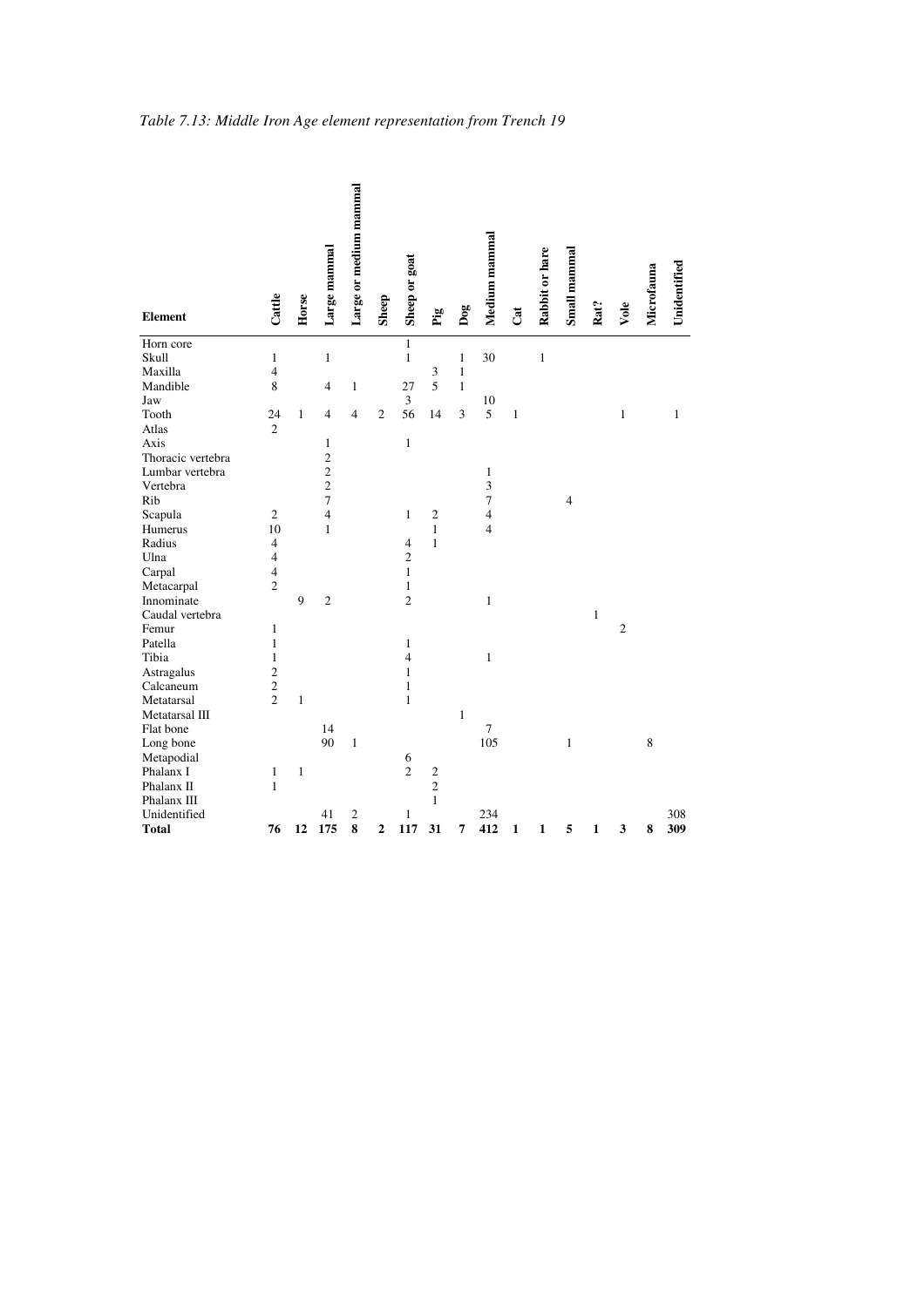| <b>Element</b>    | Cattle                   | Horse        | Large mammal   | Large or medium mammal | Sheep          | Sheep or goat  | Pig            | Dog          | Medium mammal           | Cat     | Rabbit or hare | Small mammal   | Rat?         | Vole           | Microfauna | Unidentified |
|-------------------|--------------------------|--------------|----------------|------------------------|----------------|----------------|----------------|--------------|-------------------------|---------|----------------|----------------|--------------|----------------|------------|--------------|
| Horn core         |                          |              |                |                        |                | $\mathbf{1}$   |                |              |                         |         |                |                |              |                |            |              |
| Skull             | $\mathbf{1}$             |              | $\mathbf{1}$   |                        |                | $\mathbf{1}$   |                | 1            | 30                      |         | $\,1\,$        |                |              |                |            |              |
| Maxilla           | $\overline{4}$           |              |                |                        |                |                | 3              | $\mathbf{1}$ |                         |         |                |                |              |                |            |              |
| Mandible          | 8                        |              | 4              | 1                      |                | 27             | 5              | $\mathbf{1}$ |                         |         |                |                |              |                |            |              |
| Jaw               |                          |              |                |                        |                | 3              |                |              | 10                      |         |                |                |              |                |            |              |
| Tooth             | 24                       | $\mathbf{1}$ | $\overline{4}$ | 4                      | $\overline{c}$ | 56             | 14             | 3            | 5                       | $\,1\,$ |                |                |              | $\mathbf{1}$   |            | $\mathbf{1}$ |
| Atlas             | $\overline{2}$           |              |                |                        |                |                |                |              |                         |         |                |                |              |                |            |              |
| Axis              |                          |              | 1              |                        |                | $\,1$          |                |              |                         |         |                |                |              |                |            |              |
| Thoracic vertebra |                          |              | $\overline{c}$ |                        |                |                |                |              |                         |         |                |                |              |                |            |              |
| Lumbar vertebra   |                          |              | $\overline{c}$ |                        |                |                |                |              | $\mathbf{1}$            |         |                |                |              |                |            |              |
| Vertebra          |                          |              | $\overline{c}$ |                        |                |                |                |              | $\overline{\mathbf{3}}$ |         |                |                |              |                |            |              |
| Rib               |                          |              | $\overline{7}$ |                        |                |                |                |              | $\tau$                  |         |                | $\overline{4}$ |              |                |            |              |
| Scapula           | $\overline{c}$           |              | $\overline{4}$ |                        |                | $\mathbf{1}$   | $\overline{c}$ |              | $\overline{4}$          |         |                |                |              |                |            |              |
| Humerus           | 10                       |              | $\mathbf{1}$   |                        |                |                | $\mathbf{1}$   |              | $\overline{4}$          |         |                |                |              |                |            |              |
| Radius            | $\overline{4}$           |              |                |                        |                | $\overline{4}$ | $\mathbf{1}$   |              |                         |         |                |                |              |                |            |              |
| Ulna              | $\overline{4}$           |              |                |                        |                | $\overline{c}$ |                |              |                         |         |                |                |              |                |            |              |
| Carpal            | $\overline{\mathcal{L}}$ |              |                |                        |                | $\mathbf{1}$   |                |              |                         |         |                |                |              |                |            |              |
| Metacarpal        | $\sqrt{2}$               |              |                |                        |                | $\mathbf{1}$   |                |              |                         |         |                |                |              |                |            |              |
| Innominate        |                          | 9            | $\overline{c}$ |                        |                | $\overline{c}$ |                |              | $\mathbf{1}$            |         |                |                |              |                |            |              |
| Caudal vertebra   |                          |              |                |                        |                |                |                |              |                         |         |                |                | $\mathbf{1}$ |                |            |              |
| Femur             | $\mathbf{1}$             |              |                |                        |                |                |                |              |                         |         |                |                |              | $\overline{c}$ |            |              |
| Patella           | $\mathbf{1}$             |              |                |                        |                | $\mathbf{1}$   |                |              |                         |         |                |                |              |                |            |              |
| Tibia             | $\mathbf{1}$             |              |                |                        |                | $\overline{4}$ |                |              | $\mathbf{1}$            |         |                |                |              |                |            |              |
| Astragalus        | $\overline{c}$           |              |                |                        |                | $\mathbf{1}$   |                |              |                         |         |                |                |              |                |            |              |
| Calcaneum         | $\overline{c}$           |              |                |                        |                | $\mathbf{1}$   |                |              |                         |         |                |                |              |                |            |              |
| Metatarsal        | $\overline{c}$           | $\mathbf{1}$ |                |                        |                | $\mathbf{1}$   |                |              |                         |         |                |                |              |                |            |              |
| Metatarsal III    |                          |              |                |                        |                |                |                | $\mathbf{1}$ |                         |         |                |                |              |                |            |              |
| Flat bone         |                          |              | 14             |                        |                |                |                |              | $\tau$                  |         |                |                |              |                |            |              |
| Long bone         |                          |              | 90             | $\mathbf{1}$           |                |                |                |              | 105                     |         |                | $\mathbf{1}$   |              |                | 8          |              |
| Metapodial        |                          |              |                |                        |                | 6              |                |              |                         |         |                |                |              |                |            |              |
| Phalanx I         | $\mathbf{1}$             | $\mathbf{1}$ |                |                        |                | $\overline{c}$ | $\frac{2}{2}$  |              |                         |         |                |                |              |                |            |              |
| Phalanx II        | $\mathbf{1}$             |              |                |                        |                |                |                |              |                         |         |                |                |              |                |            |              |
| Phalanx III       |                          |              |                |                        |                |                | $\mathbf{1}$   |              |                         |         |                |                |              |                |            |              |
| Unidentified      |                          |              | 41             | $\mathbf{2}$           |                | $\mathbf{1}$   |                |              | 234                     |         |                |                |              |                |            | 308          |
| <b>Total</b>      | 76                       | 12           | 175            | 8                      | $\overline{c}$ | 117            | 31             | 7            | 412                     | 1       | $\mathbf{1}$   | 5              | $\mathbf{1}$ | 3              | 8          | 309          |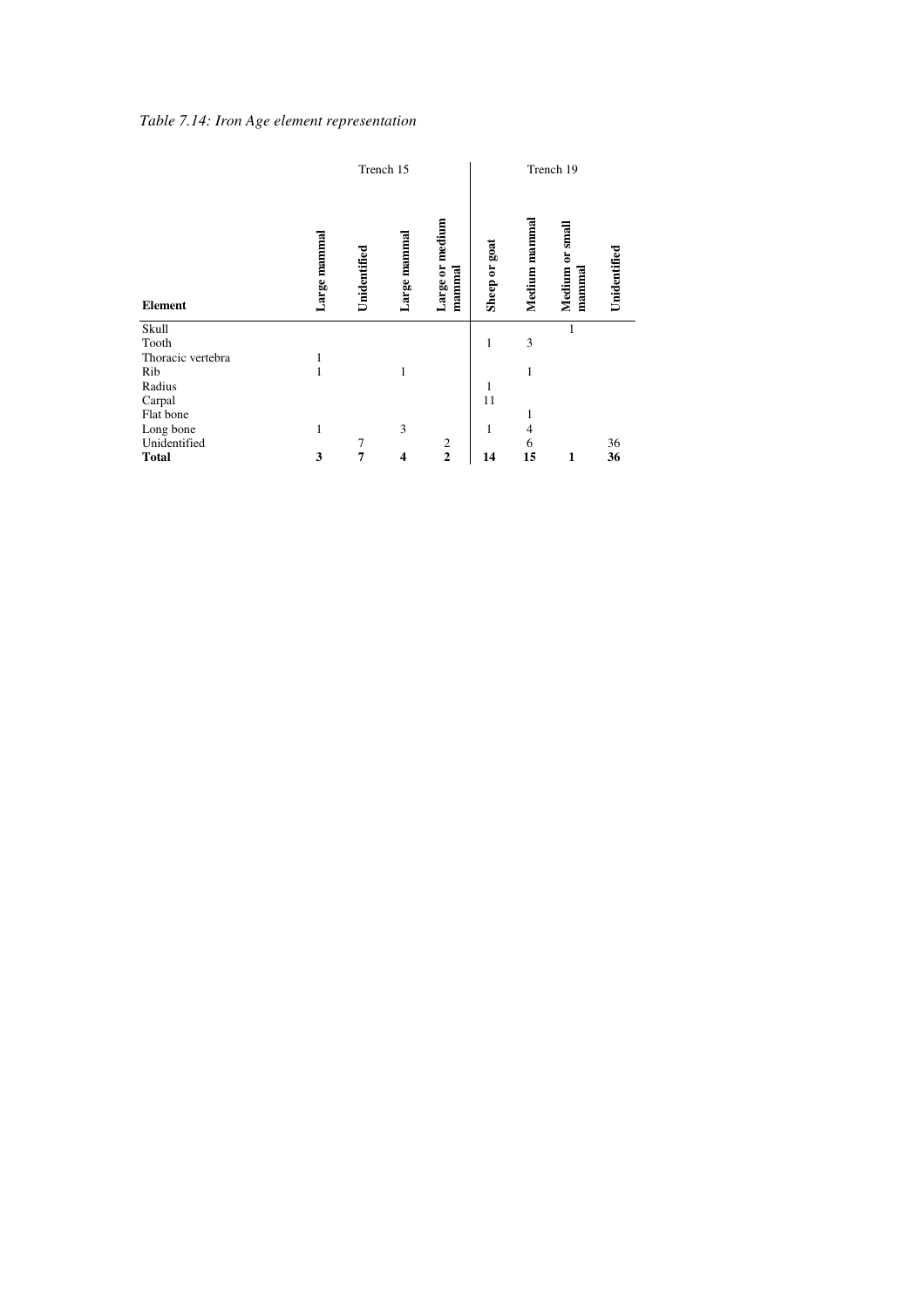|  |  |  | Table 7.14: Iron Age element representation |
|--|--|--|---------------------------------------------|
|--|--|--|---------------------------------------------|

|                   |              |              | Trench 15         |                           |               |               | Trench 19                      |              |
|-------------------|--------------|--------------|-------------------|---------------------------|---------------|---------------|--------------------------------|--------------|
| <b>Element</b>    | Large mammal | Unidentified | mammal<br>Large 1 | Large or medium<br>mammal | Sheep or goat | Medium mammal | small<br>ă<br>Medium<br>mammal | Unidentified |
| Skull             |              |              |                   |                           |               |               | 1                              |              |
| Tooth             |              |              |                   |                           | 1             | 3             |                                |              |
| Thoracic vertebra | 1            |              |                   |                           |               |               |                                |              |
| Rib               | $\mathbf{1}$ |              | 1                 |                           |               | 1             |                                |              |
| Radius            |              |              |                   |                           | 1             |               |                                |              |
| Carpal            |              |              |                   |                           | 11            |               |                                |              |
| Flat bone         |              |              |                   |                           |               | 1             |                                |              |
|                   |              |              |                   |                           |               |               |                                |              |
| Long bone         | 1            |              | 3                 |                           | 1             | 4             |                                |              |
| Unidentified      |              | 7            |                   | 2                         |               | 6             |                                | 36           |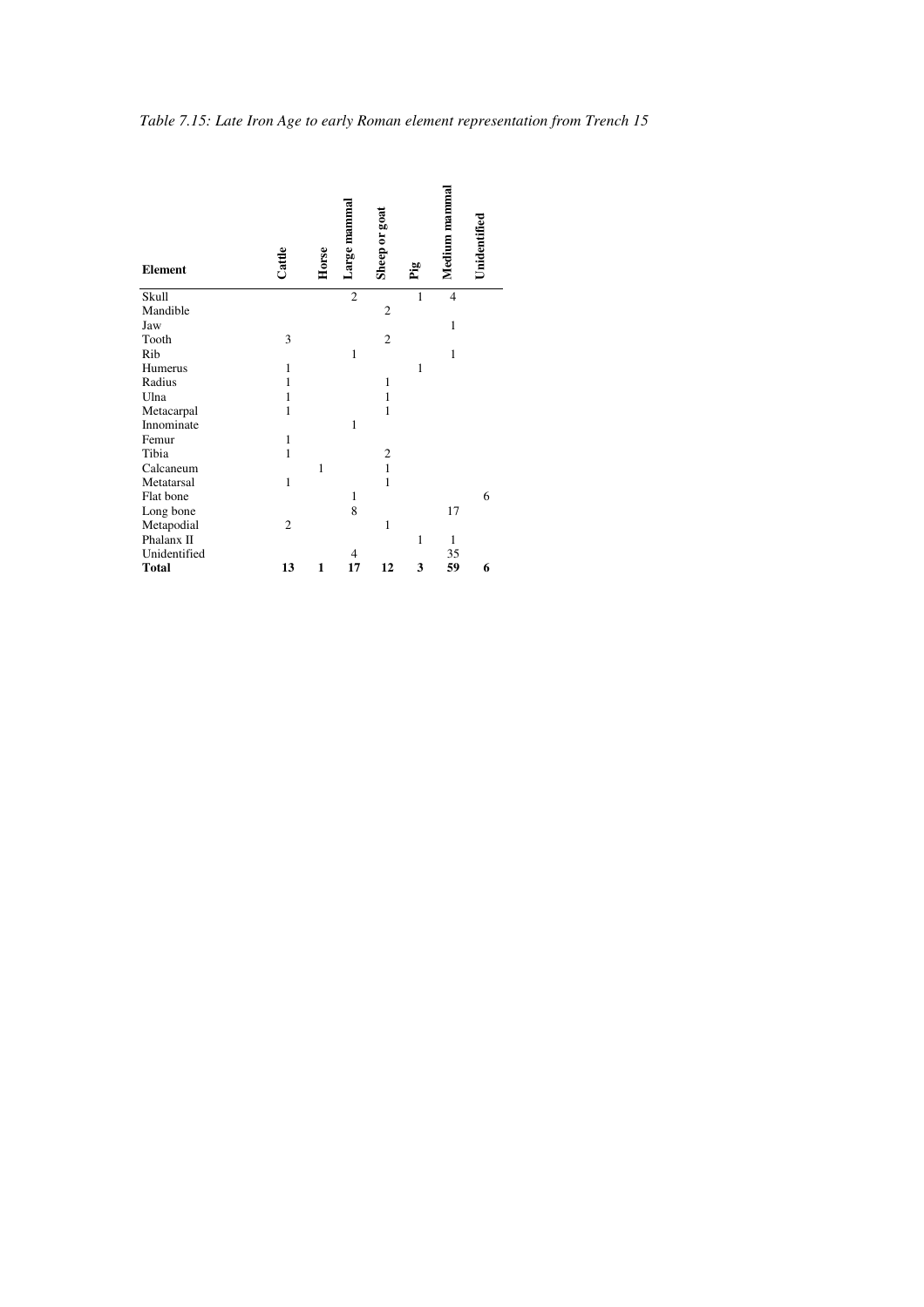| Table 7.15: Late Iron Age to early Roman element representation from Trench 15 |  |
|--------------------------------------------------------------------------------|--|
|                                                                                |  |

| <b>Element</b> | Cattle         | Horse        | Large mammal   | Sheep or goat  |              | Medium mammal  | Unidentified |
|----------------|----------------|--------------|----------------|----------------|--------------|----------------|--------------|
| Skull          |                |              | $\overline{2}$ |                | $\mathbf{1}$ | $\overline{4}$ |              |
| Mandible       |                |              |                | $\mathfrak{2}$ |              |                |              |
| Jaw            |                |              |                |                |              | 1              |              |
| Tooth          | 3              |              |                | $\overline{c}$ |              |                |              |
| Rib            |                |              | $\mathbf{1}$   |                |              | $\mathbf{1}$   |              |
| Humerus        | $\mathbf{1}$   |              |                |                | 1            |                |              |
| Radius         | $\mathbf{1}$   |              |                | 1              |              |                |              |
| Ulna           | $\mathbf{1}$   |              |                | 1              |              |                |              |
| Metacarpal     | $\mathbf{1}$   |              |                | 1              |              |                |              |
| Innominate     |                |              | $\mathbf{1}$   |                |              |                |              |
| Femur          | $\mathbf{1}$   |              |                |                |              |                |              |
| Tibia          | $\mathbf{1}$   |              |                | $\overline{c}$ |              |                |              |
| Calcaneum      |                | $\mathbf{1}$ |                | $\mathbf{1}$   |              |                |              |
| Metatarsal     | $\mathbf{1}$   |              |                | $\mathbf{1}$   |              |                |              |
| Flat bone      |                |              | 1              |                |              |                | 6            |
| Long bone      |                |              | 8              |                |              | 17             |              |
| Metapodial     | $\overline{2}$ |              |                | $\mathbf{1}$   |              |                |              |
| Phalanx II     |                |              |                |                | $\mathbf{1}$ | $\mathbf{1}$   |              |
| Unidentified   |                |              | 4              |                |              | 35             |              |
| <b>Total</b>   | 13             | 1            | 17             | 12             | 3            | 59             | 6            |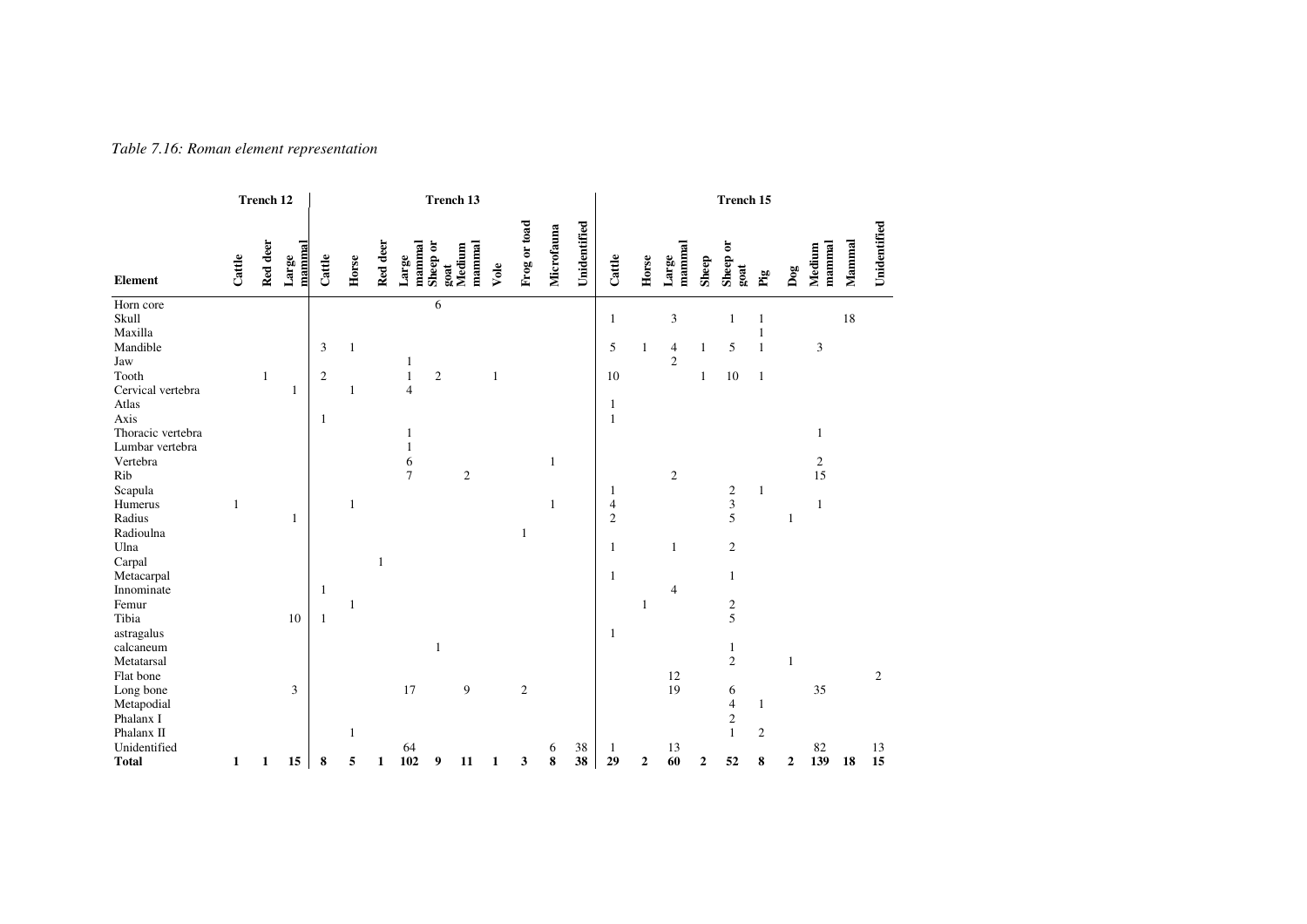| Table 7.16: Roman element representation |  |  |
|------------------------------------------|--|--|
|------------------------------------------|--|--|

|                                                                                                                      |              | Trench 12    |                 |                                       |              |          |                                                |                     | <b>Trench 13</b> |              |                 |            |              |                                                                      |              |                          |                       | Trench 15                                                         |                                 |              |                                  |        |                |
|----------------------------------------------------------------------------------------------------------------------|--------------|--------------|-----------------|---------------------------------------|--------------|----------|------------------------------------------------|---------------------|------------------|--------------|-----------------|------------|--------------|----------------------------------------------------------------------|--------------|--------------------------|-----------------------|-------------------------------------------------------------------|---------------------------------|--------------|----------------------------------|--------|----------------|
| <b>Element</b>                                                                                                       | Cattle       | Red deer     | mammal<br>Large | Cattle                                | Horse        | Red deer | mammal<br>Large                                | Sheep or<br>goat    | mammal<br>Medium | Vole         | Frog or toad    | Microfauna | Unidentified | Cattle                                                               | Horse        | mammal<br>$_{\rm Large}$ | Sheep                 | öľ<br>Sheep<br>goat                                               | $_{\rm Fig}$                    | Dog          | mammal<br>Medium                 | Mammal | Unidentified   |
| Horn core<br>Skull<br>Maxilla<br>Mandible<br>Jaw<br>Tooth<br>Cervical vertebra<br>Atlas<br>Axis<br>Thoracic vertebra |              | $\mathbf{1}$ | 1               | 3<br>$\boldsymbol{2}$<br>$\mathbf{1}$ | 1<br>1       |          | $\mathbf{1}$<br>$\,1\,$<br>$\overline{4}$<br>1 | 6<br>$\mathfrak{2}$ |                  | $\mathbf{1}$ |                 |            |              | 1<br>5<br>10<br>1<br>1                                               | $\mathbf{1}$ | 3<br>4<br>$\overline{c}$ | $\mathbf{1}$<br>$\,1$ | 1<br>5<br>$10\,$                                                  | $\mathbf{1}$<br>$1\,$           |              | $\mathfrak z$<br>$\mathbf{1}$    | 18     |                |
| Lumbar vertebra<br>Vertebra<br>Rib<br>Scapula<br>Humerus<br>Radius<br>Radioulna<br>Ulna<br>Carpal<br>Metacarpal      | 1            |              | 1               |                                       | 1            | 1        | $\mathbf{1}$<br>6<br>$\overline{7}$            |                     | $\sqrt{2}$       |              | 1               | 1<br>1     |              | 1<br>$\overline{\mathcal{A}}$<br>$\mathfrak{2}$<br>$\mathbf{1}$<br>1 |              | $\mathfrak{2}$<br>1      |                       | 2<br>$\overline{\mathbf{3}}$<br>5<br>$\mathbf{2}$<br>$\mathbf{1}$ | 1                               | $\mathbf{1}$ | $\sqrt{2}$<br>15<br>$\mathbf{1}$ |        |                |
| Innominate<br>Femur<br>Tibia<br>astragalus<br>calcaneum<br>Metatarsal<br>Flat bone                                   |              |              | 10              | 1<br>$\mathbf{1}$                     | $\mathbf{1}$ |          |                                                | $\mathbf{1}$        |                  |              |                 |            |              | 1                                                                    | 1            | $\overline{4}$<br>12     |                       | $rac{2}{5}$<br>$\mathbf{1}$<br>$\overline{2}$                     |                                 | $\mathbf{1}$ |                                  |        | $\overline{c}$ |
| Long bone<br>Metapodial<br>Phalanx I<br>Phalanx II<br>Unidentified<br><b>Total</b>                                   | $\mathbf{1}$ | $\mathbf{1}$ | 3<br>15         | 8                                     | 1<br>5       | 1        | 17<br>64<br>102                                | 9                   | 9<br>11          | 1            | $\sqrt{2}$<br>3 | 6<br>8     | 38<br>38     | 1<br>29                                                              | $\mathbf{2}$ | 19<br>13<br>60           | $\boldsymbol{2}$      | 6<br>$\overline{\mathbf{4}}$<br>$\,2$<br>$\mathbf{1}$<br>52       | $\mathbf{1}$<br>$\sqrt{2}$<br>8 | $\mathbf{2}$ | 35<br>82<br>139                  | 18     | 13<br>15       |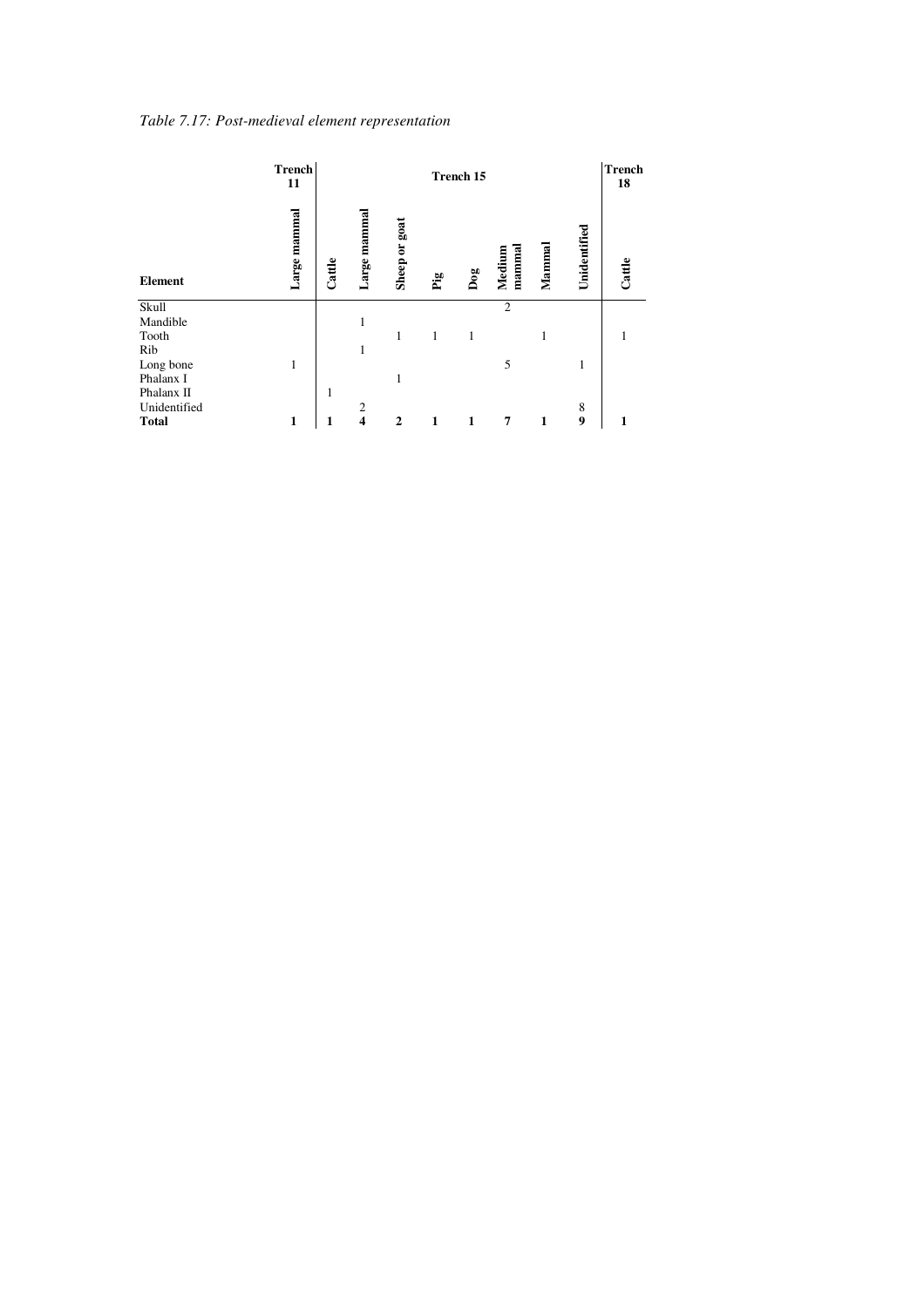| Table 7.17: Post-medieval element representation |  |
|--------------------------------------------------|--|
|--------------------------------------------------|--|

|                | <b>Trench</b><br>11 | <b>Trench</b><br>Trench 15 |                |                  |              |     |                 |              |              |        |  |
|----------------|---------------------|----------------------------|----------------|------------------|--------------|-----|-----------------|--------------|--------------|--------|--|
| <b>Element</b> | Large mammal        | Cattle                     | Large mammal   | goat<br>Sheep or | $\mathbf{p}$ | Dog | mamma<br>Medium | Mannnal      | Unidentified | Cattle |  |
| Skull          |                     |                            |                |                  |              |     | $\overline{2}$  |              |              |        |  |
| Mandible       |                     |                            | 1              |                  |              |     |                 |              |              |        |  |
| Tooth          |                     |                            |                | 1                | 1            | 1   |                 | 1            |              |        |  |
| Rib            |                     |                            | 1              |                  |              |     |                 |              |              |        |  |
| Long bone      | 1                   |                            |                |                  |              |     | 5               |              | 1            |        |  |
| Phalanx I      |                     |                            |                | 1                |              |     |                 |              |              |        |  |
| Phalanx II     |                     | 1                          |                |                  |              |     |                 |              |              |        |  |
| Unidentified   |                     |                            | $\overline{c}$ |                  |              |     |                 |              | 8            |        |  |
| <b>Total</b>   | 1                   |                            | 4              | $\overline{2}$   | 1            | 1   | 7               | $\mathbf{1}$ | 9            | 1      |  |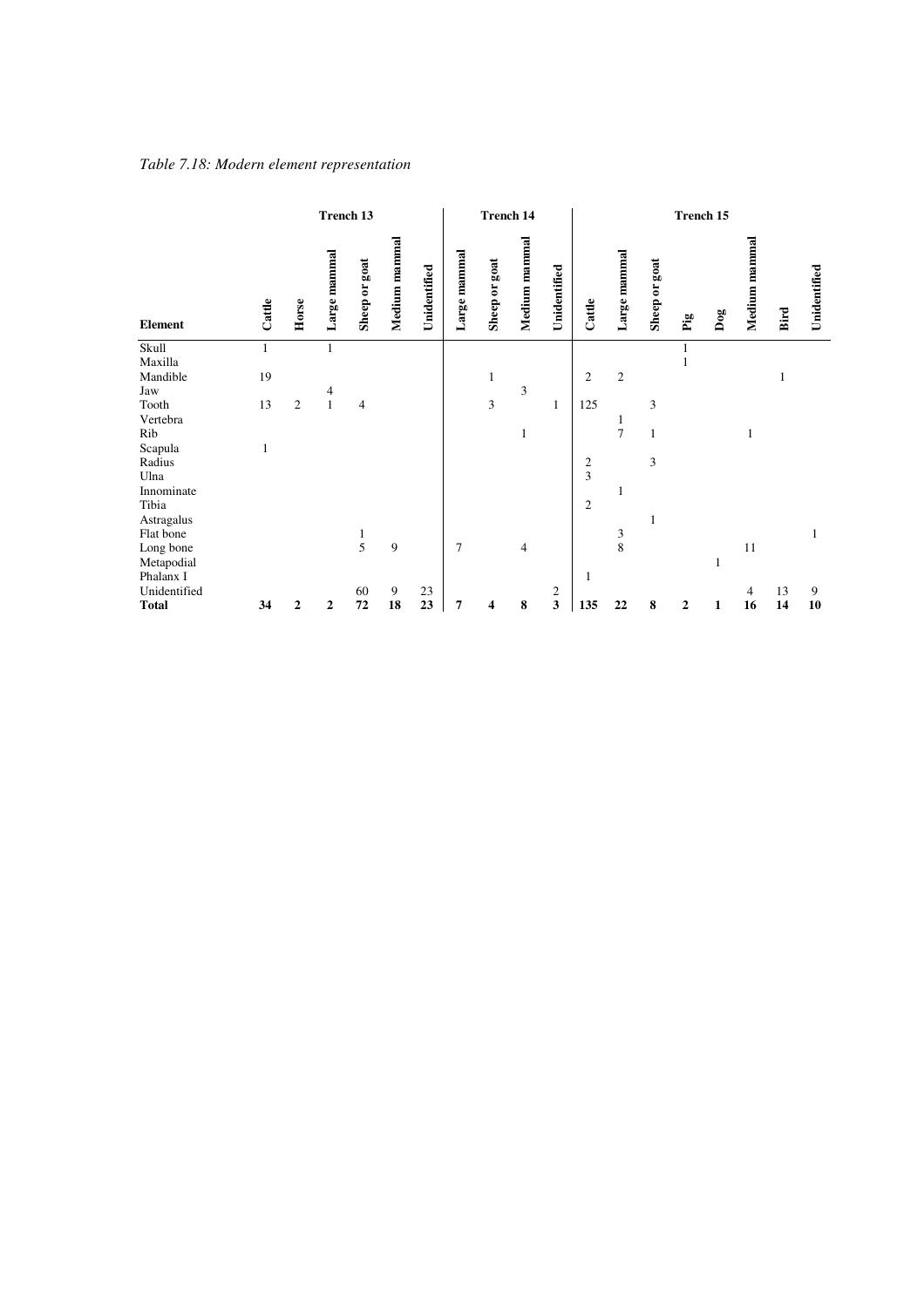### *Table 7.18: Modern element representation*

|                |        |                | Trench 13        |               |               |              | <b>Trench 14</b> |               |                |                | Trench 15      |                     |               |              |     |               |      |              |
|----------------|--------|----------------|------------------|---------------|---------------|--------------|------------------|---------------|----------------|----------------|----------------|---------------------|---------------|--------------|-----|---------------|------|--------------|
| Element        | Cattle | Horse          | Large mammal     | Sheep or goat | Medium mammal | Unidentified | Large mammal     | Sheep or goat | Medium mammal  | Unidentified   | Cattle         | Large mammal        | Sheep or goat | $\mathbf{p}$ | Dog | Medium mammal | Bird | Unidentified |
| Skull          | 1      |                | $\mathbf{1}$     |               |               |              |                  |               |                |                |                |                     |               |              |     |               |      |              |
| Maxilla        |        |                |                  |               |               |              |                  |               |                |                |                |                     |               | 1            |     |               |      |              |
| Mandible       | 19     |                |                  |               |               |              |                  | 1             |                |                | $\mathfrak{2}$ | $\overline{2}$      |               |              |     |               |      |              |
| Jaw            |        |                | 4                |               |               |              |                  |               | 3              |                |                |                     |               |              |     |               |      |              |
| Tooth          | 13     | $\overline{c}$ | $\,1\,$          | 4             |               |              |                  | 3             |                | 1              | 125            |                     | 3             |              |     |               |      |              |
| Vertebra       |        |                |                  |               |               |              |                  |               |                |                |                | 1<br>$\overline{7}$ |               |              |     |               |      |              |
| Rib            |        |                |                  |               |               |              |                  |               | 1              |                |                |                     | 1             |              |     | 1             |      |              |
| Scapula        | 1      |                |                  |               |               |              |                  |               |                |                |                |                     | 3             |              |     |               |      |              |
| Radius<br>Ulna |        |                |                  |               |               |              |                  |               |                |                | $\frac{2}{3}$  |                     |               |              |     |               |      |              |
| Innominate     |        |                |                  |               |               |              |                  |               |                |                |                | 1                   |               |              |     |               |      |              |
| Tibia          |        |                |                  |               |               |              |                  |               |                |                | $\overline{2}$ |                     |               |              |     |               |      |              |
| Astragalus     |        |                |                  |               |               |              |                  |               |                |                |                |                     |               |              |     |               |      |              |
| Flat bone      |        |                |                  | $\mathbf{1}$  |               |              |                  |               |                |                |                | $\mathfrak{Z}$      |               |              |     |               |      | 1            |
| Long bone      |        |                |                  | 5             | 9             |              | $\overline{7}$   |               | $\overline{4}$ |                |                | 8                   |               |              |     | 11            |      |              |
| Metapodial     |        |                |                  |               |               |              |                  |               |                |                |                |                     |               |              |     |               |      |              |
| Phalanx I      |        |                |                  |               |               |              |                  |               |                |                | 1              |                     |               |              |     |               |      |              |
| Unidentified   |        |                |                  | 60            | 9             | 23           |                  |               |                | $\overline{c}$ |                |                     |               |              |     | 4             | 13   | 9            |
| <b>Total</b>   | 34     | $\overline{2}$ | $\boldsymbol{2}$ | 72            | 18            | 23           | 7                | 4             | 8              | $\mathbf{3}$   | 135            | 22                  | 8             | $\mathbf{2}$ | 1   | 16            | 14   | 10           |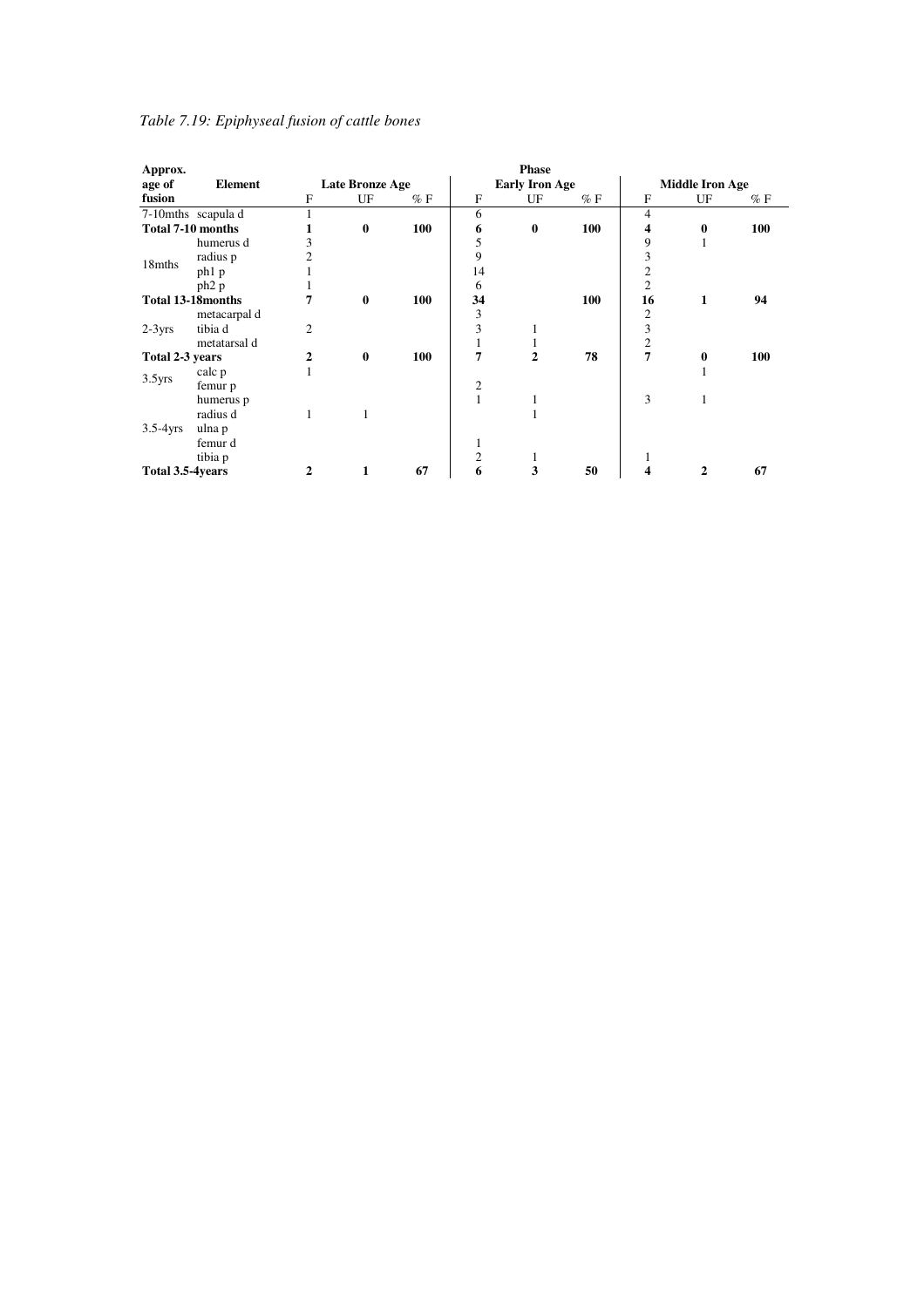| Table 7.19: Epiphyseal fusion of cattle bones |  |  |
|-----------------------------------------------|--|--|

| Approx.                   |                    |                |                 |       |                | <b>Phase</b>          |     |                  |                        |        |  |
|---------------------------|--------------------|----------------|-----------------|-------|----------------|-----------------------|-----|------------------|------------------------|--------|--|
| age of                    | Element            |                | Late Bronze Age |       |                | <b>Early Iron Age</b> |     |                  | <b>Middle Iron Age</b> |        |  |
| fusion                    |                    | F              | UF              | $%$ F | F              | UF                    | %F  | F                | UF                     | $\%$ F |  |
|                           | 7-10mths scapula d | 1              |                 |       | 6              |                       |     | 4                |                        |        |  |
| <b>Total 7-10 months</b>  |                    |                | $\bf{0}$        | 100   | 6              | $\bf{0}$              | 100 | 4                | $\bf{0}$               | 100    |  |
|                           | humerus d          | 3              |                 |       | 5              |                       |     | 9                |                        |        |  |
| 18mths                    | radius p           | $\overline{2}$ |                 |       | 9              |                       |     | 3                |                        |        |  |
|                           | ph <sub>1</sub> p  |                |                 |       | 14             |                       |     | 2                |                        |        |  |
|                           | $ph2$ p            | 1              |                 |       | 6              |                       |     | $\overline{2}$   |                        |        |  |
| <b>Total 13-18 months</b> |                    | 7              | $\bf{0}$        | 100   | 34             |                       | 100 | 16               | 1                      | 94     |  |
|                           | metacarpal d       |                |                 |       | 3              |                       |     | 2                |                        |        |  |
| $2-3yrs$                  | tibia d            | $\overline{2}$ |                 |       | 3              |                       |     | 3                |                        |        |  |
|                           | metatarsal d       |                |                 |       |                |                       |     | $\boldsymbol{2}$ |                        |        |  |
| Total 2-3 years           |                    | 2              | $\bf{0}$        | 100   | 7              | 2                     | 78  | 7                | $\boldsymbol{0}$       | 100    |  |
| $3.5$ yrs                 | calc p             | 1              |                 |       |                |                       |     |                  |                        |        |  |
|                           | femur p            |                |                 |       | $\overline{c}$ |                       |     |                  |                        |        |  |
|                           | humerus p          |                |                 |       |                | 1                     |     | 3                |                        |        |  |
|                           | radius d           | 1              |                 |       |                |                       |     |                  |                        |        |  |
| $3.5-4yrs$                | ulna p             |                |                 |       |                |                       |     |                  |                        |        |  |
|                           | femur d            |                |                 |       | 1              |                       |     |                  |                        |        |  |
|                           | tibia p            |                |                 |       | $\mathfrak{2}$ | 1                     |     |                  |                        |        |  |
| Total 3.5-4years          |                    | 2              |                 | 67    | 6              | 3                     | 50  |                  | 2                      | 67     |  |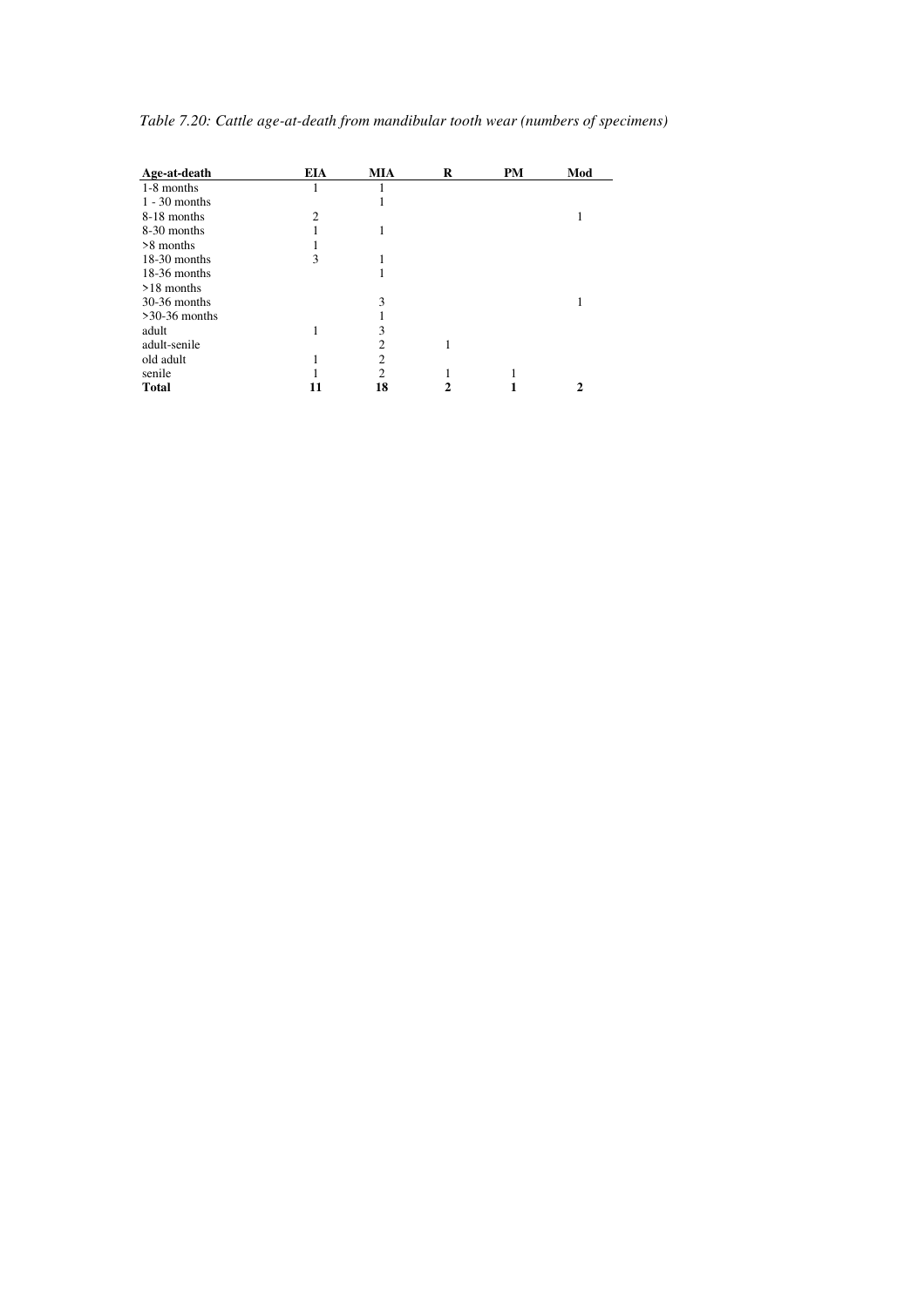| Age-at-death    | <b>EIA</b>     | <b>MIA</b>     | R | PM | Mod |
|-----------------|----------------|----------------|---|----|-----|
| 1-8 months      |                |                |   |    |     |
| $1 - 30$ months |                |                |   |    |     |
| 8-18 months     | $\mathfrak{D}$ |                |   |    |     |
| 8-30 months     |                |                |   |    |     |
| >8 months       |                |                |   |    |     |
| $18-30$ months  | 3              |                |   |    |     |
| $18-36$ months  |                |                |   |    |     |
| >18 months      |                |                |   |    |     |
| $30-36$ months  |                | 3              |   |    |     |
| $>30-36$ months |                |                |   |    |     |
| adult           |                | 3              |   |    |     |
| adult-senile    |                | 2              |   |    |     |
| old adult       |                | $\overline{c}$ |   |    |     |
| senile          |                | $\overline{c}$ |   |    |     |
| <b>Total</b>    |                | 18             |   |    | 2   |

*Table 7.20: Cattle age-at-death from mandibular tooth wear (numbers of specimens)*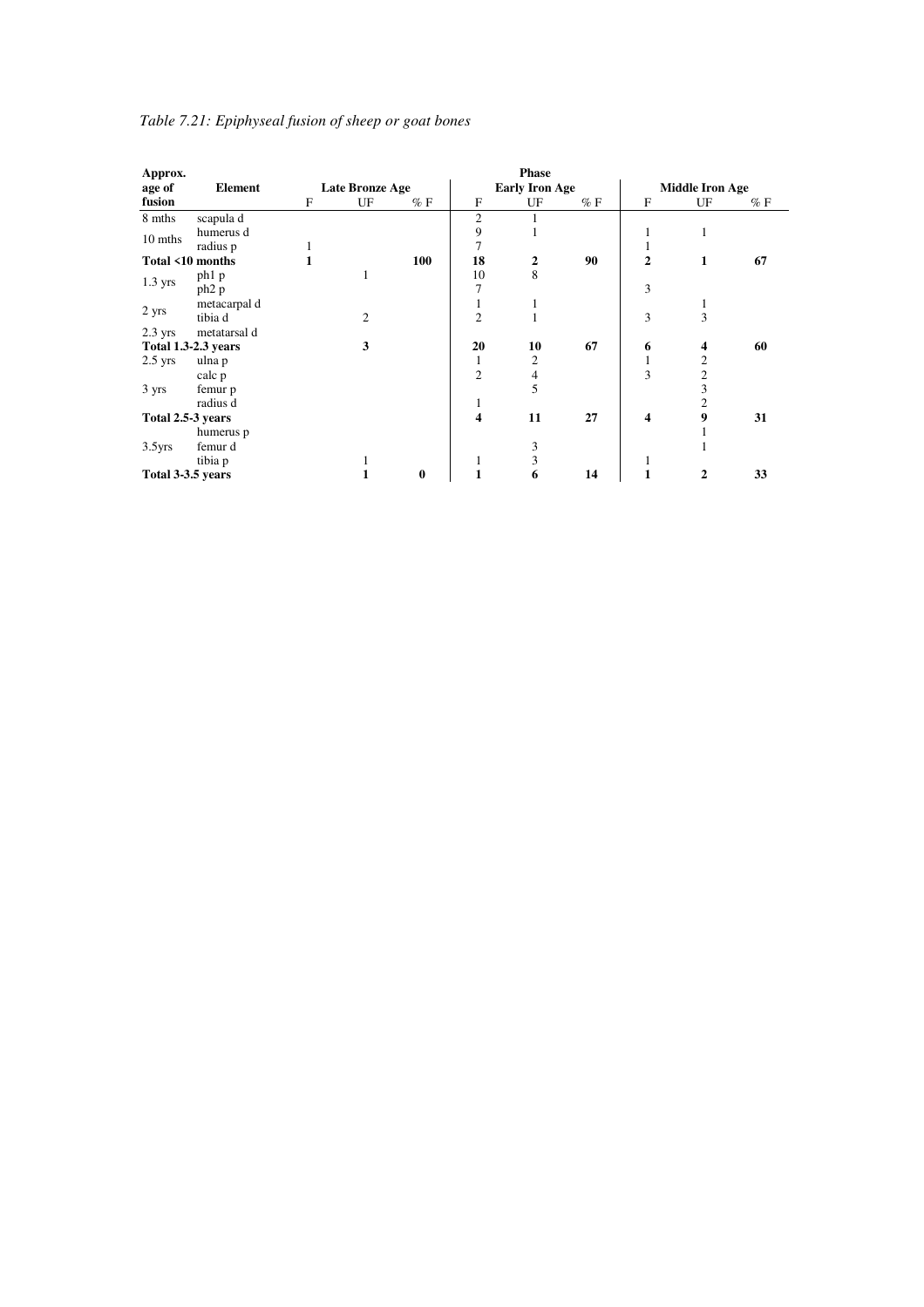| Approx.                    |                   |              |                 |          |                         | <b>Phase</b>          |       |                |                        |       |
|----------------------------|-------------------|--------------|-----------------|----------|-------------------------|-----------------------|-------|----------------|------------------------|-------|
| age of                     | Element           |              | Late Bronze Age |          |                         | <b>Early Iron Age</b> |       |                | <b>Middle Iron Age</b> |       |
| fusion                     |                   | $\mathbf{F}$ | UF              | $%$ F    | $\mathbf{F}$            | UF                    | $%$ F | $\mathbf{F}$   | UF                     | $%$ F |
| 8 mths                     | scapula d         |              |                 |          | $\overline{c}$          |                       |       |                |                        |       |
| 10 mths                    | humerus d         |              |                 |          | 9                       | ш                     |       |                | 1                      |       |
|                            | radius p          |              |                 |          | 7                       |                       |       | 1              |                        |       |
| Total <10 months           |                   |              |                 | 100      | 18                      | $\overline{2}$        | 90    | $\overline{2}$ | 1                      | 67    |
| $1.3$ yrs                  | ph <sub>1</sub> p |              |                 |          | 10                      | 8                     |       |                |                        |       |
|                            | ph <sub>2</sub> p |              |                 |          | 7                       |                       |       | 3              |                        |       |
| 2 yrs                      | metacarpal d      |              |                 |          | 1                       | 1                     |       |                | 1                      |       |
|                            | tibia d           |              | $\overline{c}$  |          | $\overline{2}$          | 1                     |       | 3              | 3                      |       |
| $2.3$ yrs                  | metatarsal d      |              |                 |          |                         |                       |       |                |                        |       |
| <b>Total 1.3-2.3 years</b> |                   |              | 3               |          | 20                      | 10                    | 67    | 6              | 4                      | 60    |
| $2.5$ yrs                  | ulna p            |              |                 |          | 1                       | 2                     |       | $\mathbf{1}$   | 2                      |       |
|                            | calc p            |              |                 |          | $\overline{2}$          | 4                     |       | 3              | $\boldsymbol{2}$       |       |
| 3 yrs                      | femur p           |              |                 |          |                         | 5                     |       |                | 3                      |       |
|                            | radius d          |              |                 |          | 1                       |                       |       |                | $\overline{2}$         |       |
| Total 2.5-3 years          |                   |              |                 |          | $\overline{\mathbf{4}}$ | 11                    | 27    | 4              | 9                      | 31    |
|                            | humerus p         |              |                 |          |                         |                       |       |                |                        |       |
| 3.5 <sub>yrs</sub>         | femur d           |              |                 |          |                         | 3                     |       |                |                        |       |
|                            | tibia p           |              |                 |          | 1                       | 3                     |       |                |                        |       |
| Total 3-3.5 years          |                   |              |                 | $\bf{0}$ |                         | 6                     | 14    |                | 2                      | 33    |

# *Table 7.21: Epiphyseal fusion of sheep or goat bones*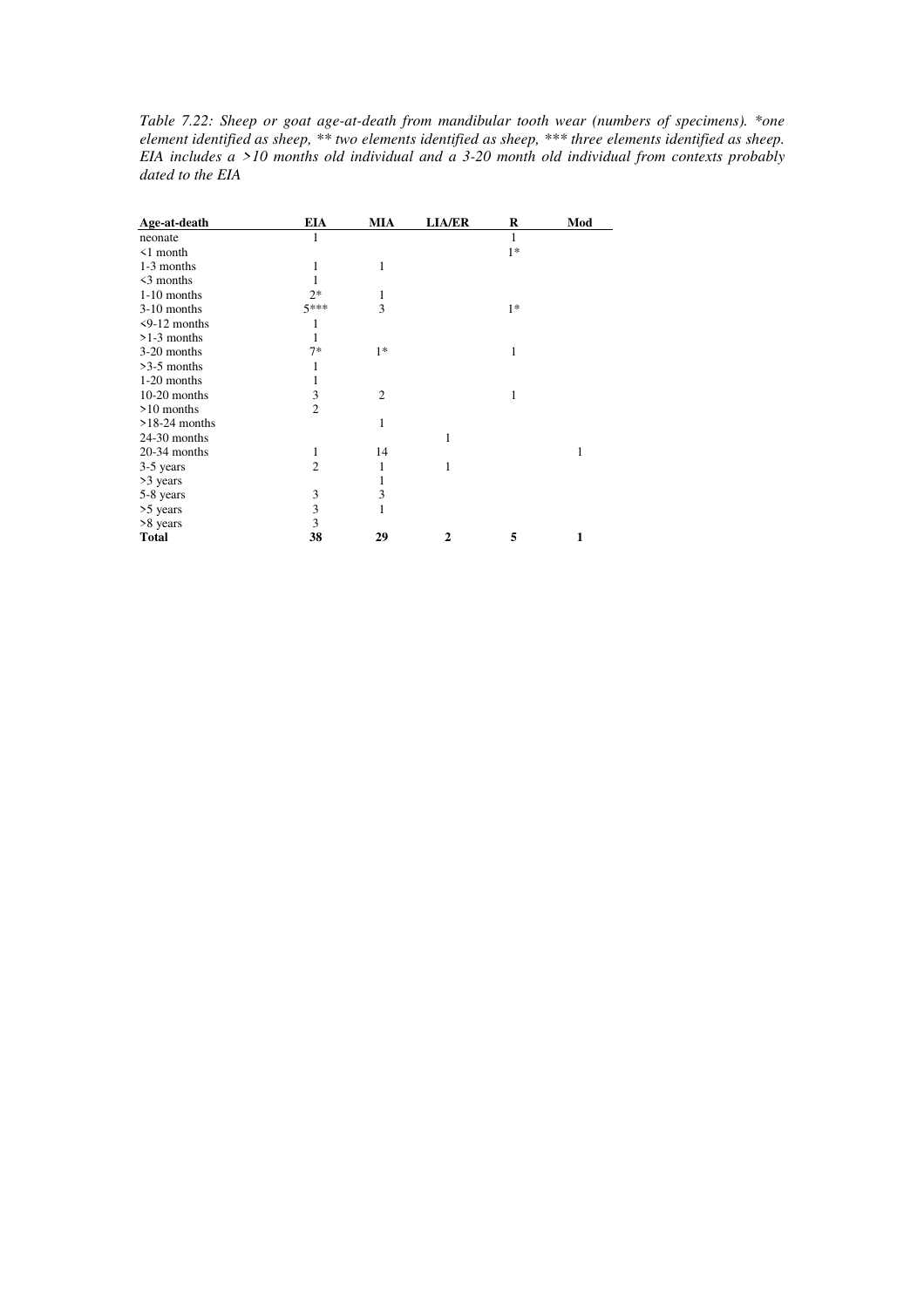*Table 7.22: Sheep or goat age-at-death from mandibular tooth wear (numbers of specimens). \*one element identified as sheep, \*\* two elements identified as sheep, \*\*\* three elements identified as sheep. EIA includes a >10 months old individual and a 3-20 month old individual from contexts probably dated to the EIA* 

| Age-at-death       | <b>EIA</b>     | <b>MIA</b>     | <b>LIA/ER</b> | R    | Mod |
|--------------------|----------------|----------------|---------------|------|-----|
| neonate            | 1              |                |               | 1    |     |
| $\leq 1$ month     |                |                |               | $1*$ |     |
| 1-3 months         | 1              | 1              |               |      |     |
| $\leq$ 3 months    |                |                |               |      |     |
| $1-10$ months      | $2*$           | 1              |               |      |     |
| $3-10$ months      | $5***$         | 3              |               | $1*$ |     |
| $\leq$ 9-12 months |                |                |               |      |     |
| $>1-3$ months      | 1              |                |               |      |     |
| 3-20 months        | $7*$           | $1*$           |               | 1    |     |
| $>3-5$ months      |                |                |               |      |     |
| 1-20 months        |                |                |               |      |     |
| $10-20$ months     | 3              | $\overline{2}$ |               | 1    |     |
| $>10$ months       | $\overline{2}$ |                |               |      |     |
| $>18-24$ months    |                | 1              |               |      |     |
| 24-30 months       |                |                | 1             |      |     |
| 20-34 months       | 1              | 14             |               |      | 1   |
| 3-5 years          | 2              | 1              | 1             |      |     |
| >3 years           |                | 1              |               |      |     |
| 5-8 years          | 3              | 3              |               |      |     |
| >5 years           | 3              | $\mathbf{1}$   |               |      |     |
| >8 years           | 3              |                |               |      |     |
| <b>Total</b>       | 38             | 29             | 2             | 5    | 1   |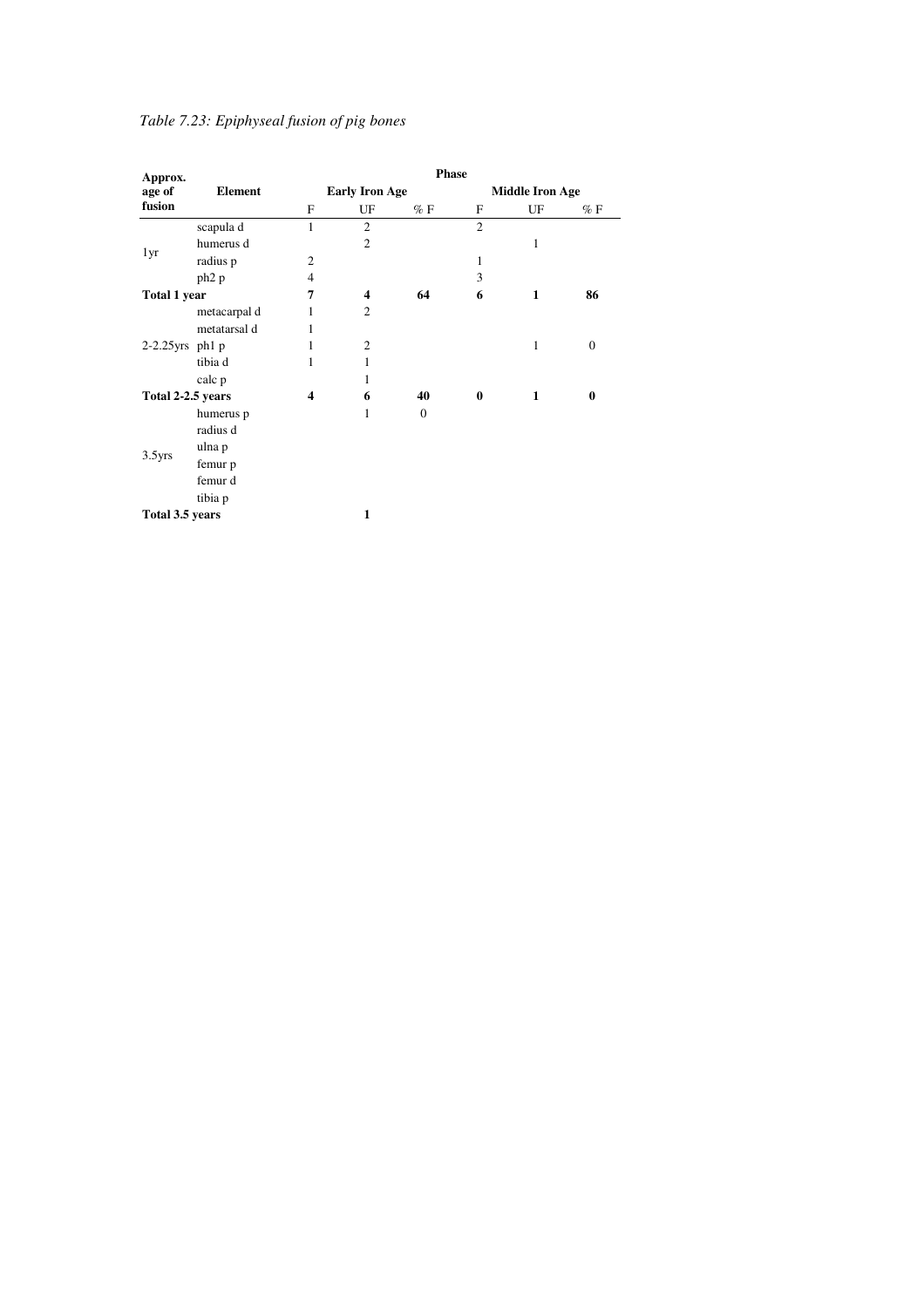# *Table 7.23: Epiphyseal fusion of pig bones*

| Approx.             |                       |                         |                         | Phase        |                |                        |              |
|---------------------|-----------------------|-------------------------|-------------------------|--------------|----------------|------------------------|--------------|
| age of              | <b>Element</b>        |                         | <b>Early Iron Age</b>   |              |                | <b>Middle Iron Age</b> |              |
| fusion              |                       | F                       | UF                      | $\%$ F       | F              | UF                     | $\%$ F       |
|                     | scapula d             | $\mathbf{1}$            | $\overline{c}$          |              | $\overline{2}$ |                        |              |
|                     | humerus d             |                         | $\overline{2}$          |              |                | 1                      |              |
| 1yr                 | radius p              | $\overline{c}$          |                         |              | 1              |                        |              |
|                     | ph <sub>2</sub> p     | $\overline{4}$          |                         |              | 3              |                        |              |
| <b>Total 1 year</b> |                       | 7                       | $\overline{\mathbf{4}}$ | 64           | 6              | $\mathbf{1}$           | 86           |
|                     | metacarpal d          | 1                       | $\mathfrak{2}$          |              |                |                        |              |
| $2-2.25$ yrs ph1 p  | metatarsal d          | 1                       |                         |              |                |                        |              |
|                     |                       | 1                       | $\overline{c}$          |              |                | $\mathbf{1}$           | $\mathbf{0}$ |
|                     | tibia d               | $\mathbf{1}$            | 1                       |              |                |                        |              |
|                     | calc p                |                         | 1                       |              |                |                        |              |
| Total 2-2.5 years   |                       | $\overline{\mathbf{4}}$ | 6                       | 40           | $\bf{0}$       | $\mathbf{1}$           | $\bf{0}$     |
|                     | humerus p<br>radius d |                         | 1                       | $\mathbf{0}$ |                |                        |              |
| $3.5$ yrs           | ulna p                |                         |                         |              |                |                        |              |
|                     | femur p               |                         |                         |              |                |                        |              |
|                     | femur d               |                         |                         |              |                |                        |              |
|                     | tibia p               |                         |                         |              |                |                        |              |
| Total 3.5 years     |                       |                         | 1                       |              |                |                        |              |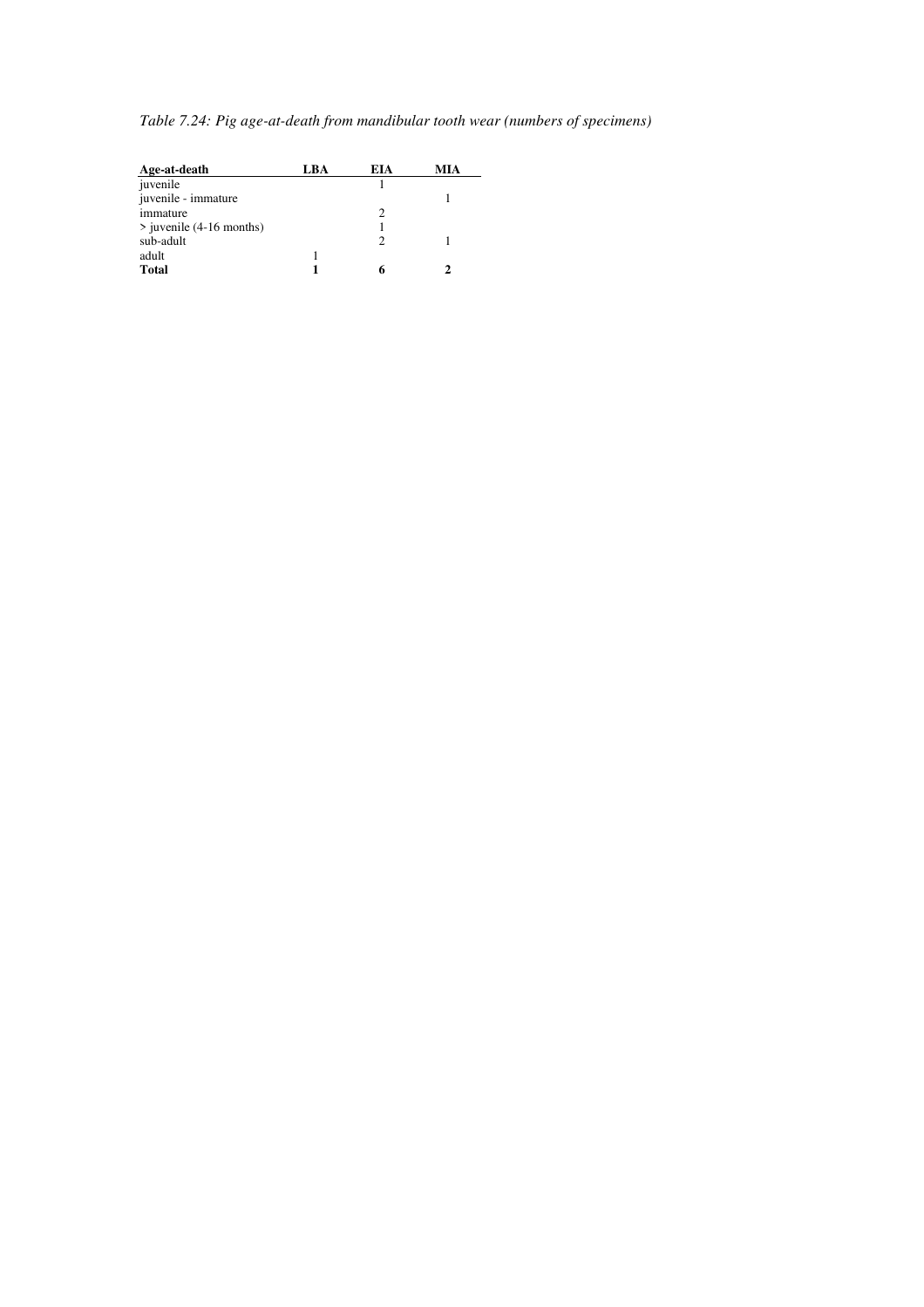*Table 7.24: Pig age-at-death from mandibular tooth wear (numbers of specimens)* 

| Age-at-death                 | LBA | <b>EIA</b> | MIA |
|------------------------------|-----|------------|-----|
| juvenile                     |     |            |     |
| juvenile - immature          |     |            |     |
| immature                     |     | っ          |     |
| $\ge$ juvenile (4-16 months) |     |            |     |
| sub-adult                    |     |            |     |
| adult                        |     |            |     |
| <b>Total</b>                 |     |            |     |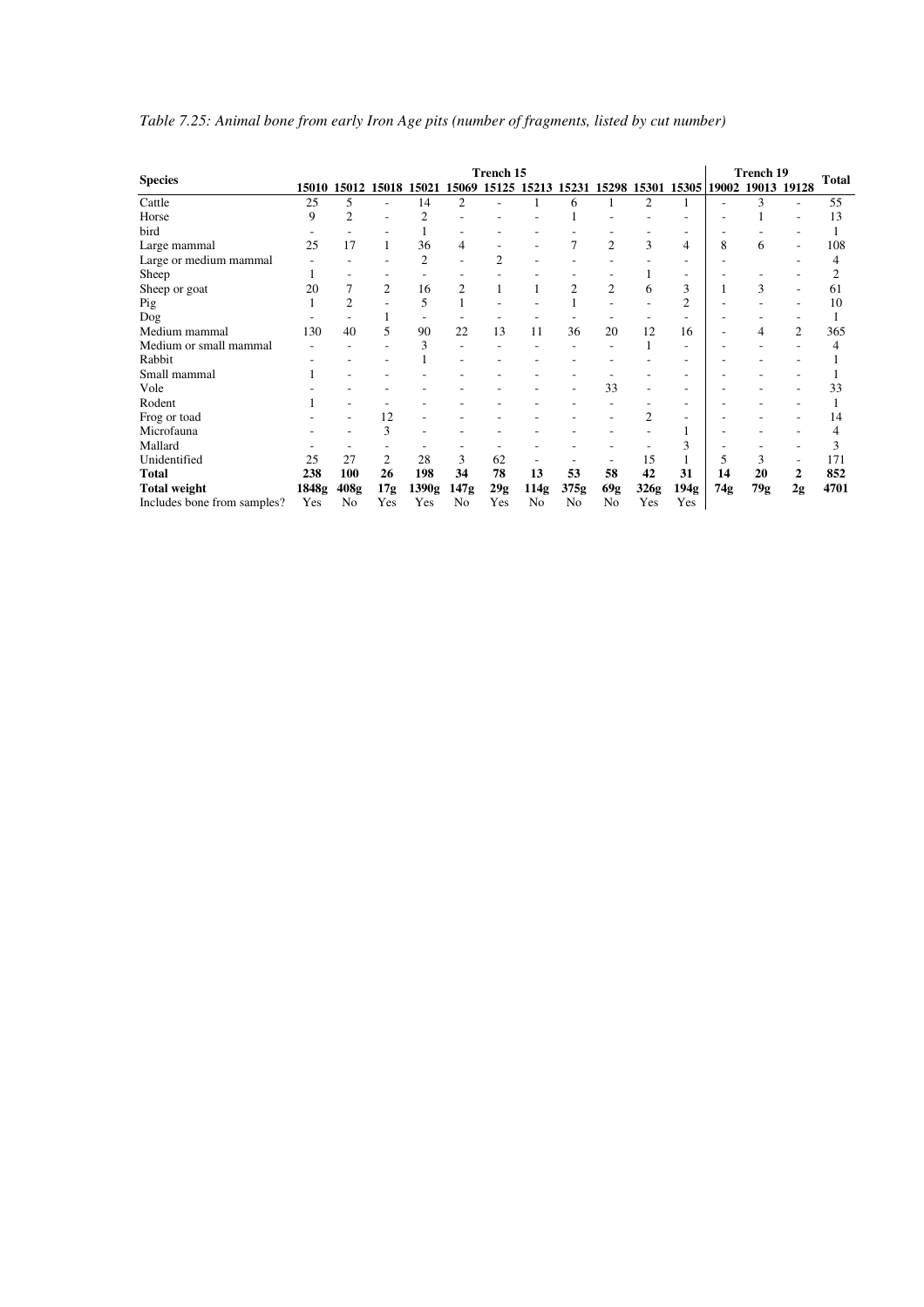|                             |       |                |                |                                     |                | <b>Trench 15</b> |                |                |                |                |                                                 |     | <b>Trench 19</b> |                |              |
|-----------------------------|-------|----------------|----------------|-------------------------------------|----------------|------------------|----------------|----------------|----------------|----------------|-------------------------------------------------|-----|------------------|----------------|--------------|
| <b>Species</b>              |       |                |                | 15010 15012 15018 15021 15069 15125 |                |                  |                |                |                |                | 15213 15231 15298 15301 15305 19002 19013 19128 |     |                  |                | <b>Total</b> |
| Cattle                      | 25    | 5              |                | 14                                  | 2              |                  |                | 6              |                | 2              |                                                 |     | 3                |                | 55           |
| Horse                       | 9     | $\overline{2}$ |                | $\overline{c}$                      |                |                  |                |                |                |                |                                                 |     |                  |                | 13           |
| bird                        |       |                |                |                                     |                |                  |                |                |                |                |                                                 |     |                  |                |              |
| Large mammal                | 25    | 17             |                | 36                                  | 4              |                  |                | 7              | $\overline{2}$ | 3              | 4                                               | 8   | 6                | ٠              | 108          |
| Large or medium mammal      |       |                |                | 2                                   |                | 2                |                |                |                |                |                                                 |     |                  |                | 4            |
| Sheep                       |       |                |                |                                     |                |                  |                |                |                |                |                                                 |     |                  |                |              |
| Sheep or goat               | 20    |                | $\overline{c}$ | 16                                  | $\overline{c}$ |                  |                | 2              | $\overline{2}$ | 6              | 3                                               |     | 3                |                | 61           |
| Pig                         |       | $\overline{c}$ |                | 5                                   |                |                  |                |                |                |                | 2                                               |     |                  |                | 10           |
| Dog                         |       |                |                |                                     |                |                  |                |                |                |                |                                                 |     |                  |                |              |
| Medium mammal               | 130   | 40             | 5              | 90                                  | 22             | 13               | 11             | 36             | 20             | 12             | 16                                              |     | 4                | $\overline{c}$ | 365          |
| Medium or small mammal      |       |                |                | 3                                   |                |                  |                |                |                |                |                                                 |     |                  |                | 4            |
| Rabbit                      |       |                |                |                                     |                |                  |                |                |                |                |                                                 |     |                  |                |              |
| Small mammal                |       |                |                |                                     |                |                  |                |                |                |                |                                                 |     |                  |                |              |
| Vole                        |       |                |                |                                     |                |                  |                |                | 33             |                | ٠                                               |     |                  |                | 33           |
| Rodent                      |       |                |                |                                     |                |                  |                |                |                |                |                                                 |     |                  |                |              |
| Frog or toad                |       |                | 12             |                                     |                |                  |                |                |                | $\overline{c}$ |                                                 |     |                  |                | 14           |
| Microfauna                  |       |                | 3              |                                     |                |                  |                |                |                |                |                                                 |     |                  |                | 4            |
| Mallard                     |       |                |                |                                     |                |                  |                |                |                |                | 3                                               |     |                  |                | 3            |
| Unidentified                | 25    | 27             | $\overline{c}$ | 28                                  | 3              | 62               |                |                |                | 15             |                                                 | 5   | 3                |                | 171          |
| Total                       | 238   | 100            | 26             | 198                                 | 34             | 78               | 13             | 53             | 58             | 42             | 31                                              | 14  | 20               | 2              | 852          |
| Total weight                | 1848g | 408g           | 17g            | 1390g                               | 147g           | 29g              | 114g           | 375g           | 69g            | 326g           | 194g                                            | 74g | 79g              | 2g             | 4701         |
| Includes bone from samples? | Yes   | No             | Yes            | Yes                                 | N <sub>o</sub> | Yes              | N <sub>0</sub> | N <sub>0</sub> | No             | Yes            | Yes                                             |     |                  |                |              |

# *Table 7.25: Animal bone from early Iron Age pits (number of fragments, listed by cut number)*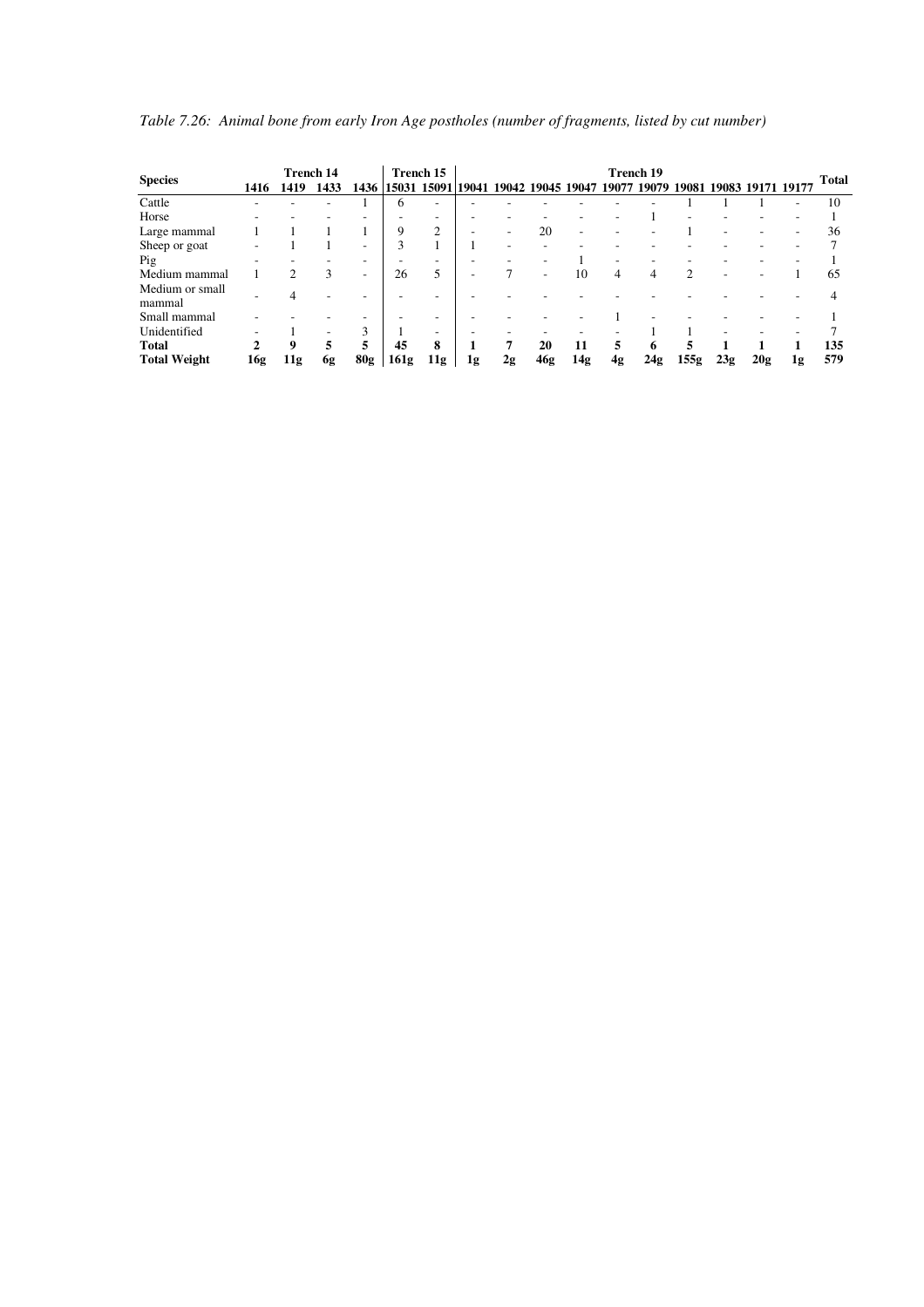|                           |                        | <b>Trench 14</b> |      |              |             | Trench 15 |    |                                     |     |                          | Trench 19 |     |                             |                   |     |    |              |
|---------------------------|------------------------|------------------|------|--------------|-------------|-----------|----|-------------------------------------|-----|--------------------------|-----------|-----|-----------------------------|-------------------|-----|----|--------------|
| <b>Species</b>            | 1416                   | 1419             | 1433 | 1436         | 15031 15091 |           |    | 19041 19042 19045 19047 19077 19079 |     |                          |           |     | 19081                       | 19083 19171 19177 |     |    | <b>Total</b> |
| Cattle                    |                        |                  |      |              | 6           |           |    |                                     |     |                          |           |     |                             |                   |     |    | 10           |
| Horse                     |                        |                  |      |              |             |           |    |                                     |     |                          |           |     |                             |                   |     |    |              |
| Large mammal              |                        |                  |      |              | 9           | 2         |    |                                     | 20  | $\overline{\phantom{a}}$ |           |     |                             |                   |     |    | 36           |
| Sheep or goat             |                        |                  |      |              | 3           |           |    |                                     |     |                          |           |     |                             |                   |     |    |              |
| Pig                       |                        |                  |      |              |             | -         |    |                                     |     |                          |           |     |                             |                   |     |    |              |
| Medium mammal             |                        | $\mathcal{L}$    | 3    |              | 26          | 5         |    |                                     |     | 10                       | 4         | 4   | $\mathcal{D}_{\mathcal{L}}$ |                   |     |    | 65           |
| Medium or small<br>mammal |                        |                  |      |              |             |           |    |                                     |     |                          |           |     |                             |                   |     |    |              |
| Small mammal              |                        |                  |      |              |             |           |    |                                     |     |                          |           |     |                             |                   |     |    |              |
| Unidentified              |                        |                  |      | $\mathbf{3}$ |             |           |    |                                     |     |                          |           |     |                             |                   |     |    |              |
| <b>Total</b>              | $\mathcal{D}_{\alpha}$ | 9                | 5    | 5            | 45          | 8         |    |                                     | 20  | 11                       | 5         | 6   | 5                           |                   |     |    | 135          |
| <b>Total Weight</b>       | 16g                    | 11g              | 6g   | 80g          | 161g        | 11g       | 1g | 2g                                  | 46g | 14g                      | 4g        | 24g | 155g                        | 23g               | 20g | 1g | 579          |

*Table 7.26: Animal bone from early Iron Age postholes (number of fragments, listed by cut number)*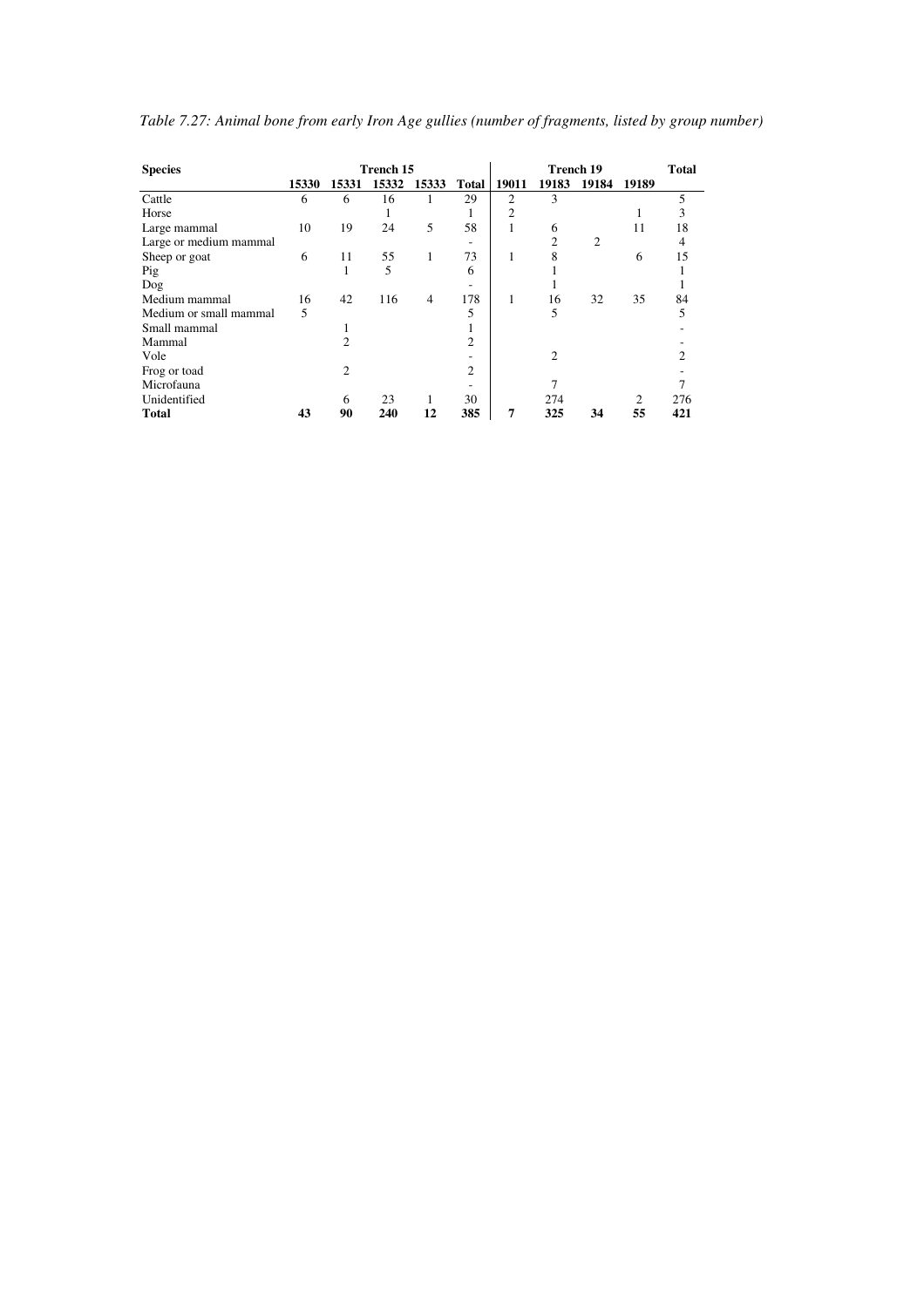| <b>Species</b>         |       |       | Trench 15 |       |                |                | Trench 19      |       |                | <b>Total</b> |
|------------------------|-------|-------|-----------|-------|----------------|----------------|----------------|-------|----------------|--------------|
|                        | 15330 | 15331 | 15332     | 15333 | Total          | 19011          | 19183          | 19184 | 19189          |              |
| Cattle                 | 6     | 6     | 16        | 1     | 29             | $\overline{c}$ | 3              |       |                | 5            |
| Horse                  |       |       |           |       | ш              | $\overline{c}$ |                |       |                | 3            |
| Large mammal           | 10    | 19    | 24        | 5     | 58             |                | 6              |       | 11             | 18           |
| Large or medium mammal |       |       |           |       |                |                | $\overline{c}$ | 2     |                |              |
| Sheep or goat          | 6     | 11    | 55        | 1     | 73             |                | 8              |       | 6              | 15           |
| Pig                    |       | ш     | 5         |       | 6              |                |                |       |                |              |
| Dog                    |       |       |           |       |                |                |                |       |                |              |
| Medium mammal          | 16    | 42    | 116       | 4     | 178            | 1              | 16             | 32    | 35             | 84           |
| Medium or small mammal | 5     |       |           |       | 5              |                | 5              |       |                | 5            |
| Small mammal           |       |       |           |       |                |                |                |       |                |              |
| Mammal                 |       |       |           |       | $\overline{c}$ |                |                |       |                |              |
| Vole                   |       |       |           |       |                |                | 2              |       |                |              |
| Frog or toad           |       | 2     |           |       | 2              |                |                |       |                |              |
| Microfauna             |       |       |           |       |                |                |                |       |                |              |
| Unidentified           |       | 6     | 23        |       | 30             |                | 274            |       | $\overline{c}$ | 276          |
| <b>Total</b>           | 43    | 90    | 240       | 12    | 385            | 7              | 325            | 34    | 55             | 421          |

*Table 7.27: Animal bone from early Iron Age gullies (number of fragments, listed by group number)*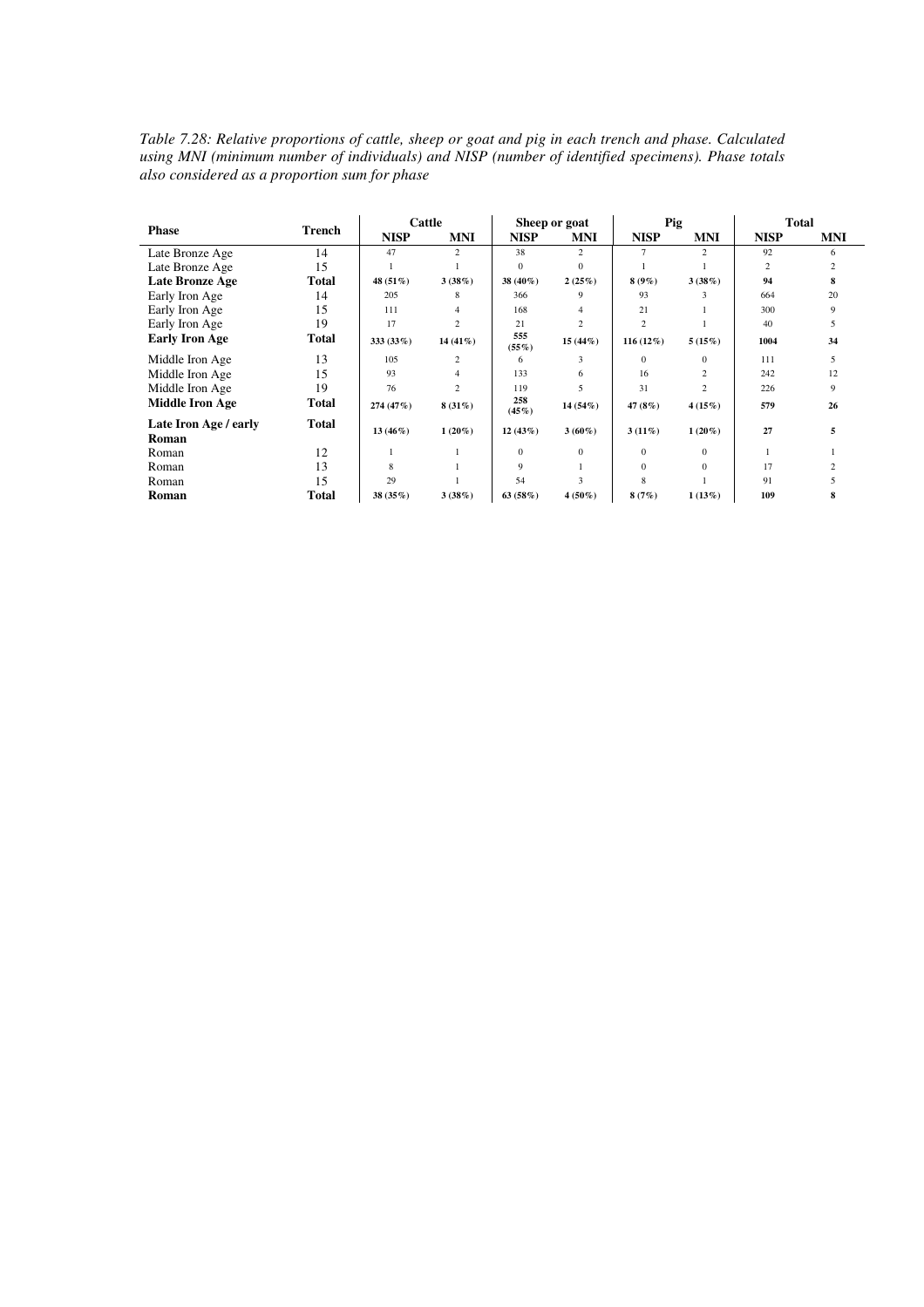*Table 7.28: Relative proportions of cattle, sheep or goat and pig in each trench and phase. Calculated using MNI (minimum number of individuals) and NISP (number of identified specimens). Phase totals also considered as a proportion sum for phase* 

|                        |              | Cattle      |                |                 | Sheep or goat  | Pig            |                | <b>Total</b> |            |
|------------------------|--------------|-------------|----------------|-----------------|----------------|----------------|----------------|--------------|------------|
| <b>Phase</b>           | Trench       | <b>NISP</b> | <b>MNI</b>     | <b>NISP</b>     | <b>MNI</b>     | <b>NISP</b>    | <b>MNI</b>     | <b>NISP</b>  | <b>MNI</b> |
| Late Bronze Age        | 14           | 47          | 2              | 38              | $\overline{c}$ | $\overline{7}$ | $\overline{2}$ | 92           | 6          |
| Late Bronze Age        | 15           |             |                | $\Omega$        | $\Omega$       |                |                | 2            |            |
| Late Bronze Age        | <b>Total</b> | 48 (51%)    | 3(38%)         | 38 (40%)        | 2(25%)         | $8(9\%)$       | 3(38%)         | 94           | 8          |
| Early Iron Age         | 14           | 205         | 8              | 366             | 9              | 93             | 3              | 664          | 20         |
| Early Iron Age         | 15           | 111         | 4              | 168             | 4              | 21             |                | 300          | 9          |
| Early Iron Age         | 19           | 17          | $\overline{c}$ | 21              | $\overline{c}$ | $\overline{c}$ |                | 40           | 5          |
| <b>Early Iron Age</b>  | Total        | 333 (33%)   | $14(41\%)$     | 555<br>$(55\%)$ | $15(44\%)$     | 116 $(12\%)$   | 5(15%)         | 1004         | 34         |
| Middle Iron Age        | 13           | 105         | $\overline{c}$ | 6               | 3              | $\Omega$       | $\mathbf{0}$   | 111          | 5          |
| Middle Iron Age        | 15           | 93          | 4              | 133             | 6              | 16             | 2              | 242          | 12         |
| Middle Iron Age        | 19           | 76          | $\overline{c}$ | 119             | 5              | 31             | $\overline{c}$ | 226          | 9          |
| <b>Middle Iron Age</b> | Total        | 274 (47%)   | $8(31\%)$      | 258<br>(45%)    | 14 (54%)       | 47 (8%)        | 4(15%)         | 579          | 26         |
| Late Iron Age / early  | <b>Total</b> | $13(46\%)$  | $1(20\%)$      | 12(43%)         | $3(60\%)$      | $3(11\%)$      | $1(20\%)$      | 27           | 5          |
| Roman                  |              |             |                |                 |                |                |                |              |            |
| Roman                  | 12           |             |                | $\mathbf{0}$    | $\Omega$       | $\Omega$       | $\mathbf{0}$   |              |            |
| Roman                  | 13           | 8           |                | 9               |                | $\Omega$       | $\mathbf{0}$   | 17           |            |
| Roman                  | 15           | 29          |                | 54              | $\mathbf{3}$   | 8              |                | 91           |            |
| Roman                  | Total        | 38 (35%)    | 3(38%)         | 63(58%)         | $4(50\%)$      | 8(7%)          | 1(13%)         | 109          | 8          |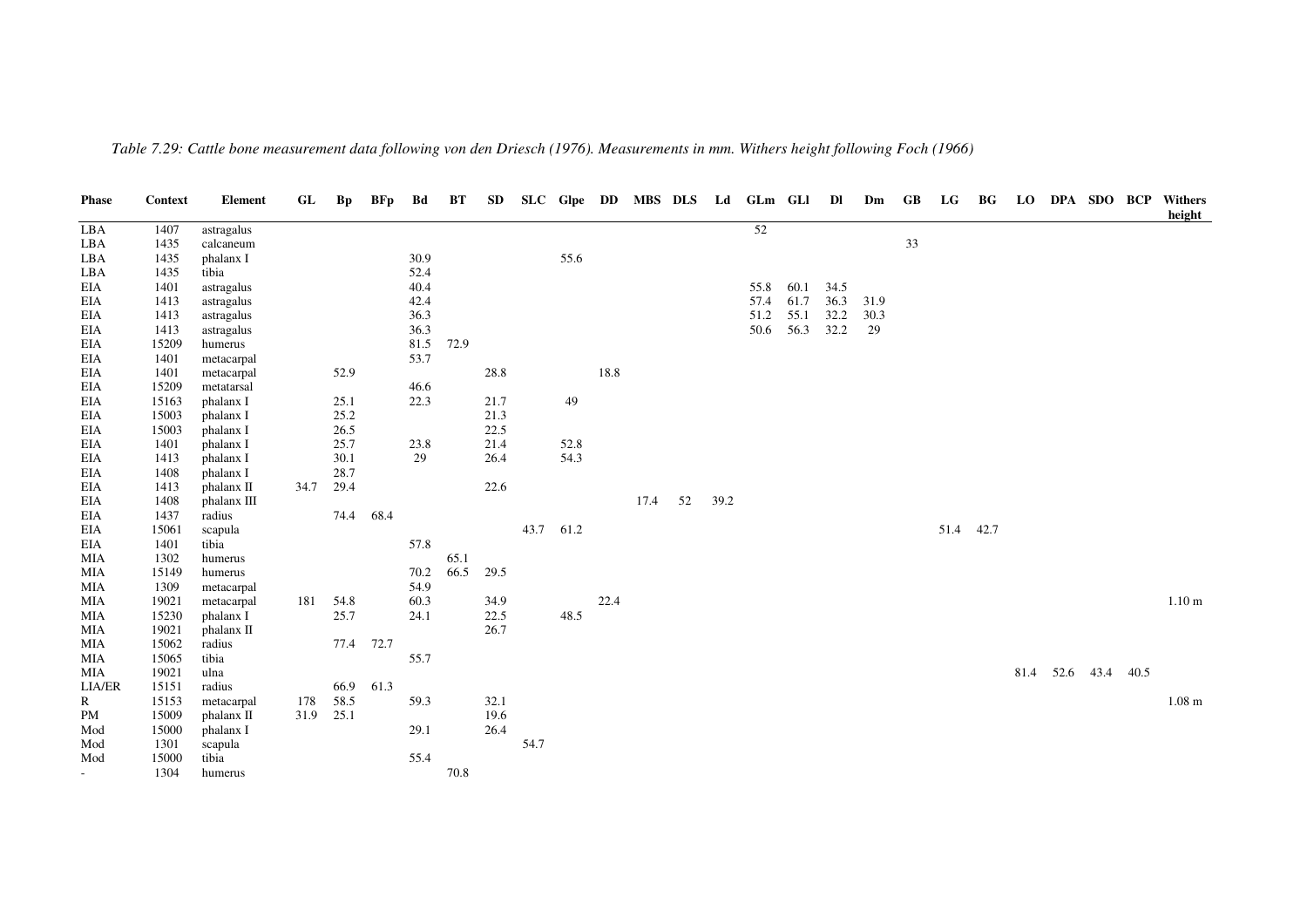| <b>Phase</b>             | Context | <b>Element</b> | GL   | Bp        | BFp  | Bd   | BТ   | SD   |           |      |      |      |    |      | SLC Glpe DD MBS DLS Ld GLm GLI |      | DI   | Dm   | GB | LG        | BG | LO   | DPA SDO BCP |      | Withers<br>height |
|--------------------------|---------|----------------|------|-----------|------|------|------|------|-----------|------|------|------|----|------|--------------------------------|------|------|------|----|-----------|----|------|-------------|------|-------------------|
| LBA                      | 1407    | astragalus     |      |           |      |      |      |      |           |      |      |      |    |      | 52                             |      |      |      |    |           |    |      |             |      |                   |
| LBA                      | 1435    | calcaneum      |      |           |      |      |      |      |           |      |      |      |    |      |                                |      |      |      | 33 |           |    |      |             |      |                   |
| LBA                      | 1435    | phalanx I      |      |           |      | 30.9 |      |      |           | 55.6 |      |      |    |      |                                |      |      |      |    |           |    |      |             |      |                   |
| LBA                      | 1435    | tibia          |      |           |      | 52.4 |      |      |           |      |      |      |    |      |                                |      |      |      |    |           |    |      |             |      |                   |
| EIA                      | 1401    | astragalus     |      |           |      | 40.4 |      |      |           |      |      |      |    |      | 55.8                           | 60.1 | 34.5 |      |    |           |    |      |             |      |                   |
| EIA                      | 1413    | astragalus     |      |           |      | 42.4 |      |      |           |      |      |      |    |      | 57.4                           | 61.7 | 36.3 | 31.9 |    |           |    |      |             |      |                   |
| EIA                      | 1413    | astragalus     |      |           |      | 36.3 |      |      |           |      |      |      |    |      | 51.2                           | 55.1 | 32.2 | 30.3 |    |           |    |      |             |      |                   |
| EIA                      | 1413    | astragalus     |      |           |      | 36.3 |      |      |           |      |      |      |    |      | 50.6                           | 56.3 | 32.2 | 29   |    |           |    |      |             |      |                   |
| EIA                      | 15209   | humerus        |      |           |      | 81.5 | 72.9 |      |           |      |      |      |    |      |                                |      |      |      |    |           |    |      |             |      |                   |
| EIA                      | 1401    | metacarpal     |      |           |      | 53.7 |      |      |           |      |      |      |    |      |                                |      |      |      |    |           |    |      |             |      |                   |
| EIA                      | 1401    | metacarpal     |      | 52.9      |      |      |      | 28.8 |           |      | 18.8 |      |    |      |                                |      |      |      |    |           |    |      |             |      |                   |
| EIA                      | 15209   | metatarsal     |      |           |      | 46.6 |      |      |           |      |      |      |    |      |                                |      |      |      |    |           |    |      |             |      |                   |
| EIA                      | 15163   | phalanx I      |      | 25.1      |      | 22.3 |      | 21.7 |           | 49   |      |      |    |      |                                |      |      |      |    |           |    |      |             |      |                   |
| EIA                      | 15003   | phalanx I      |      | 25.2      |      |      |      | 21.3 |           |      |      |      |    |      |                                |      |      |      |    |           |    |      |             |      |                   |
| EIA                      | 15003   | phalanx I      |      | 26.5      |      |      |      | 22.5 |           |      |      |      |    |      |                                |      |      |      |    |           |    |      |             |      |                   |
| EIA                      | 1401    | phalanx I      |      | 25.7      |      | 23.8 |      | 21.4 |           | 52.8 |      |      |    |      |                                |      |      |      |    |           |    |      |             |      |                   |
| EIA                      | 1413    | phalanx I      |      | 30.1      |      | 29   |      | 26.4 |           | 54.3 |      |      |    |      |                                |      |      |      |    |           |    |      |             |      |                   |
| EIA                      | 1408    | phalanx I      |      | 28.7      |      |      |      |      |           |      |      |      |    |      |                                |      |      |      |    |           |    |      |             |      |                   |
| EIA                      | 1413    | phalanx II     | 34.7 | 29.4      |      |      |      | 22.6 |           |      |      |      |    |      |                                |      |      |      |    |           |    |      |             |      |                   |
| EIA                      | 1408    | phalanx III    |      |           |      |      |      |      |           |      |      | 17.4 | 52 | 39.2 |                                |      |      |      |    |           |    |      |             |      |                   |
| EIA                      | 1437    | radius         |      | 74.4      | 68.4 |      |      |      |           |      |      |      |    |      |                                |      |      |      |    |           |    |      |             |      |                   |
| EIA                      | 15061   | scapula        |      |           |      |      |      |      | 43.7 61.2 |      |      |      |    |      |                                |      |      |      |    | 51.4 42.7 |    |      |             |      |                   |
| EIA                      | 1401    | tibia          |      |           |      | 57.8 |      |      |           |      |      |      |    |      |                                |      |      |      |    |           |    |      |             |      |                   |
| <b>MIA</b>               | 1302    | humerus        |      |           |      |      | 65.1 |      |           |      |      |      |    |      |                                |      |      |      |    |           |    |      |             |      |                   |
| <b>MIA</b>               | 15149   | humerus        |      |           |      | 70.2 | 66.5 | 29.5 |           |      |      |      |    |      |                                |      |      |      |    |           |    |      |             |      |                   |
| MIA                      | 1309    | metacarpal     |      |           |      | 54.9 |      |      |           |      |      |      |    |      |                                |      |      |      |    |           |    |      |             |      |                   |
| MIA                      | 19021   | metacarpal     | 181  | 54.8      |      | 60.3 |      | 34.9 |           |      | 22.4 |      |    |      |                                |      |      |      |    |           |    |      |             |      | 1.10 <sub>m</sub> |
| MIA                      | 15230   | phalanx I      |      | 25.7      |      | 24.1 |      | 22.5 |           | 48.5 |      |      |    |      |                                |      |      |      |    |           |    |      |             |      |                   |
| MIA                      | 19021   | phalanx II     |      |           |      |      |      | 26.7 |           |      |      |      |    |      |                                |      |      |      |    |           |    |      |             |      |                   |
| MIA                      | 15062   | radius         |      | 77.4 72.7 |      |      |      |      |           |      |      |      |    |      |                                |      |      |      |    |           |    |      |             |      |                   |
| MIA                      | 15065   | tibia          |      |           |      | 55.7 |      |      |           |      |      |      |    |      |                                |      |      |      |    |           |    |      |             |      |                   |
| <b>MIA</b>               | 19021   | ulna           |      |           |      |      |      |      |           |      |      |      |    |      |                                |      |      |      |    |           |    | 81.4 | 52.6 43.4   | 40.5 |                   |
| LIA/ER                   | 15151   | radius         |      | 66.9      | 61.3 |      |      |      |           |      |      |      |    |      |                                |      |      |      |    |           |    |      |             |      |                   |
| R                        | 15153   | metacarpal     | 178  | 58.5      |      | 59.3 |      | 32.1 |           |      |      |      |    |      |                                |      |      |      |    |           |    |      |             |      | $1.08 \text{ m}$  |
| PM                       | 15009   | phalanx II     | 31.9 | 25.1      |      |      |      | 19.6 |           |      |      |      |    |      |                                |      |      |      |    |           |    |      |             |      |                   |
| Mod                      | 15000   | phalanx I      |      |           |      | 29.1 |      | 26.4 |           |      |      |      |    |      |                                |      |      |      |    |           |    |      |             |      |                   |
| Mod                      | 1301    | scapula        |      |           |      |      |      |      | 54.7      |      |      |      |    |      |                                |      |      |      |    |           |    |      |             |      |                   |
| Mod                      | 15000   | tibia          |      |           |      | 55.4 |      |      |           |      |      |      |    |      |                                |      |      |      |    |           |    |      |             |      |                   |
| $\overline{\phantom{0}}$ | 1304    | humerus        |      |           |      |      | 70.8 |      |           |      |      |      |    |      |                                |      |      |      |    |           |    |      |             |      |                   |
|                          |         |                |      |           |      |      |      |      |           |      |      |      |    |      |                                |      |      |      |    |           |    |      |             |      |                   |

*Table 7.29: Cattle bone measurement data following von den Driesch (1976). Measurements in mm. Withers height following Foch (1966)*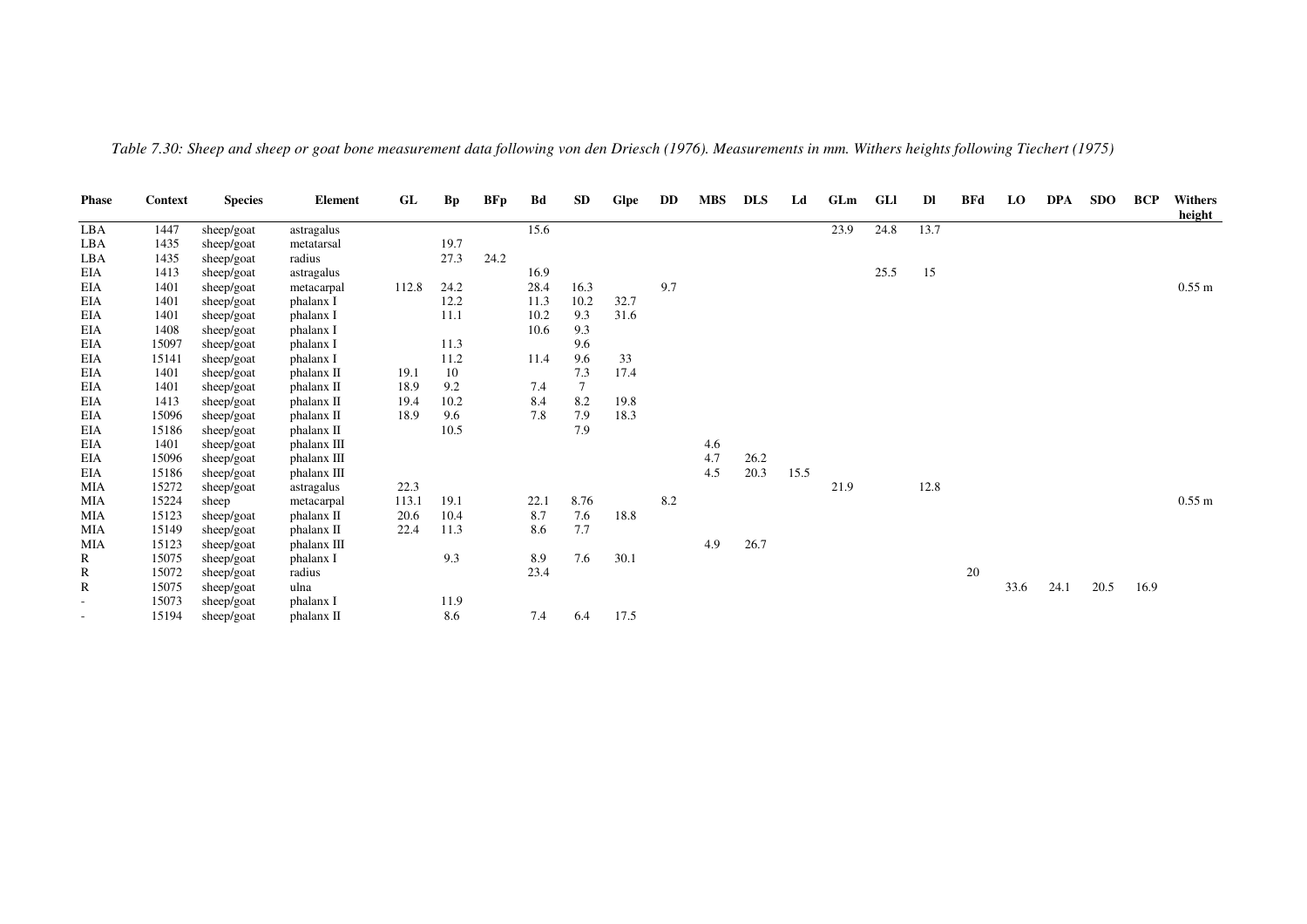| <b>Phase</b>             | <b>Context</b> | <b>Species</b> | <b>Element</b> | GL    | <b>Bp</b> | BFp  | Bd   | <b>SD</b> | <b>Glpe</b> | DD  | <b>MBS</b> | <b>DLS</b> | Ld   | GLm  | GLI  | Dl   | <b>BFd</b> | <b>LO</b> | <b>DPA</b> | <b>SDO</b> | <b>BCP</b> | <b>Withers</b><br>height |
|--------------------------|----------------|----------------|----------------|-------|-----------|------|------|-----------|-------------|-----|------------|------------|------|------|------|------|------------|-----------|------------|------------|------------|--------------------------|
| LBA                      | 1447           | sheep/goat     | astragalus     |       |           |      | 15.6 |           |             |     |            |            |      | 23.9 | 24.8 | 13.7 |            |           |            |            |            |                          |
| LBA                      | 1435           | sheep/goat     | metatarsal     |       | 19.7      |      |      |           |             |     |            |            |      |      |      |      |            |           |            |            |            |                          |
| LBA                      | 1435           | sheep/goat     | radius         |       | 27.3      | 24.2 |      |           |             |     |            |            |      |      |      |      |            |           |            |            |            |                          |
| EIA                      | 1413           | sheep/goat     | astragalus     |       |           |      | 16.9 |           |             |     |            |            |      |      | 25.5 | 15   |            |           |            |            |            |                          |
| EIA                      | 1401           | sheep/goat     | metacarpal     | 112.8 | 24.2      |      | 28.4 | 16.3      |             | 9.7 |            |            |      |      |      |      |            |           |            |            |            | $0.55 \text{ m}$         |
| EIA                      | 1401           | sheep/goat     | phalanx I      |       | 12.2      |      | 11.3 | 10.2      | 32.7        |     |            |            |      |      |      |      |            |           |            |            |            |                          |
| EIA                      | 1401           | sheep/goat     | phalanx I      |       | 11.1      |      | 10.2 | 9.3       | 31.6        |     |            |            |      |      |      |      |            |           |            |            |            |                          |
| EIA                      | 1408           | sheep/goat     | phalanx I      |       |           |      | 10.6 | 9.3       |             |     |            |            |      |      |      |      |            |           |            |            |            |                          |
| EIA                      | 15097          | sheep/goat     | phalanx I      |       | 11.3      |      |      | 9.6       |             |     |            |            |      |      |      |      |            |           |            |            |            |                          |
| EIA                      | 15141          | sheep/goat     | phalanx I      |       | 11.2      |      | 11.4 | 9.6       | 33          |     |            |            |      |      |      |      |            |           |            |            |            |                          |
| EIA                      | 1401           | sheep/goat     | phalanx II     | 19.1  | 10        |      |      | 7.3       | 17.4        |     |            |            |      |      |      |      |            |           |            |            |            |                          |
| EIA                      | 1401           | sheep/goat     | phalanx II     | 18.9  | 9.2       |      | 7.4  |           |             |     |            |            |      |      |      |      |            |           |            |            |            |                          |
| EIA                      | 1413           | sheep/goat     | phalanx II     | 19.4  | 10.2      |      | 8.4  | 8.2       | 19.8        |     |            |            |      |      |      |      |            |           |            |            |            |                          |
| EIA                      | 15096          | sheep/goat     | phalanx II     | 18.9  | 9.6       |      | 7.8  | 7.9       | 18.3        |     |            |            |      |      |      |      |            |           |            |            |            |                          |
| EIA                      | 15186          | sheep/goat     | phalanx II     |       | 10.5      |      |      | 7.9       |             |     |            |            |      |      |      |      |            |           |            |            |            |                          |
| EIA                      | 1401           | sheep/goat     | phalanx III    |       |           |      |      |           |             |     | 4.6        |            |      |      |      |      |            |           |            |            |            |                          |
| EIA                      | 15096          | sheep/goat     | phalanx III    |       |           |      |      |           |             |     | 4.7        | 26.2       |      |      |      |      |            |           |            |            |            |                          |
| EIA                      | 15186          | sheep/goat     | phalanx III    |       |           |      |      |           |             |     | 4.5        | 20.3       | 15.5 |      |      |      |            |           |            |            |            |                          |
| <b>MIA</b>               | 15272          | sheep/goat     | astragalus     | 22.3  |           |      |      |           |             |     |            |            |      | 21.9 |      | 12.8 |            |           |            |            |            |                          |
| MIA                      | 15224          | sheep          | metacarpal     | 113.1 | 19.1      |      | 22.1 | 8.76      |             | 8.2 |            |            |      |      |      |      |            |           |            |            |            | $0.55 \text{ m}$         |
| MIA                      | 15123          | sheep/goat     | phalanx II     | 20.6  | 10.4      |      | 8.7  | 7.6       | 18.8        |     |            |            |      |      |      |      |            |           |            |            |            |                          |
| MIA                      | 15149          | sheep/goat     | phalanx II     | 22.4  | 11.3      |      | 8.6  | 7.7       |             |     |            |            |      |      |      |      |            |           |            |            |            |                          |
| <b>MIA</b>               | 15123          | sheep/goat     | phalanx III    |       |           |      |      |           |             |     | 4.9        | 26.7       |      |      |      |      |            |           |            |            |            |                          |
| R                        | 15075          | sheep/goat     | phalanx I      |       | 9.3       |      | 8.9  | 7.6       | 30.1        |     |            |            |      |      |      |      |            |           |            |            |            |                          |
| R                        | 15072          | sheep/goat     | radius         |       |           |      | 23.4 |           |             |     |            |            |      |      |      |      | 20         |           |            |            |            |                          |
| R                        | 15075          | sheep/goat     | ulna           |       |           |      |      |           |             |     |            |            |      |      |      |      |            | 33.6      | 24.1       | 20.5       | 16.9       |                          |
| $\overline{\phantom{a}}$ | 15073          | sheep/goat     | phalanx I      |       | 11.9      |      |      |           |             |     |            |            |      |      |      |      |            |           |            |            |            |                          |
|                          | 15194          | sheep/goat     | phalanx II     |       | 8.6       |      | 7.4  | 6.4       | 17.5        |     |            |            |      |      |      |      |            |           |            |            |            |                          |

*Table 7.30: Sheep and sheep or goat bone measurement data following von den Driesch (1976). Measurements in mm. Withers heights following Tiechert (1975)*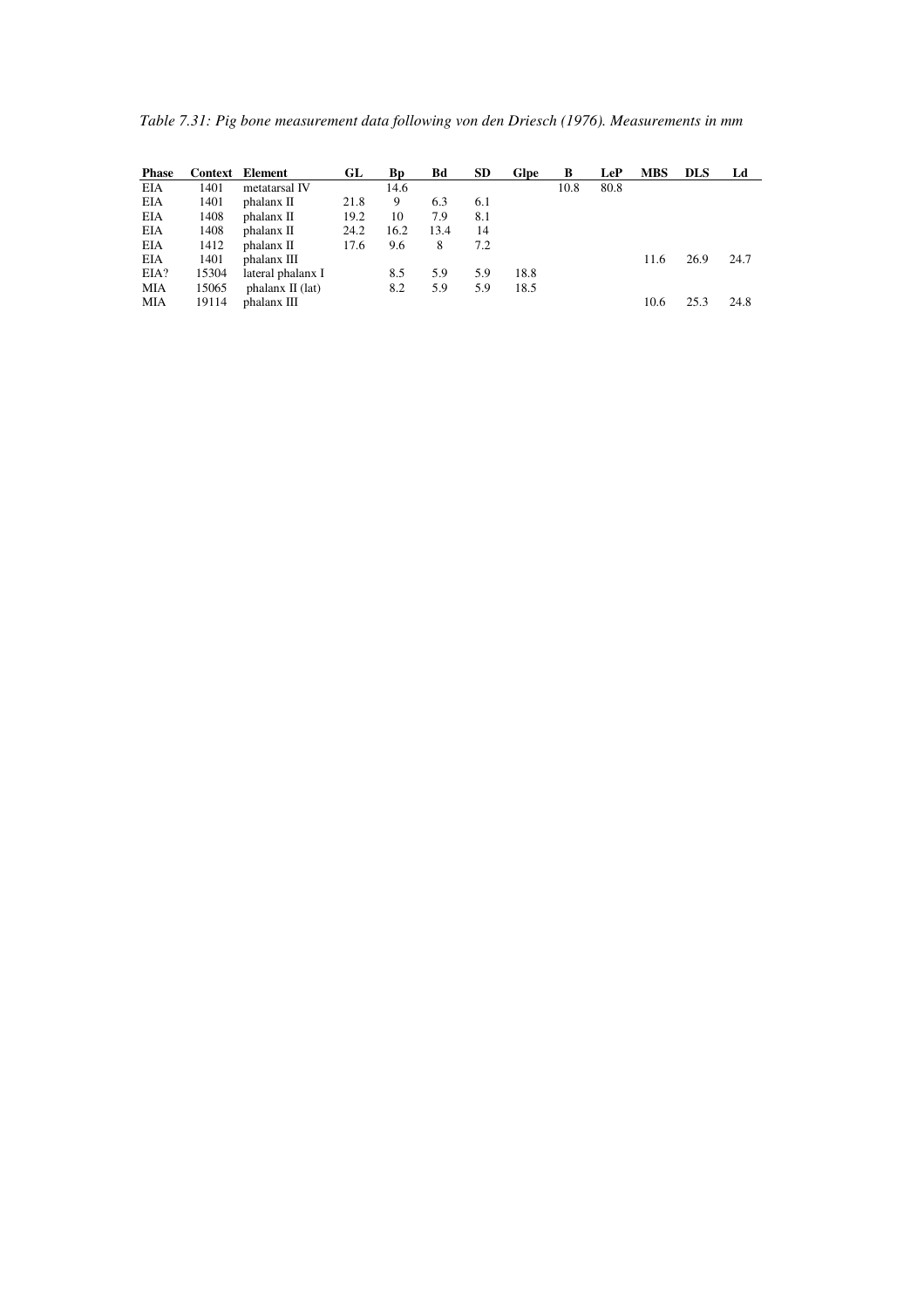*Table 7.31: Pig bone measurement data following von den Driesch (1976). Measurements in mm* 

| <b>Phase</b> |       | <b>Context</b> Element | GL   | Вp   | Bd   | <b>SD</b> | Glpe | B    | LeP  | <b>MBS</b> | <b>DLS</b> | Ld   |
|--------------|-------|------------------------|------|------|------|-----------|------|------|------|------------|------------|------|
| EIA          | 1401  | metatarsal IV          |      | 14.6 |      |           |      | 10.8 | 80.8 |            |            |      |
| EIA          | 1401  | phalanx II             | 21.8 | 9    | 6.3  | 6.1       |      |      |      |            |            |      |
| EIA          | 1408  | phalanx II             | 19.2 | 10   | 7.9  | 8.1       |      |      |      |            |            |      |
| EIA          | 1408  | phalanx II             | 24.2 | 16.2 | 13.4 | 14        |      |      |      |            |            |      |
| EIA          | 1412  | phalanx II             | 17.6 | 9.6  | 8    | 7.2       |      |      |      |            |            |      |
| EIA          | 1401  | phalanx III            |      |      |      |           |      |      |      | 11.6       | 26.9       | 24.7 |
| EIA?         | 15304 | lateral phalanx I      |      | 8.5  | 5.9  | 5.9       | 18.8 |      |      |            |            |      |
| MIA          | 15065 | phalanx $\Pi$ (lat)    |      | 8.2  | 5.9  | 5.9       | 18.5 |      |      |            |            |      |
| MIA          | 19114 | phalanx III            |      |      |      |           |      |      |      | 10.6       | 25.3       | 24.8 |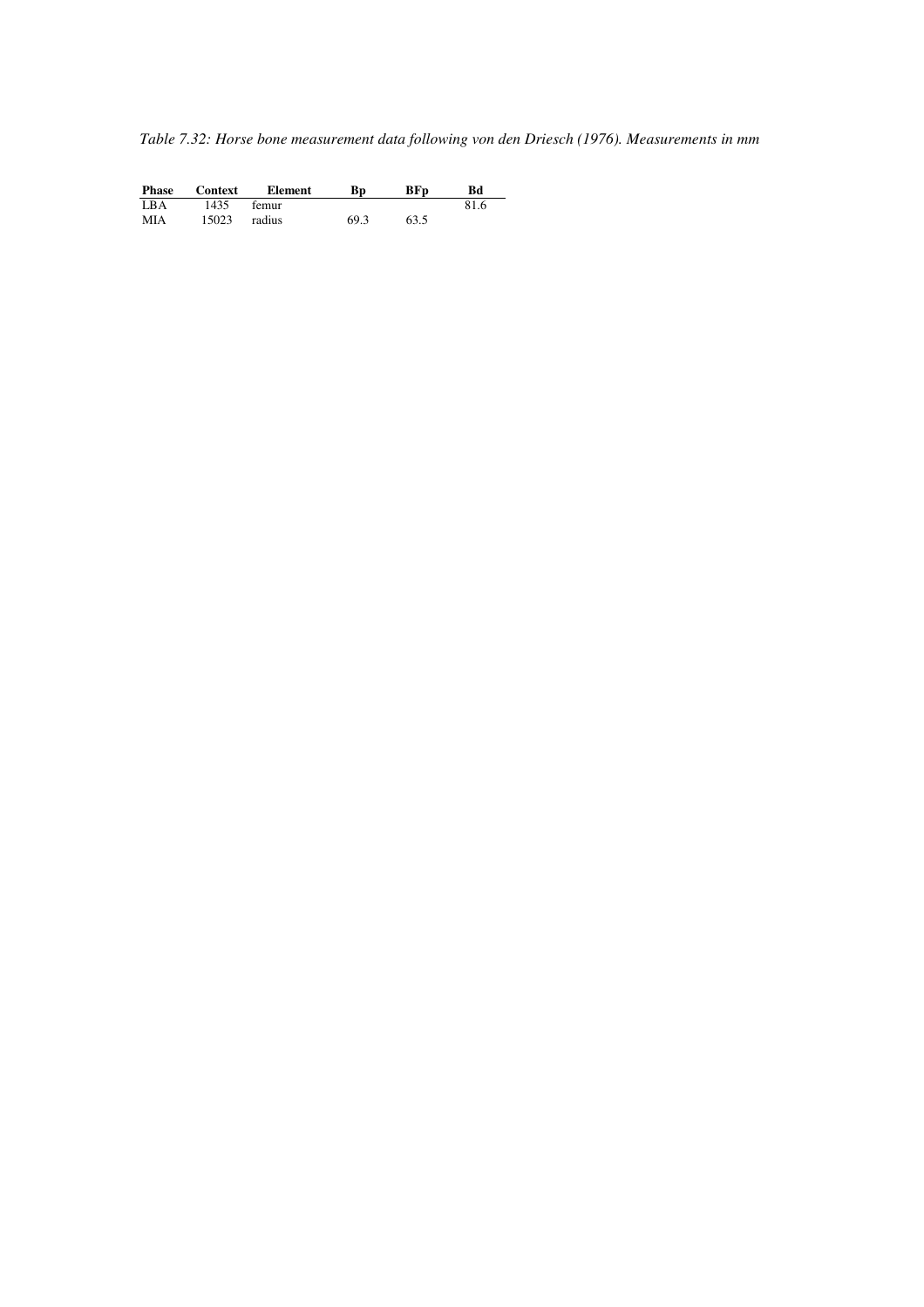*Table 7.32: Horse bone measurement data following von den Driesch (1976). Measurements in mm* 

| <b>Phase</b> | Context | Element | Вp   | BF <sub>D</sub> | Bd   |  |
|--------------|---------|---------|------|-----------------|------|--|
| LBA          | 1435    | femur   |      |                 | 81.6 |  |
| <b>MIA</b>   | 15023   | radius  | 69.3 | 63.5            |      |  |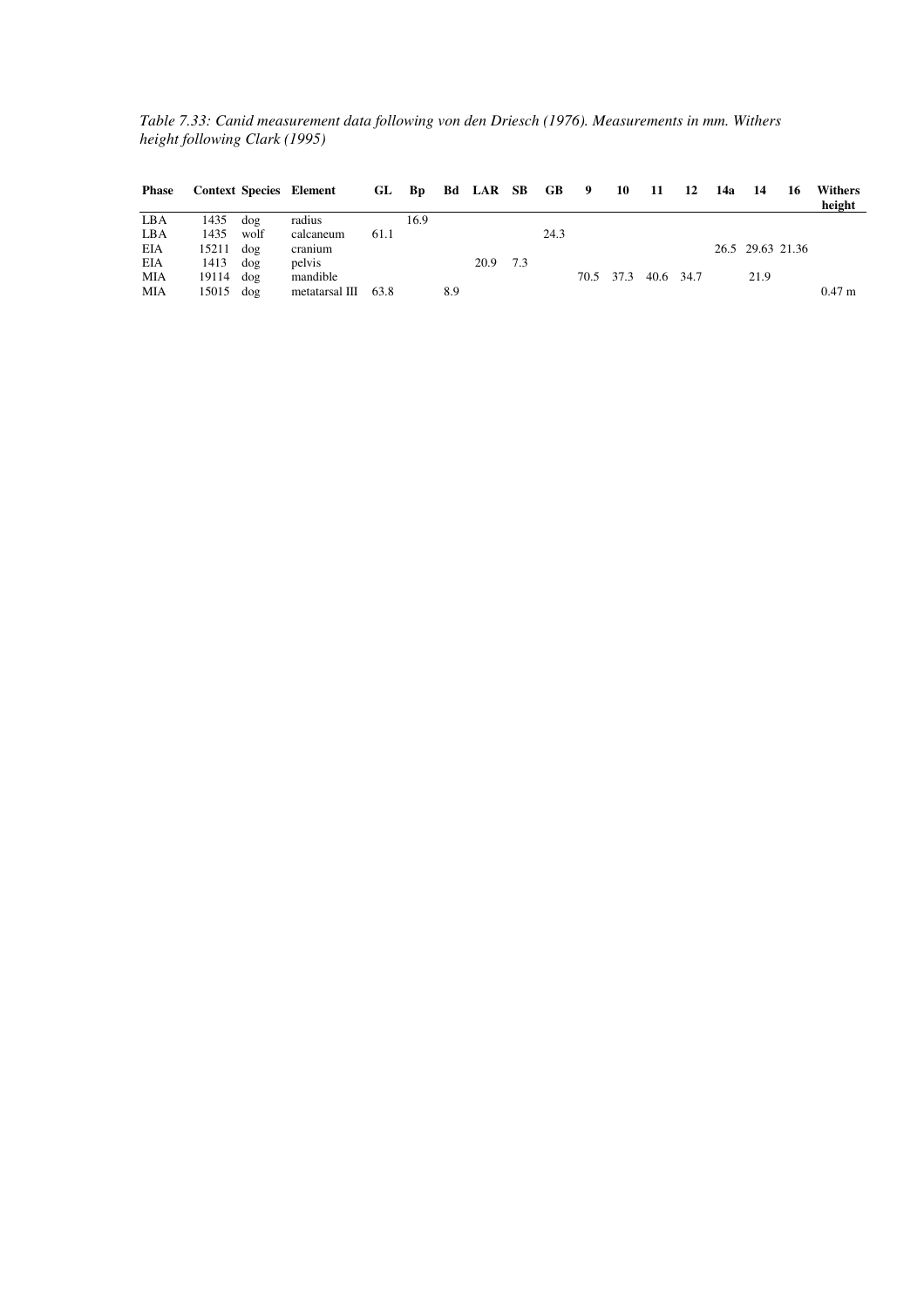*Table 7.33: Canid measurement data following von den Driesch (1976). Measurements in mm. Withers height following Clark (1995)* 

| Phase |             |      | <b>Context Species Element</b> |      |      |     | GL Bp Bd LAR SB GB 9 10 11 12 14a 14 |     |      |  |                     |  |                  | <b>16</b> | <b>Withers</b><br>height |
|-------|-------------|------|--------------------------------|------|------|-----|--------------------------------------|-----|------|--|---------------------|--|------------------|-----------|--------------------------|
| LBA   | 1435        | dog  | radius                         |      | 16.9 |     |                                      |     |      |  |                     |  |                  |           |                          |
| LBA   | 1435        | wolf | calcaneum                      | 61.1 |      |     |                                      |     | 24.3 |  |                     |  |                  |           |                          |
| EIA   | $15211$ dog |      | cranium                        |      |      |     |                                      |     |      |  |                     |  | 26.5 29.63 21.36 |           |                          |
| EIA   | $1413$ dog  |      | pelvis                         |      |      |     | 20.9                                 | 7.3 |      |  |                     |  |                  |           |                          |
| MIA   | $19114$ dog |      | mandible                       |      |      |     |                                      |     |      |  | 70.5 37.3 40.6 34.7 |  | 21.9             |           |                          |
| MIA   | $15015$ dog |      | metatarsal III 63.8            |      |      | 8.9 |                                      |     |      |  |                     |  |                  |           | 0.47 <sub>m</sub>        |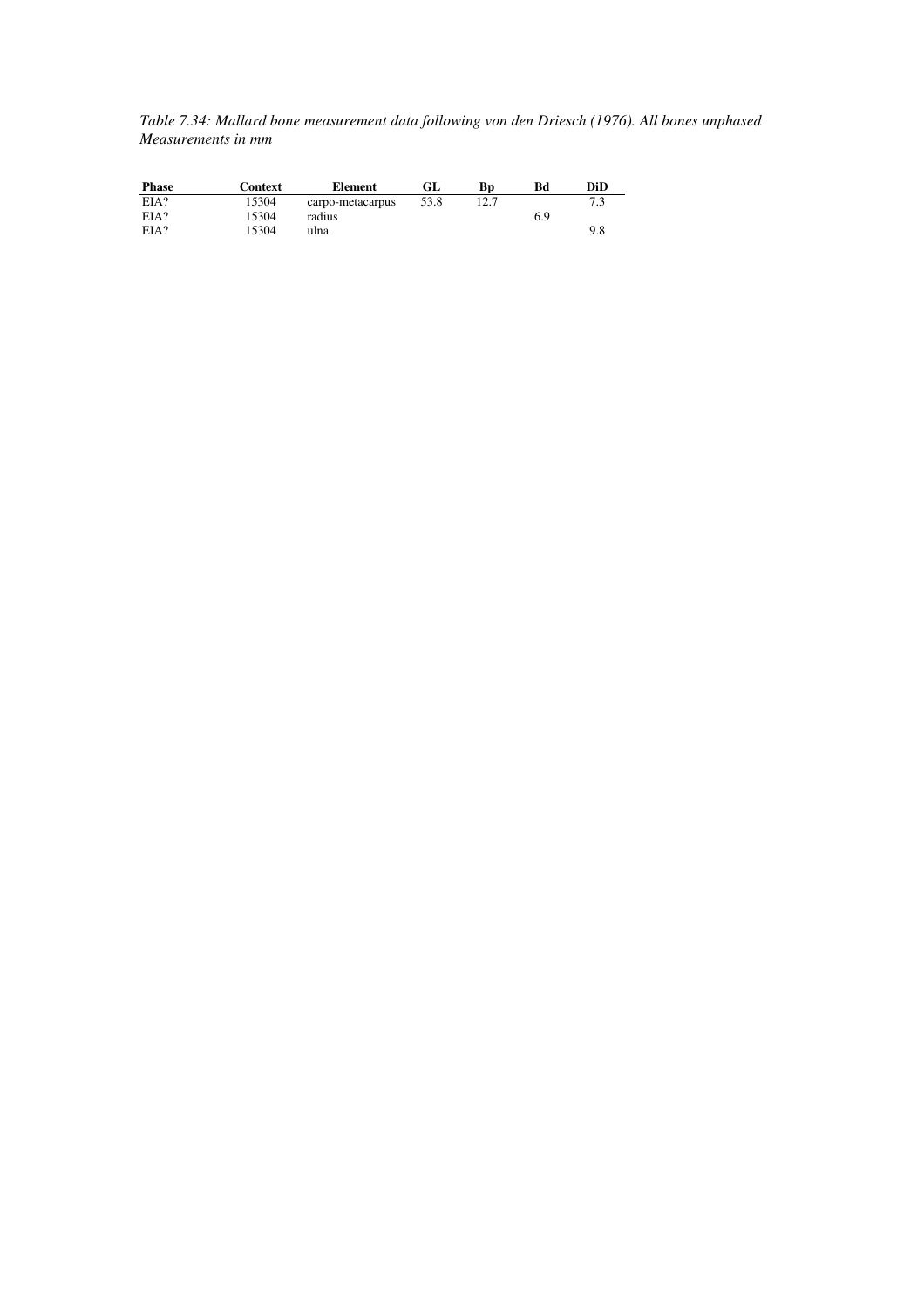*Table 7.34: Mallard bone measurement data following von den Driesch (1976). All bones unphased Measurements in mm* 

| <b>Phase</b> | Context | Element          | GL   | Вp   | Bd  | DiD |
|--------------|---------|------------------|------|------|-----|-----|
| EIA?         | 15304   | carpo-metacarpus | 53.8 | 12.7 |     |     |
| EIA?         | 15304   | radius           |      |      | 6.9 |     |
| EIA?         | 15304   | ulna             |      |      |     | 9.8 |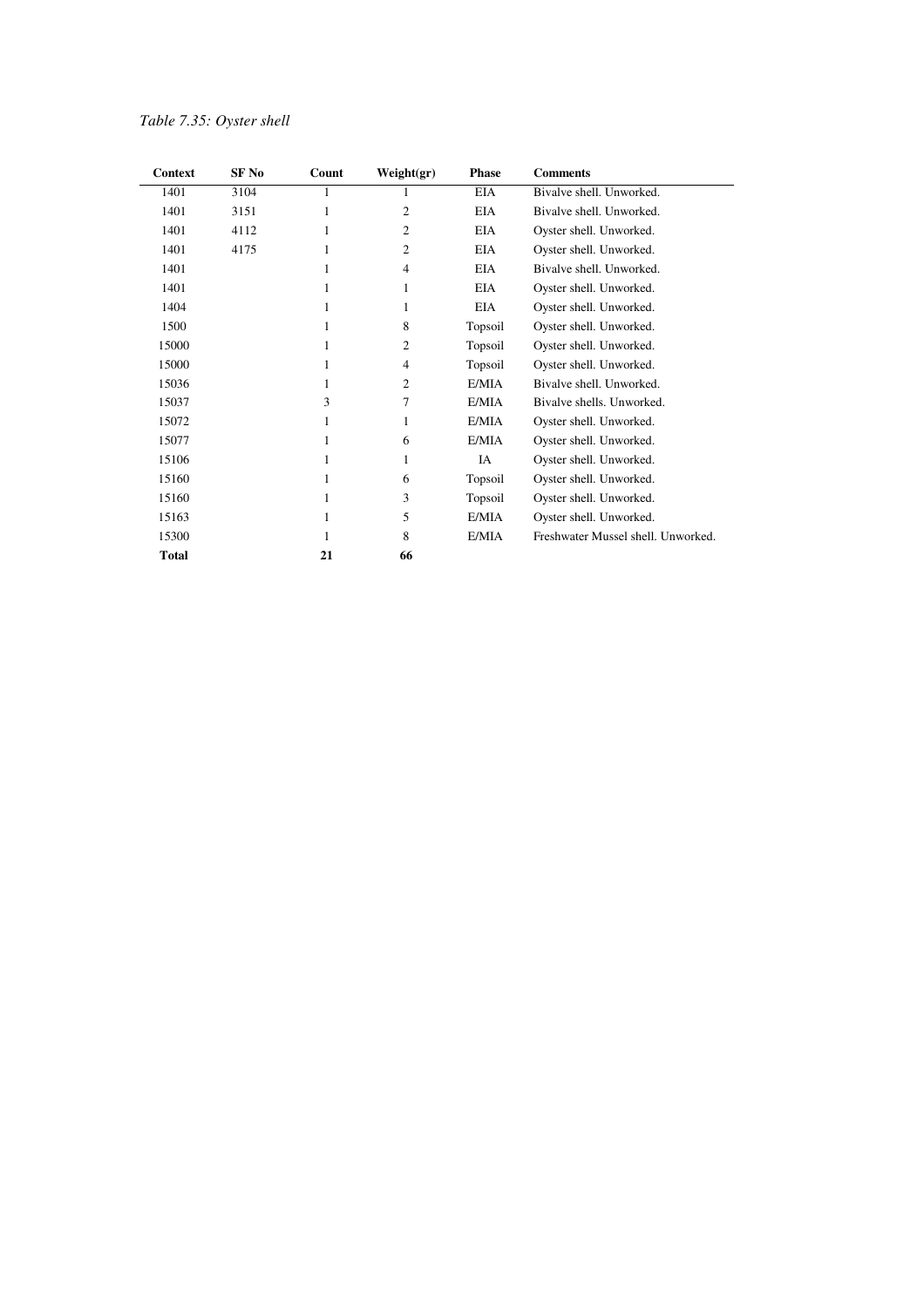| Context      | SF No | Count | Weight(gr)     | <b>Phase</b> | <b>Comments</b>                    |
|--------------|-------|-------|----------------|--------------|------------------------------------|
| 1401         | 3104  |       |                | EIA          | Bivalve shell. Unworked.           |
| 1401         | 3151  | 1     | 2              | EIA          | Bivalve shell. Unworked.           |
| 1401         | 4112  | 1     | $\overline{c}$ | <b>EIA</b>   | Oyster shell. Unworked.            |
| 1401         | 4175  | 1     | 2              | <b>EIA</b>   | Oyster shell. Unworked.            |
| 1401         |       | 1     | $\overline{4}$ | EIA          | Bivalve shell. Unworked.           |
| 1401         |       | 1     | 1              | EIA          | Oyster shell. Unworked.            |
| 1404         |       | 1     | 1              | EIA          | Oyster shell. Unworked.            |
| 1500         |       | 1     | 8              | Topsoil      | Oyster shell. Unworked.            |
| 15000        |       | 1     | 2              | Topsoil      | Oyster shell. Unworked.            |
| 15000        |       | 1     | 4              | Topsoil      | Oyster shell. Unworked.            |
| 15036        |       | 1     | 2              | E/MIA        | Bivalve shell. Unworked.           |
| 15037        |       | 3     | 7              | E/MIA        | Bivalve shells. Unworked.          |
| 15072        |       | 1     | 1              | E/MIA        | Oyster shell. Unworked.            |
| 15077        |       | 1     | 6              | E/MIA        | Oyster shell. Unworked.            |
| 15106        |       | 1     | 1              | IA           | Oyster shell. Unworked.            |
| 15160        |       | 1     | 6              | Topsoil      | Oyster shell. Unworked.            |
| 15160        |       | 1     | 3              | Topsoil      | Oyster shell. Unworked.            |
| 15163        |       | 1     | 5              | E/MIA        | Oyster shell. Unworked.            |
| 15300        |       | 1     | 8              | E/MIA        | Freshwater Mussel shell. Unworked. |
| <b>Total</b> |       | 21    | 66             |              |                                    |

### *Table 7.35: Oyster shell*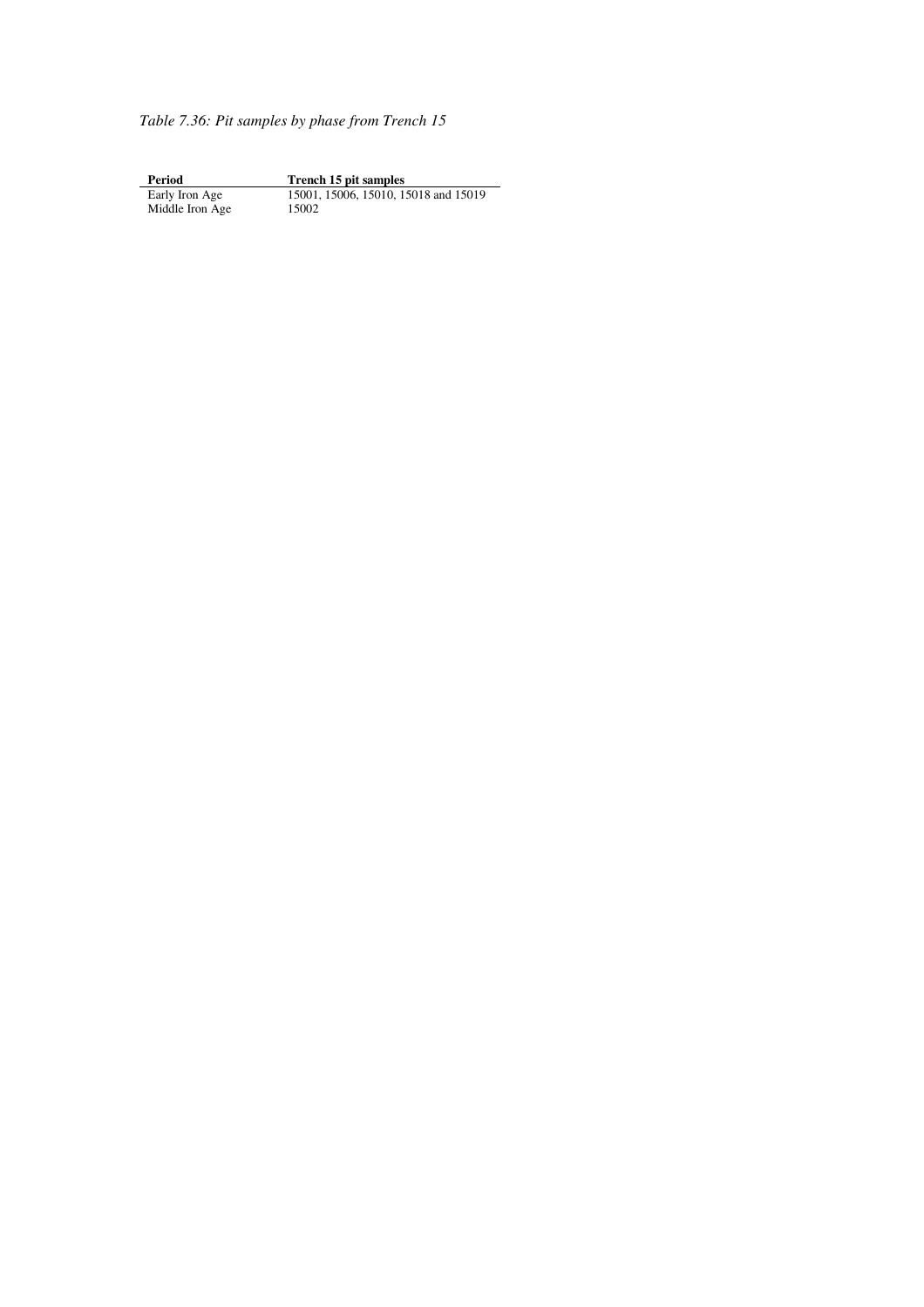*Table 7.36: Pit samples by phase from Trench 15* 

**Period Trench 15 pit samples** Early Iron Age 15001, 15006, 15010, 15018 and 15019 **Period**<br>Early Iron Age<br>Middle Iron Age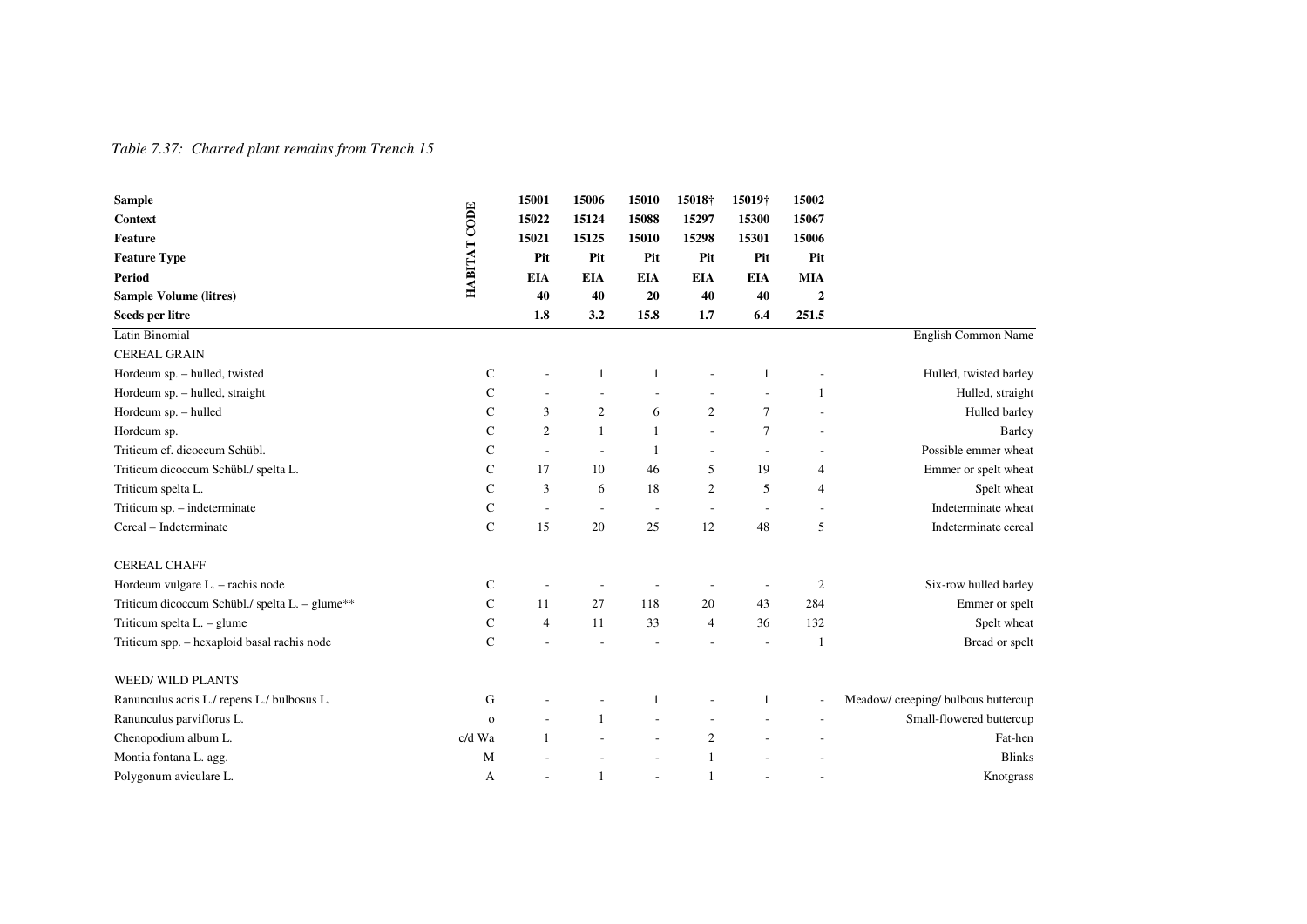### *Table 7.37: Charred plant remains from Trench 15*

| <b>Sample</b>                                  |              | 15001          | 15006                    | 15010                    | 15018†         | 15019†                   | 15002          |                                     |
|------------------------------------------------|--------------|----------------|--------------------------|--------------------------|----------------|--------------------------|----------------|-------------------------------------|
| Context                                        |              | 15022          | 15124                    | 15088                    | 15297          | 15300                    | 15067          |                                     |
| <b>Feature</b>                                 | HABITAT CODE | 15021          | 15125                    | 15010                    | 15298          | 15301                    | 15006          |                                     |
| <b>Feature Type</b>                            |              | Pit            | Pit                      | Pit                      | Pit            | Pit                      | Pit            |                                     |
| <b>Period</b>                                  |              | <b>EIA</b>     | <b>EIA</b>               | <b>EIA</b>               | <b>EIA</b>     | <b>EIA</b>               | <b>MIA</b>     |                                     |
| <b>Sample Volume (litres)</b>                  |              | 40             | 40                       | 20                       | 40             | 40                       | $\overline{2}$ |                                     |
| Seeds per litre                                |              | 1.8            | 3.2                      | 15.8                     | 1.7            | 6.4                      | 251.5          |                                     |
| Latin Binomial                                 |              |                |                          |                          |                |                          |                | English Common Name                 |
| <b>CEREAL GRAIN</b>                            |              |                |                          |                          |                |                          |                |                                     |
| Hordeum sp. - hulled, twisted                  | C            |                | 1                        | 1                        |                | $\mathbf{1}$             |                | Hulled, twisted barley              |
| Hordeum sp. - hulled, straight                 | $\mathsf{C}$ |                |                          |                          |                |                          | -1             | Hulled, straight                    |
| Hordeum sp. - hulled                           | C            | 3              | 2                        | 6                        | $\overline{c}$ | $\tau$                   |                | Hulled barley                       |
| Hordeum sp.                                    | $\mathbf C$  | $\overline{2}$ | $\mathbf{1}$             | $\mathbf{1}$             | L,             | $\tau$                   |                | <b>Barley</b>                       |
| Triticum cf. dicoccum Schübl.                  | C            | $\overline{a}$ | $\overline{a}$           | 1                        | ٠              | $\sim$                   |                | Possible emmer wheat                |
| Triticum dicoccum Schübl./ spelta L.           | $\mathbf C$  | 17             | 10                       | 46                       | 5              | 19                       | 4              | Emmer or spelt wheat                |
| Triticum spelta L.                             | C            | 3              | 6                        | 18                       | $\overline{c}$ | 5                        | $\overline{4}$ | Spelt wheat                         |
| Triticum sp. - indeterminate                   | $\mathsf{C}$ | ÷,             | $\overline{\phantom{a}}$ | $\overline{\phantom{a}}$ | ÷,             | $\overline{\phantom{a}}$ |                | Indeterminate wheat                 |
| Cereal - Indeterminate                         | $\mathbf C$  | 15             | 20                       | 25                       | 12             | 48                       | 5              | Indeterminate cereal                |
| <b>CEREAL CHAFF</b>                            |              |                |                          |                          |                |                          |                |                                     |
| Hordeum vulgare L. - rachis node               | C            |                |                          |                          |                | $\overline{\phantom{a}}$ | $\overline{2}$ | Six-row hulled barley               |
| Triticum dicoccum Schübl./ spelta L. – glume** | $\mathbf C$  | 11             | 27                       | 118                      | 20             | 43                       | 284            | Emmer or spelt                      |
| Triticum spelta $L - g$ lume                   | $\mathbf C$  | $\overline{4}$ | 11                       | 33                       | 4              | 36                       | 132            | Spelt wheat                         |
| Triticum spp. - hexaploid basal rachis node    | $\mathbf C$  |                |                          |                          |                | $\overline{a}$           | -1             | Bread or spelt                      |
| <b>WEED/WILD PLANTS</b>                        |              |                |                          |                          |                |                          |                |                                     |
| Ranunculus acris L./ repens L./ bulbosus L.    | G            |                |                          |                          |                | 1                        |                | Meadow/ creeping/ bulbous buttercup |
| Ranunculus parviflorus L.                      | $\mathbf{o}$ |                | $\mathbf{1}$             |                          |                |                          |                | Small-flowered buttercup            |
| Chenopodium album L.                           | c/d Wa       | $\overline{1}$ |                          |                          | $\overline{c}$ |                          |                | Fat-hen                             |
| Montia fontana L. agg.                         | M            |                |                          |                          | 1              |                          |                | <b>Blinks</b>                       |
| Polygonum aviculare L.                         | A            |                | 1                        |                          | 1              |                          |                | Knotgrass                           |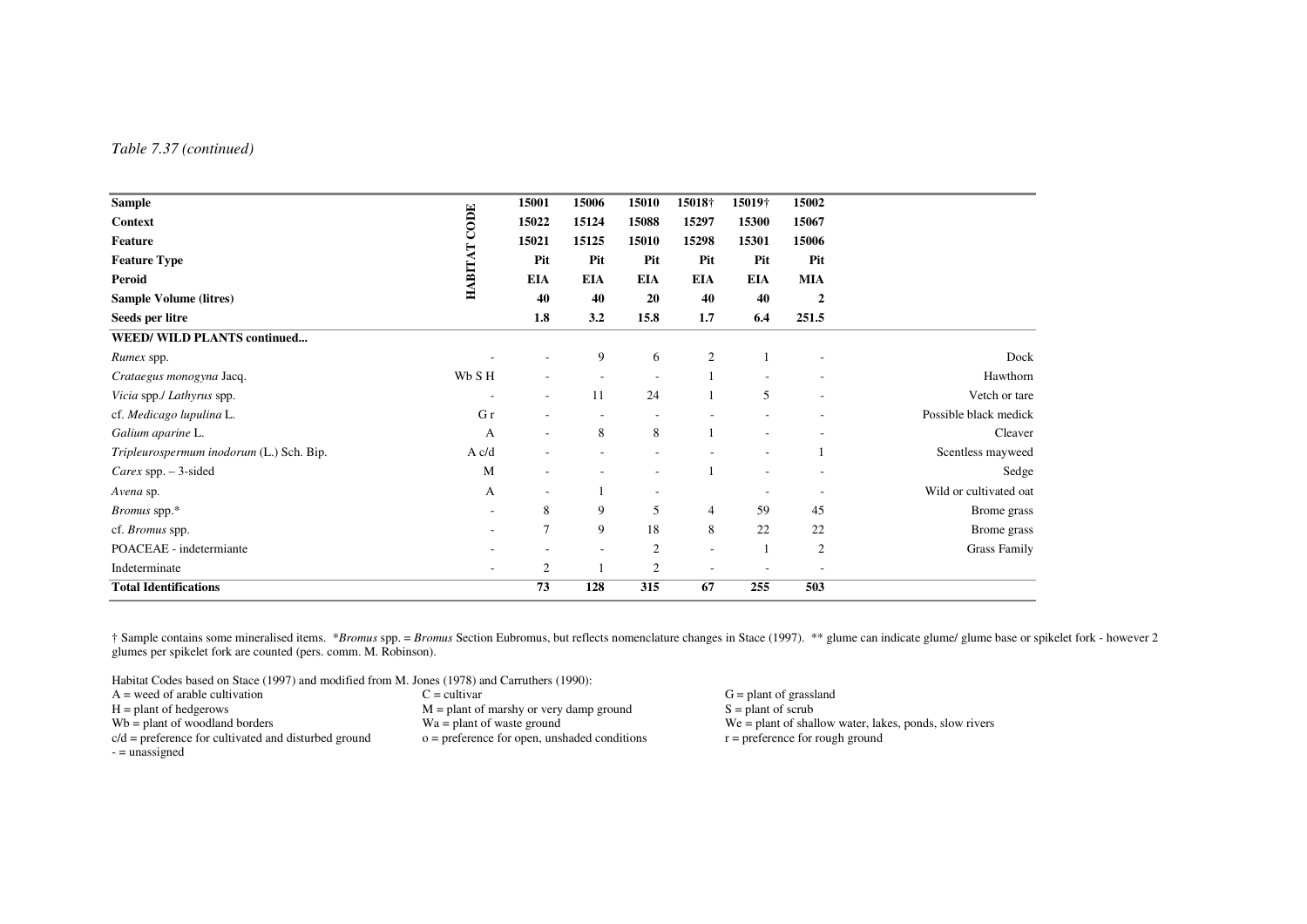#### *Table 7.37 (continued)*

| <b>Sample</b>                            |                          | 15001          | 15006                    | 15010          | 15018†                   | 15019†                   | 15002          |                        |
|------------------------------------------|--------------------------|----------------|--------------------------|----------------|--------------------------|--------------------------|----------------|------------------------|
| <b>Context</b>                           | $COM$                    | 15022          | 15124                    | 15088          | 15297                    | 15300                    | 15067          |                        |
| <b>Feature</b>                           |                          | 15021          | 15125                    | 15010          | 15298                    | 15301                    | 15006          |                        |
| <b>Feature Type</b>                      |                          | Pit            | Pit                      | Pit            | Pit                      | Pit                      | Pit            |                        |
| Peroid                                   | HABITAT                  | <b>EIA</b>     | <b>EIA</b>               | <b>EIA</b>     | <b>EIA</b>               | <b>EIA</b>               | <b>MIA</b>     |                        |
| <b>Sample Volume (litres)</b>            |                          | 40             | 40                       | 20             | 40                       | 40                       | 2              |                        |
| Seeds per litre                          |                          | 1.8            | 3.2                      | 15.8           | 1.7                      | 6.4                      | 251.5          |                        |
| <b>WEED/ WILD PLANTS continued</b>       |                          |                |                          |                |                          |                          |                |                        |
| Rumex spp.                               |                          |                | 9                        | 6              | 2                        |                          |                | Dock                   |
| Crataegus monogyna Jacq.                 | Wb SH                    |                |                          |                |                          |                          |                | Hawthorn               |
| Vicia spp./ Lathyrus spp.                |                          | ٠              | 11                       | 24             |                          | 5                        |                | Vetch or tare          |
| cf. Medicago lupulina L.                 | G r                      |                |                          |                |                          |                          |                | Possible black medick  |
| Galium aparine L.                        | А                        | ٠              | 8                        | 8              |                          | $\overline{\phantom{a}}$ |                | Cleaver                |
| Tripleurospermum inodorum (L.) Sch. Bip. | A c/d                    |                |                          |                |                          |                          |                | Scentless mayweed      |
| Carex spp. $-3$ -sided                   | M                        | ٠              |                          |                |                          | $\overline{\phantom{a}}$ |                | Sedge                  |
| Avena sp.                                | A                        |                |                          |                |                          |                          |                | Wild or cultivated oat |
| <i>Bromus</i> spp.*                      | $\overline{\phantom{a}}$ | 8              | 9                        | 5              | 4                        | 59                       | 45             | Brome grass            |
| cf. Bromus spp.                          |                          | $\overline{7}$ | 9                        | 18             | 8                        | 22                       | 22             | Brome grass            |
| POACEAE - indetermiante                  |                          |                | $\overline{\phantom{a}}$ | $\overline{2}$ | $\overline{\phantom{a}}$ | $\mathbf{1}$             | $\mathfrak{2}$ | <b>Grass Family</b>    |
| Indeterminate                            |                          | 2              |                          | 2              | $\overline{\phantom{a}}$ |                          |                |                        |
| <b>Total Identifications</b>             |                          | 73             | 128                      | 315            | 67                       | 255                      | 503            |                        |

† Sample contains some mineralised items. \**Bromus* spp. = *Bromus* Section Eubromus, but reflects nomenclature changes in Stace (1997). \*\* glume can indicate glume/ glume base or spikelet fork - however 2 glumes per spikelet fork are counted (pers. comm. M. Robinson).

Habitat Codes based on Stace (1997) and modified from M. Jones (1978) and Carruthers (1990):

| $A =$ weed of arable cultivation                       | $\Gamma = \text{cultivar}$                     | $G =$ plant of grassland                                 |
|--------------------------------------------------------|------------------------------------------------|----------------------------------------------------------|
| $H =$ plant of hedgerows                               | $M =$ plant of marshy or very damp ground      | $S =$ plant of scrub                                     |
| $Wb =$ plant of woodland borders                       | $Wa = plant of waste ground$                   | $We = plant of shallow water, lakes, bonds, slow rivers$ |
| $c/d$ = preference for cultivated and disturbed ground | $o =$ preference for open, unshaded conditions | $r =$ preference for rough ground                        |
| - = unassigned                                         |                                                |                                                          |

 $h = \text{p}$  around  $\text{S} = \text{plant of scrub}$  $\alpha$  = preference for rough ground  $\alpha$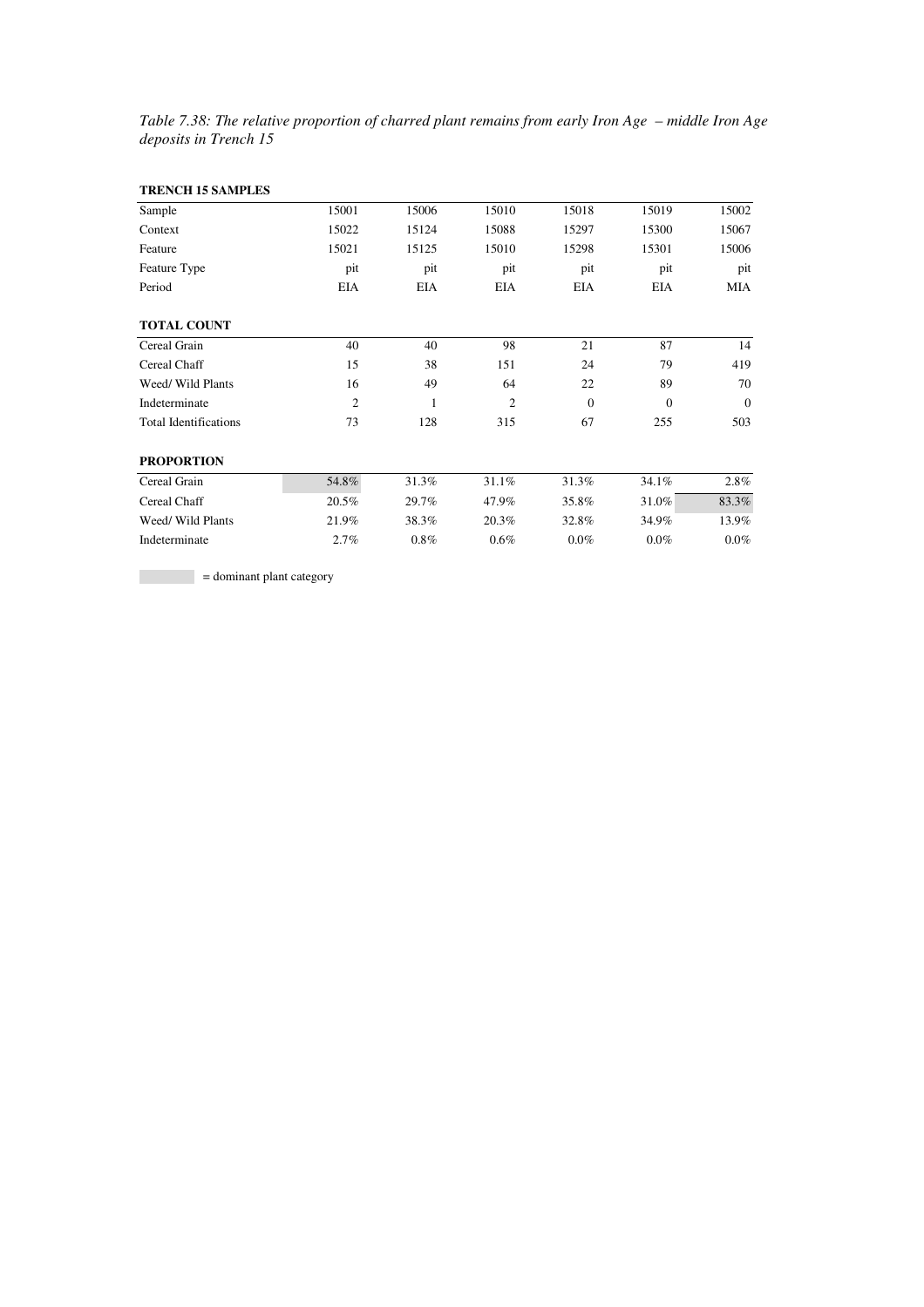*Table 7.38: The relative proportion of charred plant remains from early Iron Age – middle Iron Age deposits in Trench 15* 

| <b>TRENCH 15 SAMPLES</b>     |                |            |                |          |              |            |
|------------------------------|----------------|------------|----------------|----------|--------------|------------|
| Sample                       | 15001          | 15006      | 15010          | 15018    | 15019        | 15002      |
| Context                      | 15022          | 15124      | 15088          | 15297    | 15300        | 15067      |
| Feature                      | 15021          | 15125      | 15010          | 15298    | 15301        | 15006      |
| Feature Type                 | pit            | pit        | pit            | pit      | pit          | pit        |
| Period                       | <b>EIA</b>     | <b>EIA</b> | <b>EIA</b>     | EIA      | <b>EIA</b>   | <b>MIA</b> |
| <b>TOTAL COUNT</b>           |                |            |                |          |              |            |
| Cereal Grain                 | 40             | 40         | 98             | 21       | 87           | 14         |
| Cereal Chaff                 | 15             | 38         | 151            | 24       | 79           | 419        |
| Weed/ Wild Plants            | 16             | 49         | 64             | 22       | 89           | 70         |
| Indeterminate                | $\overline{2}$ | 1          | $\overline{c}$ | $\Omega$ | $\mathbf{0}$ | $\theta$   |
| <b>Total Identifications</b> | 73             | 128        | 315            | 67       | 255          | 503        |
| <b>PROPORTION</b>            |                |            |                |          |              |            |
| Cereal Grain                 | 54.8%          | 31.3%      | 31.1%          | 31.3%    | 34.1%        | 2.8%       |
| Cereal Chaff                 | 20.5%          | 29.7%      | 47.9%          | 35.8%    | 31.0%        | 83.3%      |
| Weed/ Wild Plants            | 21.9%          | 38.3%      | 20.3%          | 32.8%    | 34.9%        | 13.9%      |
| Indeterminate                | 2.7%           | 0.8%       | 0.6%           | 0.0%     | 0.0%         | $0.0\%$    |

 $=$  dominant plant category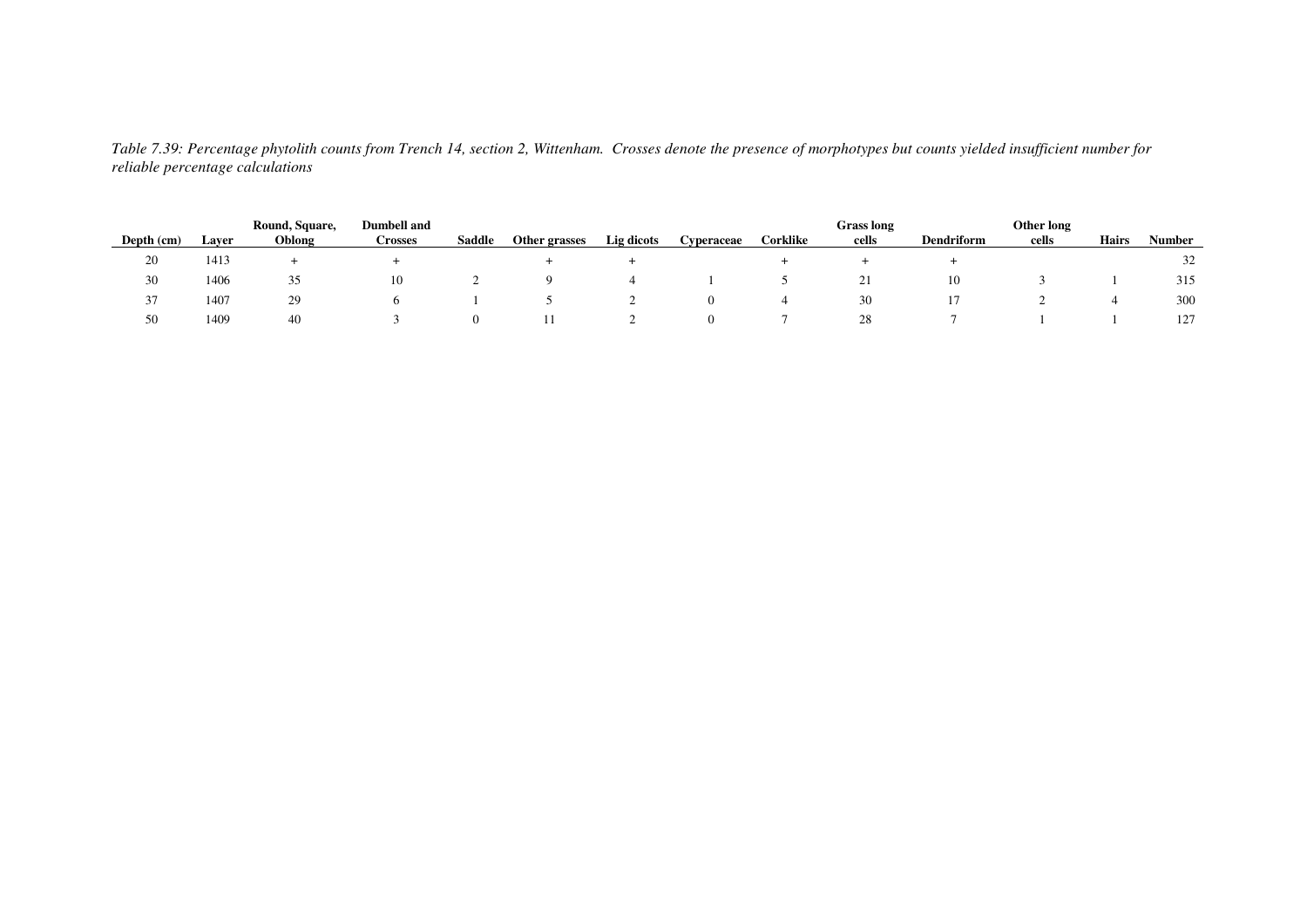| Depth (cm)              | Laver | Round, Square,<br>Oblong | <b>Dumbell</b> and<br>Crosses | <b>Saddle</b> | Other grasses | Lig dicots | Cvperaceae | Corklike | <b>Grass</b> long<br>cells | <b>Dendriform</b> | Other long<br>cells | <b>Hairs</b> | Number |
|-------------------------|-------|--------------------------|-------------------------------|---------------|---------------|------------|------------|----------|----------------------------|-------------------|---------------------|--------------|--------|
| 20                      | 1413  |                          |                               |               |               |            |            |          |                            |                   |                     |              | 32     |
| 30                      | 1406  | 35                       | 10                            |               |               |            |            |          | "                          | 10                |                     |              | 315    |
| $\sim$<br>$\mathcal{I}$ | 1407  | 29                       |                               |               |               |            |            |          | 30                         |                   |                     |              | 300    |
| 50                      | 1409  | 40                       |                               |               |               |            |            |          | 28                         |                   |                     |              | 127    |

*Table 7.39: Percentage phytolith counts from Trench 14, section 2, Wittenham. Crosses denote the presence of morphotypes but counts yielded insufficient number for reliable percentage calculations*